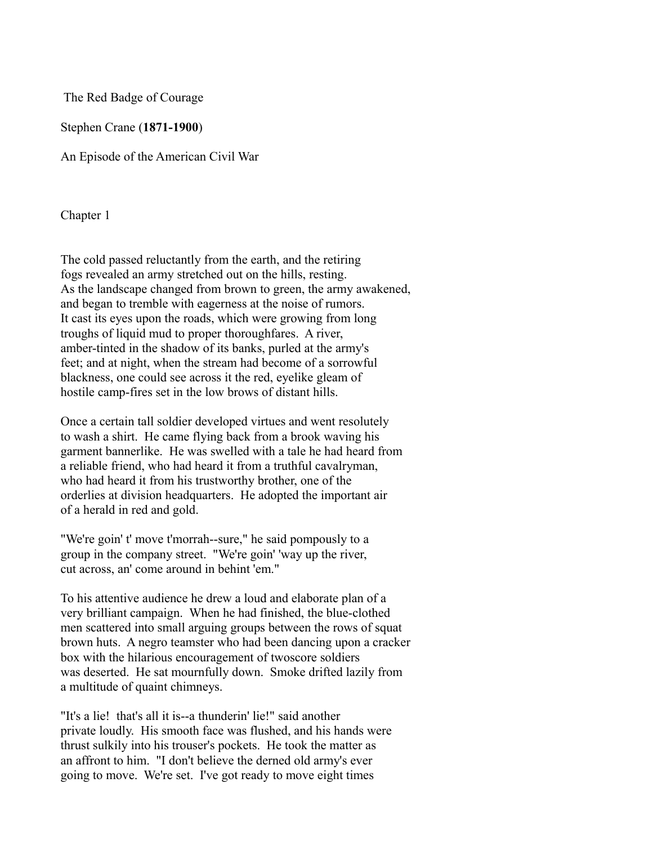The Red Badge of Courage

Stephen Crane (**1871-1900**)

An Episode of the American Civil War

Chapter 1

The cold passed reluctantly from the earth, and the retiring fogs revealed an army stretched out on the hills, resting. As the landscape changed from brown to green, the army awakened, and began to tremble with eagerness at the noise of rumors. It cast its eyes upon the roads, which were growing from long troughs of liquid mud to proper thoroughfares. A river, amber-tinted in the shadow of its banks, purled at the army's feet; and at night, when the stream had become of a sorrowful blackness, one could see across it the red, eyelike gleam of hostile camp-fires set in the low brows of distant hills.

Once a certain tall soldier developed virtues and went resolutely to wash a shirt. He came flying back from a brook waving his garment bannerlike. He was swelled with a tale he had heard from a reliable friend, who had heard it from a truthful cavalryman, who had heard it from his trustworthy brother, one of the orderlies at division headquarters. He adopted the important air of a herald in red and gold.

"We're goin' t' move t'morrah--sure," he said pompously to a group in the company street. "We're goin' 'way up the river, cut across, an' come around in behint 'em."

To his attentive audience he drew a loud and elaborate plan of a very brilliant campaign. When he had finished, the blue-clothed men scattered into small arguing groups between the rows of squat brown huts. A negro teamster who had been dancing upon a cracker box with the hilarious encouragement of twoscore soldiers was deserted. He sat mournfully down. Smoke drifted lazily from a multitude of quaint chimneys.

"It's a lie! that's all it is--a thunderin' lie!" said another private loudly. His smooth face was flushed, and his hands were thrust sulkily into his trouser's pockets. He took the matter as an affront to him. "I don't believe the derned old army's ever going to move. We're set. I've got ready to move eight times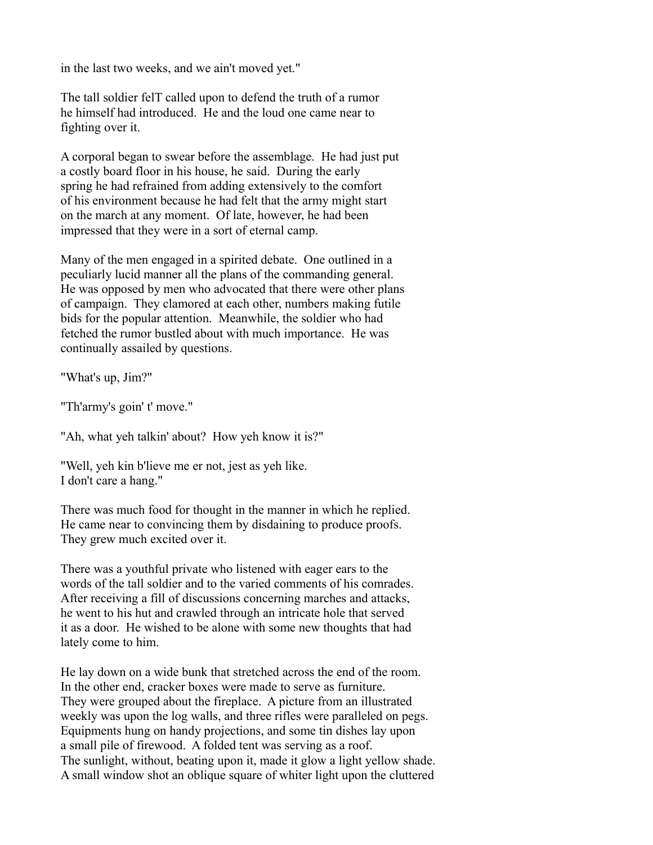in the last two weeks, and we ain't moved yet."

The tall soldier felT called upon to defend the truth of a rumor he himself had introduced. He and the loud one came near to fighting over it.

A corporal began to swear before the assemblage. He had just put a costly board floor in his house, he said. During the early spring he had refrained from adding extensively to the comfort of his environment because he had felt that the army might start on the march at any moment. Of late, however, he had been impressed that they were in a sort of eternal camp.

Many of the men engaged in a spirited debate. One outlined in a peculiarly lucid manner all the plans of the commanding general. He was opposed by men who advocated that there were other plans of campaign. They clamored at each other, numbers making futile bids for the popular attention. Meanwhile, the soldier who had fetched the rumor bustled about with much importance. He was continually assailed by questions.

"What's up, Jim?"

"Th'army's goin' t' move."

"Ah, what yeh talkin' about? How yeh know it is?"

"Well, yeh kin b'lieve me er not, jest as yeh like. I don't care a hang."

There was much food for thought in the manner in which he replied. He came near to convincing them by disdaining to produce proofs. They grew much excited over it.

There was a youthful private who listened with eager ears to the words of the tall soldier and to the varied comments of his comrades. After receiving a fill of discussions concerning marches and attacks, he went to his hut and crawled through an intricate hole that served it as a door. He wished to be alone with some new thoughts that had lately come to him.

He lay down on a wide bunk that stretched across the end of the room. In the other end, cracker boxes were made to serve as furniture. They were grouped about the fireplace. A picture from an illustrated weekly was upon the log walls, and three rifles were paralleled on pegs. Equipments hung on handy projections, and some tin dishes lay upon a small pile of firewood. A folded tent was serving as a roof. The sunlight, without, beating upon it, made it glow a light yellow shade. A small window shot an oblique square of whiter light upon the cluttered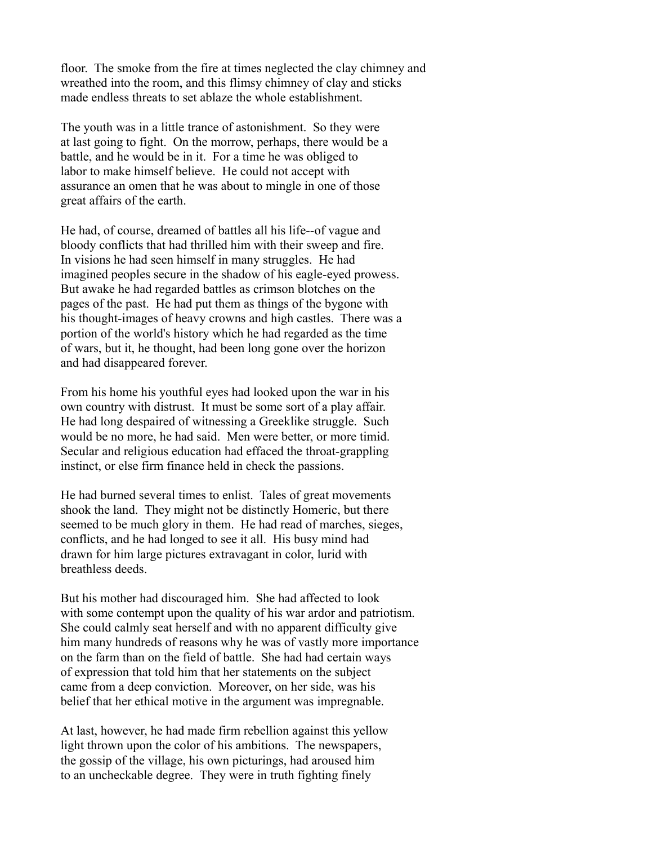floor. The smoke from the fire at times neglected the clay chimney and wreathed into the room, and this flimsy chimney of clay and sticks made endless threats to set ablaze the whole establishment.

The youth was in a little trance of astonishment. So they were at last going to fight. On the morrow, perhaps, there would be a battle, and he would be in it. For a time he was obliged to labor to make himself believe. He could not accept with assurance an omen that he was about to mingle in one of those great affairs of the earth.

He had, of course, dreamed of battles all his life--of vague and bloody conflicts that had thrilled him with their sweep and fire. In visions he had seen himself in many struggles. He had imagined peoples secure in the shadow of his eagle-eyed prowess. But awake he had regarded battles as crimson blotches on the pages of the past. He had put them as things of the bygone with his thought-images of heavy crowns and high castles. There was a portion of the world's history which he had regarded as the time of wars, but it, he thought, had been long gone over the horizon and had disappeared forever.

From his home his youthful eyes had looked upon the war in his own country with distrust. It must be some sort of a play affair. He had long despaired of witnessing a Greeklike struggle. Such would be no more, he had said. Men were better, or more timid. Secular and religious education had effaced the throat-grappling instinct, or else firm finance held in check the passions.

He had burned several times to enlist. Tales of great movements shook the land. They might not be distinctly Homeric, but there seemed to be much glory in them. He had read of marches, sieges, conflicts, and he had longed to see it all. His busy mind had drawn for him large pictures extravagant in color, lurid with breathless deeds.

But his mother had discouraged him. She had affected to look with some contempt upon the quality of his war ardor and patriotism. She could calmly seat herself and with no apparent difficulty give him many hundreds of reasons why he was of vastly more importance on the farm than on the field of battle. She had had certain ways of expression that told him that her statements on the subject came from a deep conviction. Moreover, on her side, was his belief that her ethical motive in the argument was impregnable.

At last, however, he had made firm rebellion against this yellow light thrown upon the color of his ambitions. The newspapers, the gossip of the village, his own picturings, had aroused him to an uncheckable degree. They were in truth fighting finely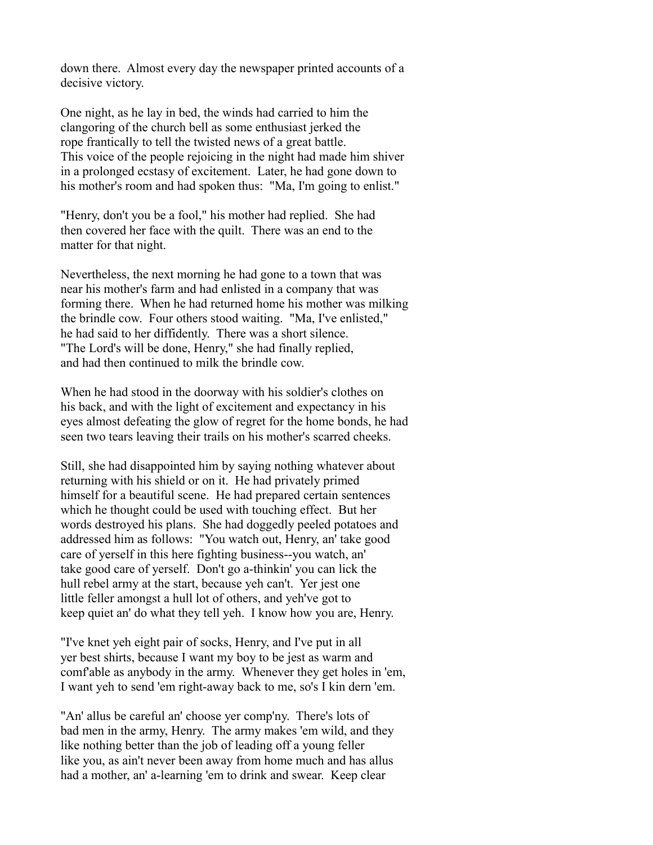down there. Almost every day the newspaper printed accounts of a decisive victory.

One night, as he lay in bed, the winds had carried to him the clangoring of the church bell as some enthusiast jerked the rope frantically to tell the twisted news of a great battle. This voice of the people rejoicing in the night had made him shiver in a prolonged ecstasy of excitement. Later, he had gone down to his mother's room and had spoken thus: "Ma, I'm going to enlist."

"Henry, don't you be a fool," his mother had replied. She had then covered her face with the quilt. There was an end to the matter for that night.

Nevertheless, the next morning he had gone to a town that was near his mother's farm and had enlisted in a company that was forming there. When he had returned home his mother was milking the brindle cow. Four others stood waiting. "Ma, I've enlisted," he had said to her diffidently. There was a short silence. "The Lord's will be done, Henry," she had finally replied, and had then continued to milk the brindle cow.

When he had stood in the doorway with his soldier's clothes on his back, and with the light of excitement and expectancy in his eyes almost defeating the glow of regret for the home bonds, he had seen two tears leaving their trails on his mother's scarred cheeks.

Still, she had disappointed him by saying nothing whatever about returning with his shield or on it. He had privately primed himself for a beautiful scene. He had prepared certain sentences which he thought could be used with touching effect. But her words destroyed his plans. She had doggedly peeled potatoes and addressed him as follows: "You watch out, Henry, an' take good care of yerself in this here fighting business--you watch, an' take good care of yerself. Don't go a-thinkin' you can lick the hull rebel army at the start, because yeh can't. Yer jest one little feller amongst a hull lot of others, and yeh've got to keep quiet an' do what they tell yeh. I know how you are, Henry.

"I've knet yeh eight pair of socks, Henry, and I've put in all yer best shirts, because I want my boy to be jest as warm and comf'able as anybody in the army. Whenever they get holes in 'em, I want yeh to send 'em right-away back to me, so's I kin dern 'em.

"An' allus be careful an' choose yer comp'ny. There's lots of bad men in the army, Henry. The army makes 'em wild, and they like nothing better than the job of leading off a young feller like you, as ain't never been away from home much and has allus had a mother, an' a-learning 'em to drink and swear. Keep clear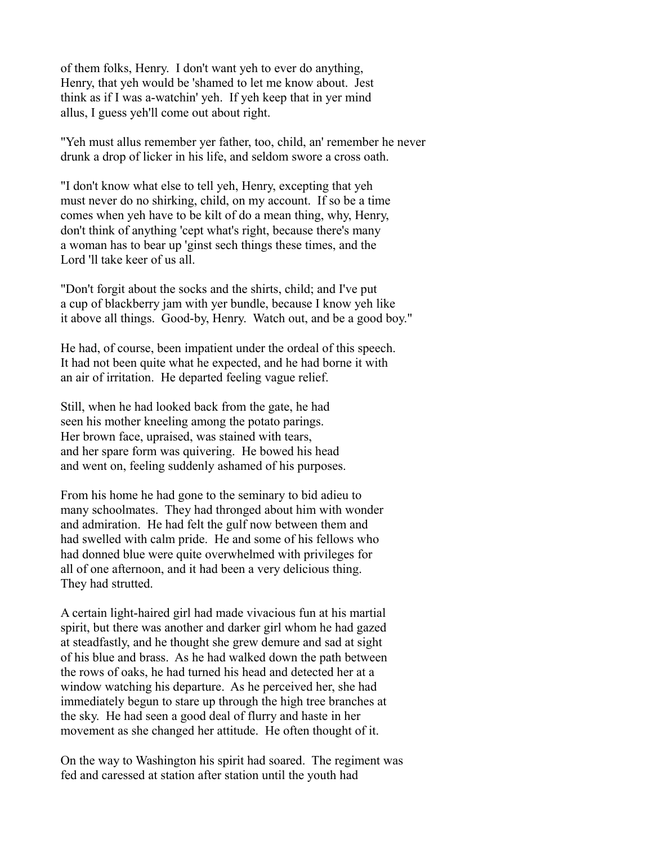of them folks, Henry. I don't want yeh to ever do anything, Henry, that yeh would be 'shamed to let me know about. Jest think as if I was a-watchin' yeh. If yeh keep that in yer mind allus, I guess yeh'll come out about right.

"Yeh must allus remember yer father, too, child, an' remember he never drunk a drop of licker in his life, and seldom swore a cross oath.

"I don't know what else to tell yeh, Henry, excepting that yeh must never do no shirking, child, on my account. If so be a time comes when yeh have to be kilt of do a mean thing, why, Henry, don't think of anything 'cept what's right, because there's many a woman has to bear up 'ginst sech things these times, and the Lord 'll take keer of us all.

"Don't forgit about the socks and the shirts, child; and I've put a cup of blackberry jam with yer bundle, because I know yeh like it above all things. Good-by, Henry. Watch out, and be a good boy."

He had, of course, been impatient under the ordeal of this speech. It had not been quite what he expected, and he had borne it with an air of irritation. He departed feeling vague relief.

Still, when he had looked back from the gate, he had seen his mother kneeling among the potato parings. Her brown face, upraised, was stained with tears, and her spare form was quivering. He bowed his head and went on, feeling suddenly ashamed of his purposes.

From his home he had gone to the seminary to bid adieu to many schoolmates. They had thronged about him with wonder and admiration. He had felt the gulf now between them and had swelled with calm pride. He and some of his fellows who had donned blue were quite overwhelmed with privileges for all of one afternoon, and it had been a very delicious thing. They had strutted.

A certain light-haired girl had made vivacious fun at his martial spirit, but there was another and darker girl whom he had gazed at steadfastly, and he thought she grew demure and sad at sight of his blue and brass. As he had walked down the path between the rows of oaks, he had turned his head and detected her at a window watching his departure. As he perceived her, she had immediately begun to stare up through the high tree branches at the sky. He had seen a good deal of flurry and haste in her movement as she changed her attitude. He often thought of it.

On the way to Washington his spirit had soared. The regiment was fed and caressed at station after station until the youth had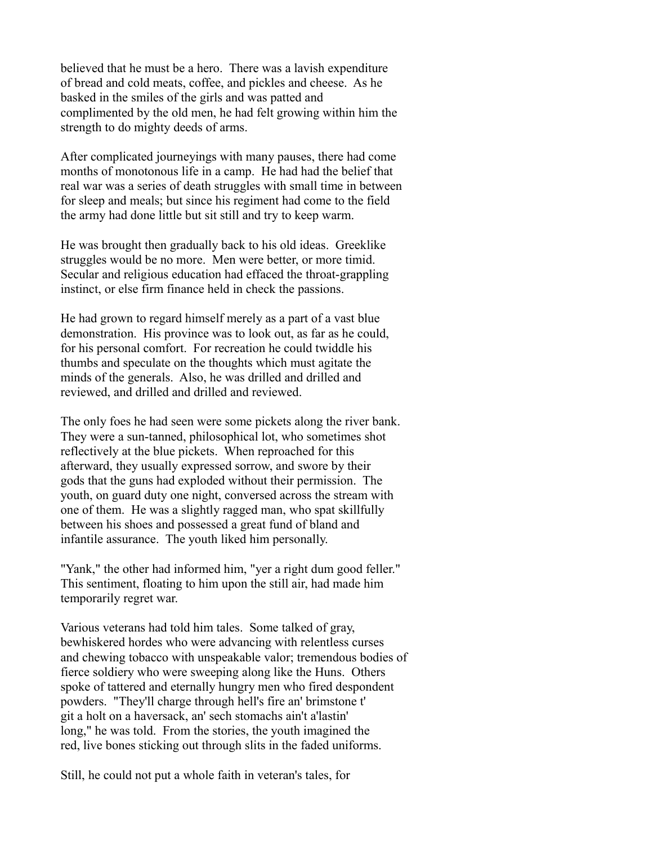believed that he must be a hero. There was a lavish expenditure of bread and cold meats, coffee, and pickles and cheese. As he basked in the smiles of the girls and was patted and complimented by the old men, he had felt growing within him the strength to do mighty deeds of arms.

After complicated journeyings with many pauses, there had come months of monotonous life in a camp. He had had the belief that real war was a series of death struggles with small time in between for sleep and meals; but since his regiment had come to the field the army had done little but sit still and try to keep warm.

He was brought then gradually back to his old ideas. Greeklike struggles would be no more. Men were better, or more timid. Secular and religious education had effaced the throat-grappling instinct, or else firm finance held in check the passions.

He had grown to regard himself merely as a part of a vast blue demonstration. His province was to look out, as far as he could, for his personal comfort. For recreation he could twiddle his thumbs and speculate on the thoughts which must agitate the minds of the generals. Also, he was drilled and drilled and reviewed, and drilled and drilled and reviewed.

The only foes he had seen were some pickets along the river bank. They were a sun-tanned, philosophical lot, who sometimes shot reflectively at the blue pickets. When reproached for this afterward, they usually expressed sorrow, and swore by their gods that the guns had exploded without their permission. The youth, on guard duty one night, conversed across the stream with one of them. He was a slightly ragged man, who spat skillfully between his shoes and possessed a great fund of bland and infantile assurance. The youth liked him personally.

"Yank," the other had informed him, "yer a right dum good feller." This sentiment, floating to him upon the still air, had made him temporarily regret war.

Various veterans had told him tales. Some talked of gray, bewhiskered hordes who were advancing with relentless curses and chewing tobacco with unspeakable valor; tremendous bodies of fierce soldiery who were sweeping along like the Huns. Others spoke of tattered and eternally hungry men who fired despondent powders. "They'll charge through hell's fire an' brimstone t' git a holt on a haversack, an' sech stomachs ain't a'lastin' long," he was told. From the stories, the youth imagined the red, live bones sticking out through slits in the faded uniforms.

Still, he could not put a whole faith in veteran's tales, for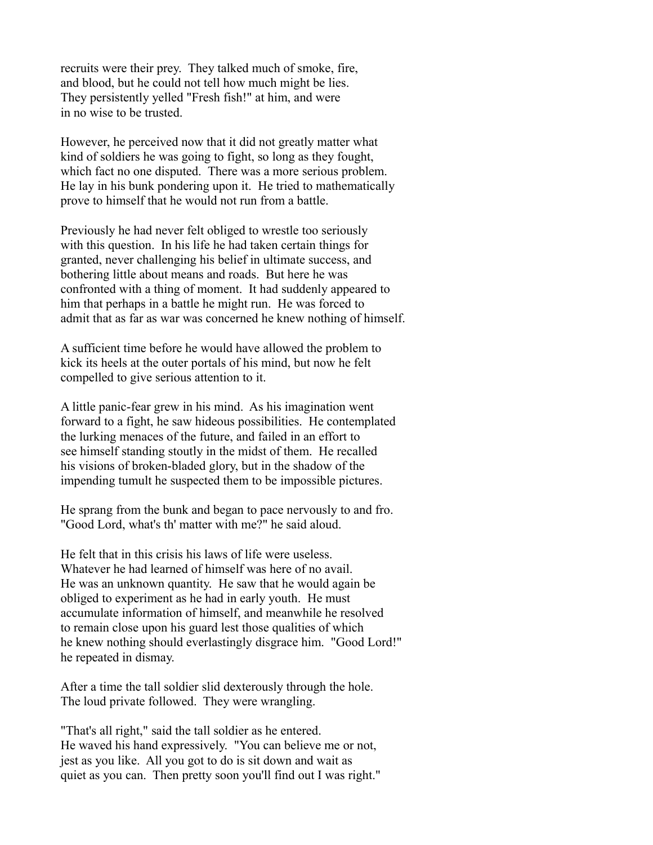recruits were their prey. They talked much of smoke, fire, and blood, but he could not tell how much might be lies. They persistently yelled "Fresh fish!" at him, and were in no wise to be trusted.

However, he perceived now that it did not greatly matter what kind of soldiers he was going to fight, so long as they fought, which fact no one disputed. There was a more serious problem. He lay in his bunk pondering upon it. He tried to mathematically prove to himself that he would not run from a battle.

Previously he had never felt obliged to wrestle too seriously with this question. In his life he had taken certain things for granted, never challenging his belief in ultimate success, and bothering little about means and roads. But here he was confronted with a thing of moment. It had suddenly appeared to him that perhaps in a battle he might run. He was forced to admit that as far as war was concerned he knew nothing of himself.

A sufficient time before he would have allowed the problem to kick its heels at the outer portals of his mind, but now he felt compelled to give serious attention to it.

A little panic-fear grew in his mind. As his imagination went forward to a fight, he saw hideous possibilities. He contemplated the lurking menaces of the future, and failed in an effort to see himself standing stoutly in the midst of them. He recalled his visions of broken-bladed glory, but in the shadow of the impending tumult he suspected them to be impossible pictures.

He sprang from the bunk and began to pace nervously to and fro. "Good Lord, what's th' matter with me?" he said aloud.

He felt that in this crisis his laws of life were useless. Whatever he had learned of himself was here of no avail. He was an unknown quantity. He saw that he would again be obliged to experiment as he had in early youth. He must accumulate information of himself, and meanwhile he resolved to remain close upon his guard lest those qualities of which he knew nothing should everlastingly disgrace him. "Good Lord!" he repeated in dismay.

After a time the tall soldier slid dexterously through the hole. The loud private followed. They were wrangling.

"That's all right," said the tall soldier as he entered. He waved his hand expressively. "You can believe me or not, jest as you like. All you got to do is sit down and wait as quiet as you can. Then pretty soon you'll find out I was right."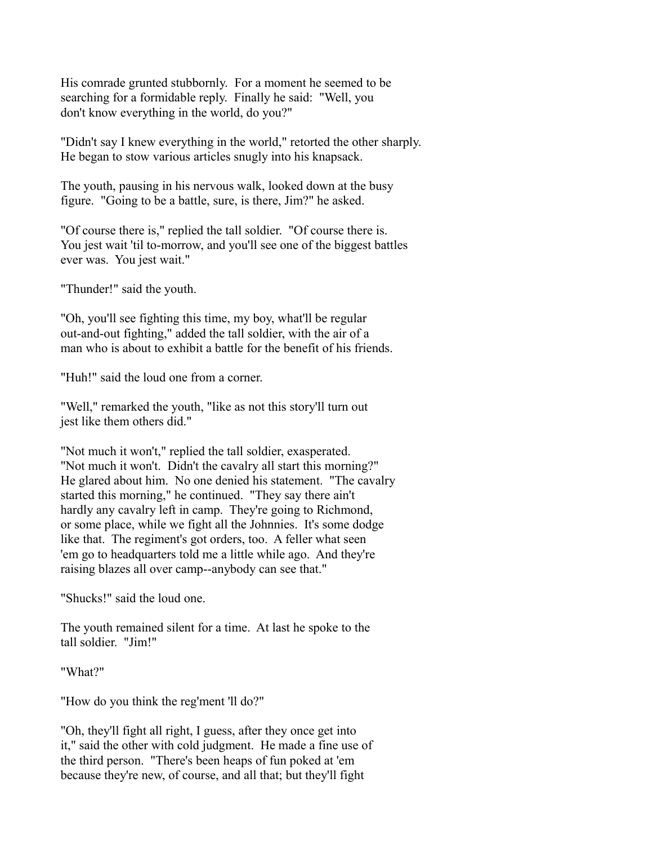His comrade grunted stubbornly. For a moment he seemed to be searching for a formidable reply. Finally he said: "Well, you don't know everything in the world, do you?"

"Didn't say I knew everything in the world," retorted the other sharply. He began to stow various articles snugly into his knapsack.

The youth, pausing in his nervous walk, looked down at the busy figure. "Going to be a battle, sure, is there, Jim?" he asked.

"Of course there is," replied the tall soldier. "Of course there is. You jest wait 'til to-morrow, and you'll see one of the biggest battles ever was. You jest wait."

"Thunder!" said the youth.

"Oh, you'll see fighting this time, my boy, what'll be regular out-and-out fighting," added the tall soldier, with the air of a man who is about to exhibit a battle for the benefit of his friends.

"Huh!" said the loud one from a corner.

"Well," remarked the youth, "like as not this story'll turn out jest like them others did."

"Not much it won't," replied the tall soldier, exasperated. "Not much it won't. Didn't the cavalry all start this morning?" He glared about him. No one denied his statement. "The cavalry started this morning," he continued. "They say there ain't hardly any cavalry left in camp. They're going to Richmond, or some place, while we fight all the Johnnies. It's some dodge like that. The regiment's got orders, too. A feller what seen 'em go to headquarters told me a little while ago. And they're raising blazes all over camp--anybody can see that."

"Shucks!" said the loud one.

The youth remained silent for a time. At last he spoke to the tall soldier. "Jim!"

"What?"

"How do you think the reg'ment 'll do?"

"Oh, they'll fight all right, I guess, after they once get into it," said the other with cold judgment. He made a fine use of the third person. "There's been heaps of fun poked at 'em because they're new, of course, and all that; but they'll fight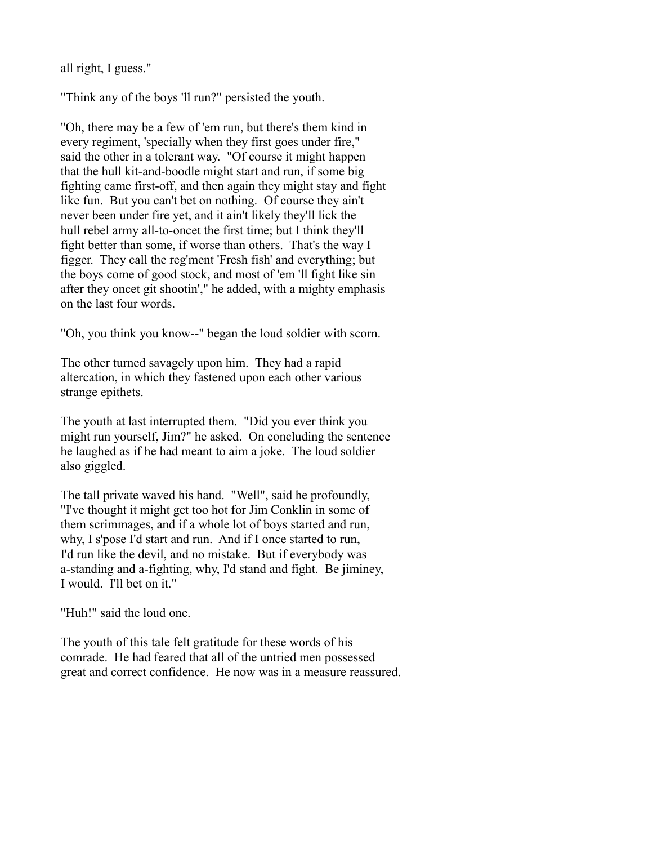all right, I guess."

"Think any of the boys 'll run?" persisted the youth.

"Oh, there may be a few of 'em run, but there's them kind in every regiment, 'specially when they first goes under fire," said the other in a tolerant way. "Of course it might happen that the hull kit-and-boodle might start and run, if some big fighting came first-off, and then again they might stay and fight like fun. But you can't bet on nothing. Of course they ain't never been under fire yet, and it ain't likely they'll lick the hull rebel army all-to-oncet the first time; but I think they'll fight better than some, if worse than others. That's the way I figger. They call the reg'ment 'Fresh fish' and everything; but the boys come of good stock, and most of 'em 'll fight like sin after they oncet git shootin'," he added, with a mighty emphasis on the last four words.

"Oh, you think you know--" began the loud soldier with scorn.

The other turned savagely upon him. They had a rapid altercation, in which they fastened upon each other various strange epithets.

The youth at last interrupted them. "Did you ever think you might run yourself, Jim?" he asked. On concluding the sentence he laughed as if he had meant to aim a joke. The loud soldier also giggled.

The tall private waved his hand. "Well", said he profoundly, "I've thought it might get too hot for Jim Conklin in some of them scrimmages, and if a whole lot of boys started and run, why, I s'pose I'd start and run. And if I once started to run, I'd run like the devil, and no mistake. But if everybody was a-standing and a-fighting, why, I'd stand and fight. Be jiminey, I would. I'll bet on it."

"Huh!" said the loud one.

The youth of this tale felt gratitude for these words of his comrade. He had feared that all of the untried men possessed great and correct confidence. He now was in a measure reassured.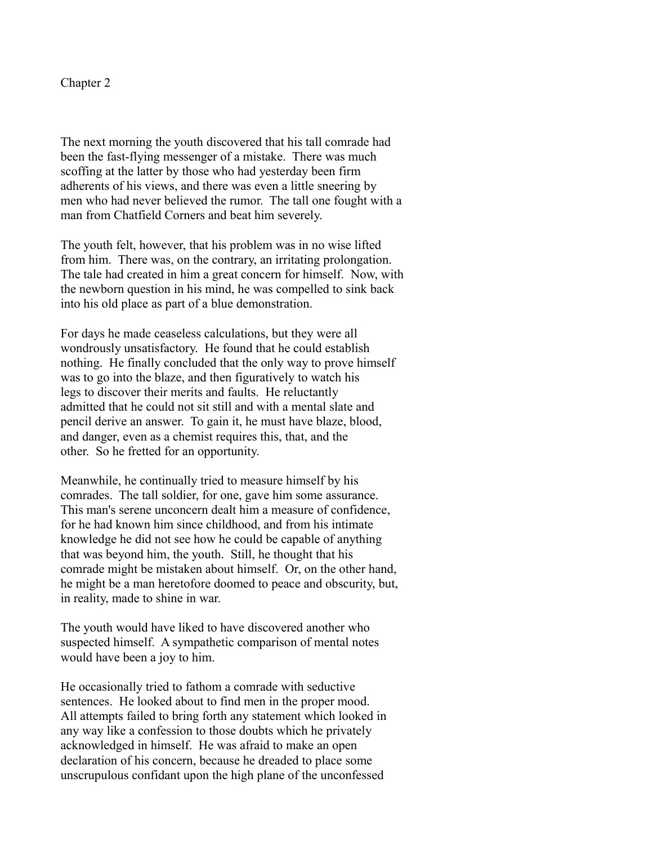Chapter 2

The next morning the youth discovered that his tall comrade had been the fast-flying messenger of a mistake. There was much scoffing at the latter by those who had yesterday been firm adherents of his views, and there was even a little sneering by men who had never believed the rumor. The tall one fought with a man from Chatfield Corners and beat him severely.

The youth felt, however, that his problem was in no wise lifted from him. There was, on the contrary, an irritating prolongation. The tale had created in him a great concern for himself. Now, with the newborn question in his mind, he was compelled to sink back into his old place as part of a blue demonstration.

For days he made ceaseless calculations, but they were all wondrously unsatisfactory. He found that he could establish nothing. He finally concluded that the only way to prove himself was to go into the blaze, and then figuratively to watch his legs to discover their merits and faults. He reluctantly admitted that he could not sit still and with a mental slate and pencil derive an answer. To gain it, he must have blaze, blood, and danger, even as a chemist requires this, that, and the other. So he fretted for an opportunity.

Meanwhile, he continually tried to measure himself by his comrades. The tall soldier, for one, gave him some assurance. This man's serene unconcern dealt him a measure of confidence, for he had known him since childhood, and from his intimate knowledge he did not see how he could be capable of anything that was beyond him, the youth. Still, he thought that his comrade might be mistaken about himself. Or, on the other hand, he might be a man heretofore doomed to peace and obscurity, but, in reality, made to shine in war.

The youth would have liked to have discovered another who suspected himself. A sympathetic comparison of mental notes would have been a joy to him.

He occasionally tried to fathom a comrade with seductive sentences. He looked about to find men in the proper mood. All attempts failed to bring forth any statement which looked in any way like a confession to those doubts which he privately acknowledged in himself. He was afraid to make an open declaration of his concern, because he dreaded to place some unscrupulous confidant upon the high plane of the unconfessed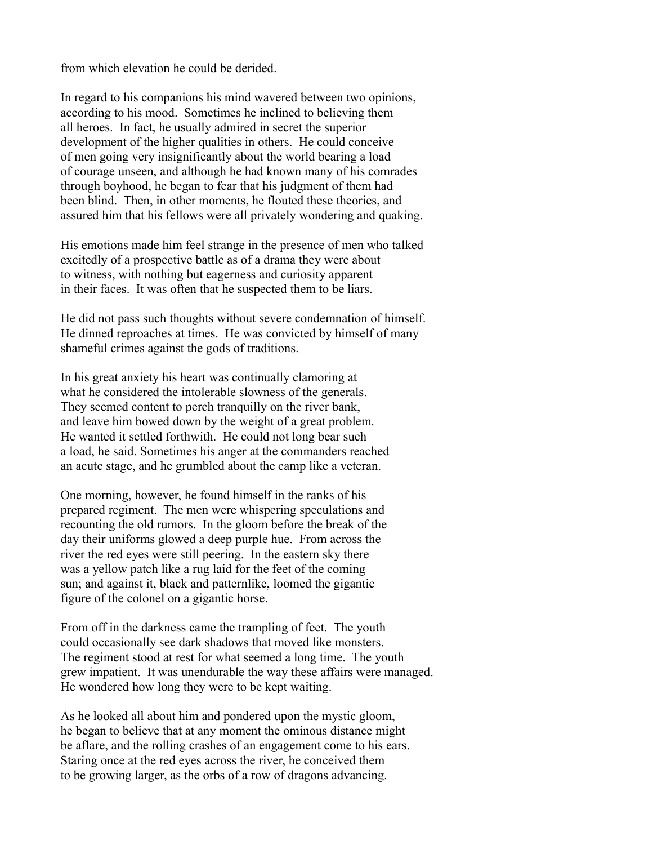from which elevation he could be derided.

In regard to his companions his mind wavered between two opinions, according to his mood. Sometimes he inclined to believing them all heroes. In fact, he usually admired in secret the superior development of the higher qualities in others. He could conceive of men going very insignificantly about the world bearing a load of courage unseen, and although he had known many of his comrades through boyhood, he began to fear that his judgment of them had been blind. Then, in other moments, he flouted these theories, and assured him that his fellows were all privately wondering and quaking.

His emotions made him feel strange in the presence of men who talked excitedly of a prospective battle as of a drama they were about to witness, with nothing but eagerness and curiosity apparent in their faces. It was often that he suspected them to be liars.

He did not pass such thoughts without severe condemnation of himself. He dinned reproaches at times. He was convicted by himself of many shameful crimes against the gods of traditions.

In his great anxiety his heart was continually clamoring at what he considered the intolerable slowness of the generals. They seemed content to perch tranquilly on the river bank, and leave him bowed down by the weight of a great problem. He wanted it settled forthwith. He could not long bear such a load, he said. Sometimes his anger at the commanders reached an acute stage, and he grumbled about the camp like a veteran.

One morning, however, he found himself in the ranks of his prepared regiment. The men were whispering speculations and recounting the old rumors. In the gloom before the break of the day their uniforms glowed a deep purple hue. From across the river the red eyes were still peering. In the eastern sky there was a yellow patch like a rug laid for the feet of the coming sun; and against it, black and patternlike, loomed the gigantic figure of the colonel on a gigantic horse.

From off in the darkness came the trampling of feet. The youth could occasionally see dark shadows that moved like monsters. The regiment stood at rest for what seemed a long time. The youth grew impatient. It was unendurable the way these affairs were managed. He wondered how long they were to be kept waiting.

As he looked all about him and pondered upon the mystic gloom, he began to believe that at any moment the ominous distance might be aflare, and the rolling crashes of an engagement come to his ears. Staring once at the red eyes across the river, he conceived them to be growing larger, as the orbs of a row of dragons advancing.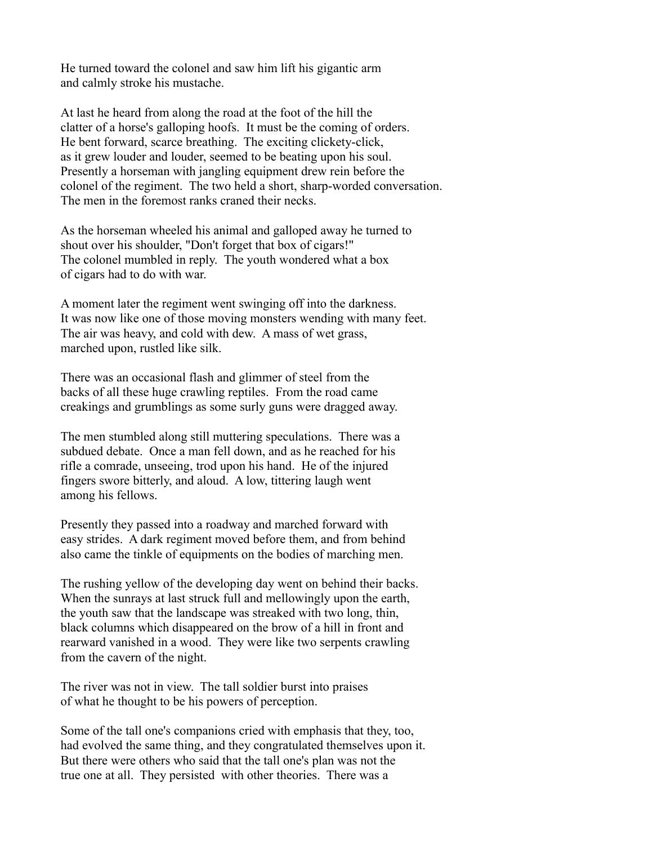He turned toward the colonel and saw him lift his gigantic arm and calmly stroke his mustache.

At last he heard from along the road at the foot of the hill the clatter of a horse's galloping hoofs. It must be the coming of orders. He bent forward, scarce breathing. The exciting clickety-click, as it grew louder and louder, seemed to be beating upon his soul. Presently a horseman with jangling equipment drew rein before the colonel of the regiment. The two held a short, sharp-worded conversation. The men in the foremost ranks craned their necks.

As the horseman wheeled his animal and galloped away he turned to shout over his shoulder, "Don't forget that box of cigars!" The colonel mumbled in reply. The youth wondered what a box of cigars had to do with war.

A moment later the regiment went swinging off into the darkness. It was now like one of those moving monsters wending with many feet. The air was heavy, and cold with dew. A mass of wet grass, marched upon, rustled like silk.

There was an occasional flash and glimmer of steel from the backs of all these huge crawling reptiles. From the road came creakings and grumblings as some surly guns were dragged away.

The men stumbled along still muttering speculations. There was a subdued debate. Once a man fell down, and as he reached for his rifle a comrade, unseeing, trod upon his hand. He of the injured fingers swore bitterly, and aloud. A low, tittering laugh went among his fellows.

Presently they passed into a roadway and marched forward with easy strides. A dark regiment moved before them, and from behind also came the tinkle of equipments on the bodies of marching men.

The rushing yellow of the developing day went on behind their backs. When the sunrays at last struck full and mellowingly upon the earth, the youth saw that the landscape was streaked with two long, thin, black columns which disappeared on the brow of a hill in front and rearward vanished in a wood. They were like two serpents crawling from the cavern of the night.

The river was not in view. The tall soldier burst into praises of what he thought to be his powers of perception.

Some of the tall one's companions cried with emphasis that they, too, had evolved the same thing, and they congratulated themselves upon it. But there were others who said that the tall one's plan was not the true one at all. They persisted with other theories. There was a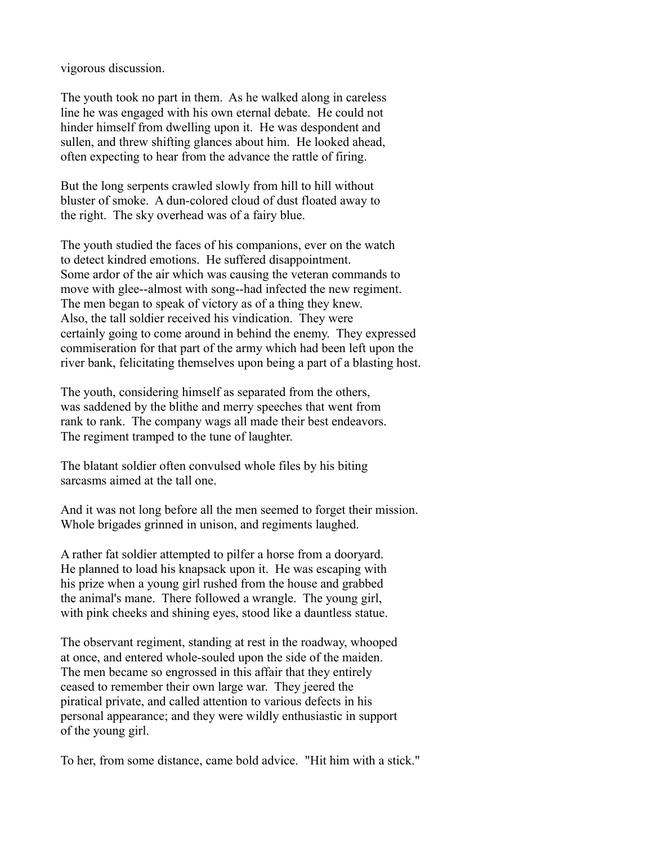vigorous discussion.

The youth took no part in them. As he walked along in careless line he was engaged with his own eternal debate. He could not hinder himself from dwelling upon it. He was despondent and sullen, and threw shifting glances about him. He looked ahead, often expecting to hear from the advance the rattle of firing.

But the long serpents crawled slowly from hill to hill without bluster of smoke. A dun-colored cloud of dust floated away to the right. The sky overhead was of a fairy blue.

The youth studied the faces of his companions, ever on the watch to detect kindred emotions. He suffered disappointment. Some ardor of the air which was causing the veteran commands to move with glee--almost with song--had infected the new regiment. The men began to speak of victory as of a thing they knew. Also, the tall soldier received his vindication. They were certainly going to come around in behind the enemy. They expressed commiseration for that part of the army which had been left upon the river bank, felicitating themselves upon being a part of a blasting host.

The youth, considering himself as separated from the others, was saddened by the blithe and merry speeches that went from rank to rank. The company wags all made their best endeavors. The regiment tramped to the tune of laughter.

The blatant soldier often convulsed whole files by his biting sarcasms aimed at the tall one.

And it was not long before all the men seemed to forget their mission. Whole brigades grinned in unison, and regiments laughed.

A rather fat soldier attempted to pilfer a horse from a dooryard. He planned to load his knapsack upon it. He was escaping with his prize when a young girl rushed from the house and grabbed the animal's mane. There followed a wrangle. The young girl, with pink cheeks and shining eyes, stood like a dauntless statue.

The observant regiment, standing at rest in the roadway, whooped at once, and entered whole-souled upon the side of the maiden. The men became so engrossed in this affair that they entirely ceased to remember their own large war. They jeered the piratical private, and called attention to various defects in his personal appearance; and they were wildly enthusiastic in support of the young girl.

To her, from some distance, came bold advice. "Hit him with a stick."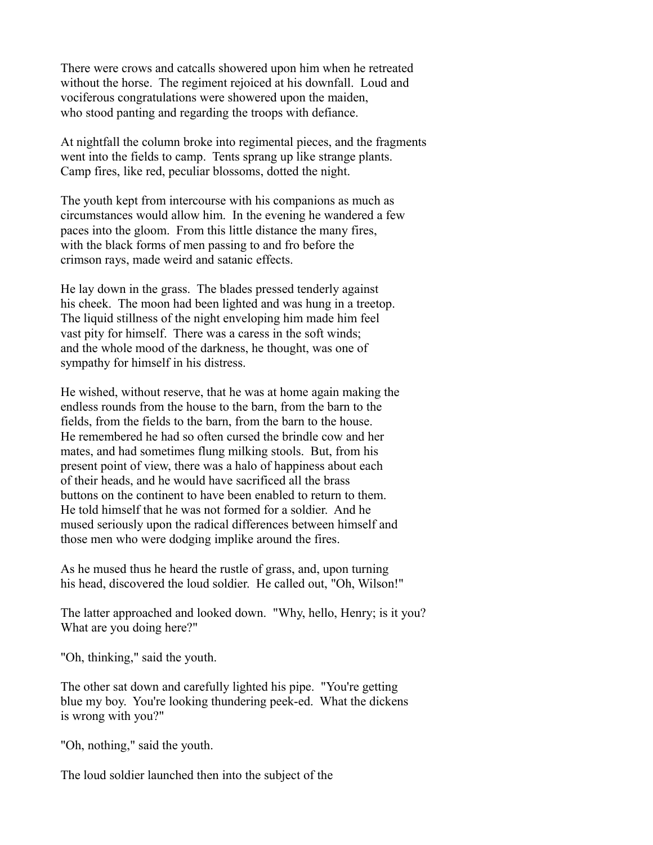There were crows and catcalls showered upon him when he retreated without the horse. The regiment rejoiced at his downfall. Loud and vociferous congratulations were showered upon the maiden, who stood panting and regarding the troops with defiance.

At nightfall the column broke into regimental pieces, and the fragments went into the fields to camp. Tents sprang up like strange plants. Camp fires, like red, peculiar blossoms, dotted the night.

The youth kept from intercourse with his companions as much as circumstances would allow him. In the evening he wandered a few paces into the gloom. From this little distance the many fires, with the black forms of men passing to and fro before the crimson rays, made weird and satanic effects.

He lay down in the grass. The blades pressed tenderly against his cheek. The moon had been lighted and was hung in a treetop. The liquid stillness of the night enveloping him made him feel vast pity for himself. There was a caress in the soft winds; and the whole mood of the darkness, he thought, was one of sympathy for himself in his distress.

He wished, without reserve, that he was at home again making the endless rounds from the house to the barn, from the barn to the fields, from the fields to the barn, from the barn to the house. He remembered he had so often cursed the brindle cow and her mates, and had sometimes flung milking stools. But, from his present point of view, there was a halo of happiness about each of their heads, and he would have sacrificed all the brass buttons on the continent to have been enabled to return to them. He told himself that he was not formed for a soldier. And he mused seriously upon the radical differences between himself and those men who were dodging implike around the fires.

As he mused thus he heard the rustle of grass, and, upon turning his head, discovered the loud soldier. He called out, "Oh, Wilson!"

The latter approached and looked down. "Why, hello, Henry; is it you? What are you doing here?"

"Oh, thinking," said the youth.

The other sat down and carefully lighted his pipe. "You're getting blue my boy. You're looking thundering peek-ed. What the dickens is wrong with you?"

"Oh, nothing," said the youth.

The loud soldier launched then into the subject of the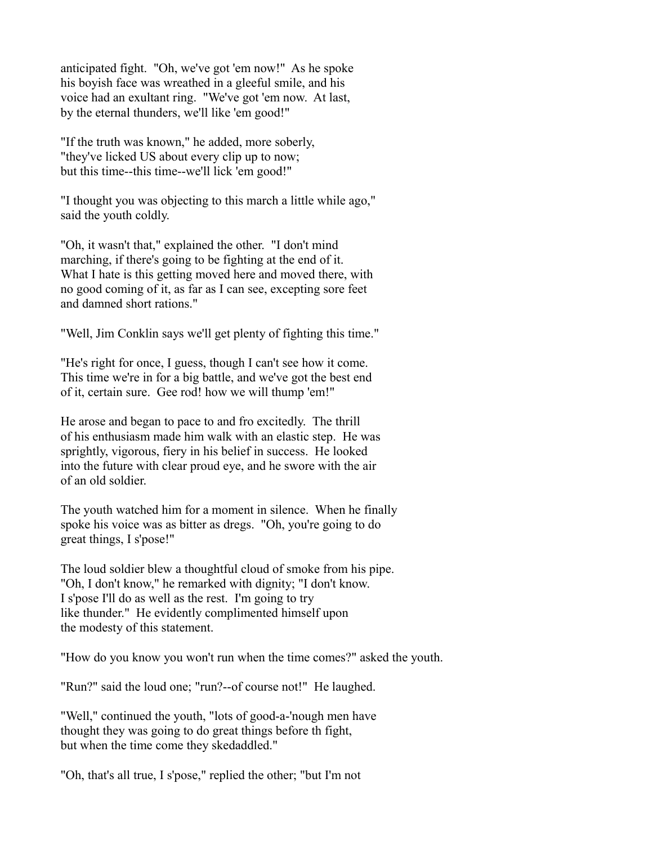anticipated fight. "Oh, we've got 'em now!" As he spoke his boyish face was wreathed in a gleeful smile, and his voice had an exultant ring. "We've got 'em now. At last, by the eternal thunders, we'll like 'em good!"

"If the truth was known," he added, more soberly, "they've licked US about every clip up to now; but this time--this time--we'll lick 'em good!"

"I thought you was objecting to this march a little while ago," said the youth coldly.

"Oh, it wasn't that," explained the other. "I don't mind marching, if there's going to be fighting at the end of it. What I hate is this getting moved here and moved there, with no good coming of it, as far as I can see, excepting sore feet and damned short rations."

"Well, Jim Conklin says we'll get plenty of fighting this time."

"He's right for once, I guess, though I can't see how it come. This time we're in for a big battle, and we've got the best end of it, certain sure. Gee rod! how we will thump 'em!"

He arose and began to pace to and fro excitedly. The thrill of his enthusiasm made him walk with an elastic step. He was sprightly, vigorous, fiery in his belief in success. He looked into the future with clear proud eye, and he swore with the air of an old soldier.

The youth watched him for a moment in silence. When he finally spoke his voice was as bitter as dregs. "Oh, you're going to do great things, I s'pose!"

The loud soldier blew a thoughtful cloud of smoke from his pipe. "Oh, I don't know," he remarked with dignity; "I don't know. I s'pose I'll do as well as the rest. I'm going to try like thunder." He evidently complimented himself upon the modesty of this statement.

"How do you know you won't run when the time comes?" asked the youth.

"Run?" said the loud one; "run?--of course not!" He laughed.

"Well," continued the youth, "lots of good-a-'nough men have thought they was going to do great things before th fight, but when the time come they skedaddled."

"Oh, that's all true, I s'pose," replied the other; "but I'm not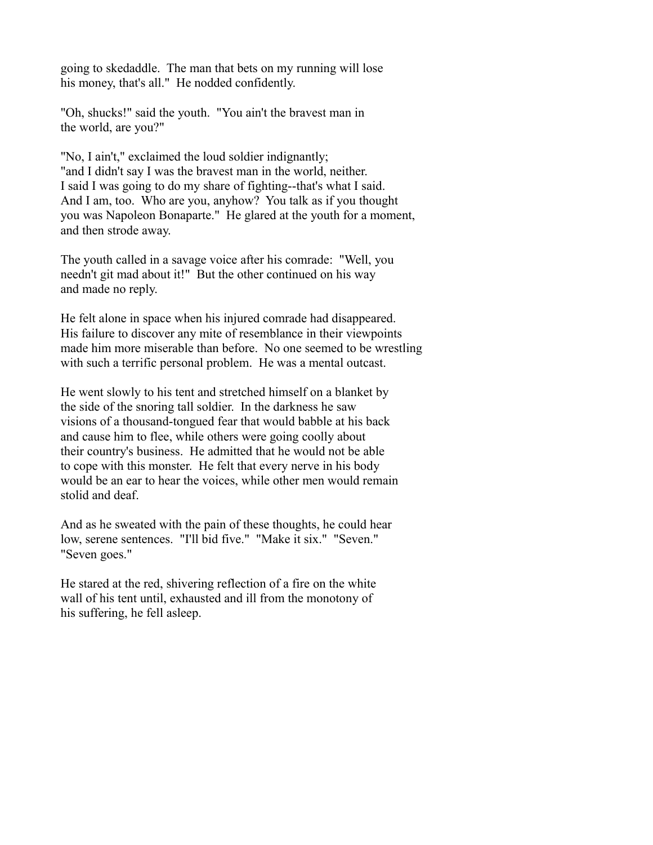going to skedaddle. The man that bets on my running will lose his money, that's all." He nodded confidently.

"Oh, shucks!" said the youth. "You ain't the bravest man in the world, are you?"

"No, I ain't," exclaimed the loud soldier indignantly; "and I didn't say I was the bravest man in the world, neither. I said I was going to do my share of fighting--that's what I said. And I am, too. Who are you, anyhow? You talk as if you thought you was Napoleon Bonaparte." He glared at the youth for a moment, and then strode away.

The youth called in a savage voice after his comrade: "Well, you needn't git mad about it!" But the other continued on his way and made no reply.

He felt alone in space when his injured comrade had disappeared. His failure to discover any mite of resemblance in their viewpoints made him more miserable than before. No one seemed to be wrestling with such a terrific personal problem. He was a mental outcast.

He went slowly to his tent and stretched himself on a blanket by the side of the snoring tall soldier. In the darkness he saw visions of a thousand-tongued fear that would babble at his back and cause him to flee, while others were going coolly about their country's business. He admitted that he would not be able to cope with this monster. He felt that every nerve in his body would be an ear to hear the voices, while other men would remain stolid and deaf.

And as he sweated with the pain of these thoughts, he could hear low, serene sentences. "I'll bid five." "Make it six." "Seven." "Seven goes."

He stared at the red, shivering reflection of a fire on the white wall of his tent until, exhausted and ill from the monotony of his suffering, he fell asleep.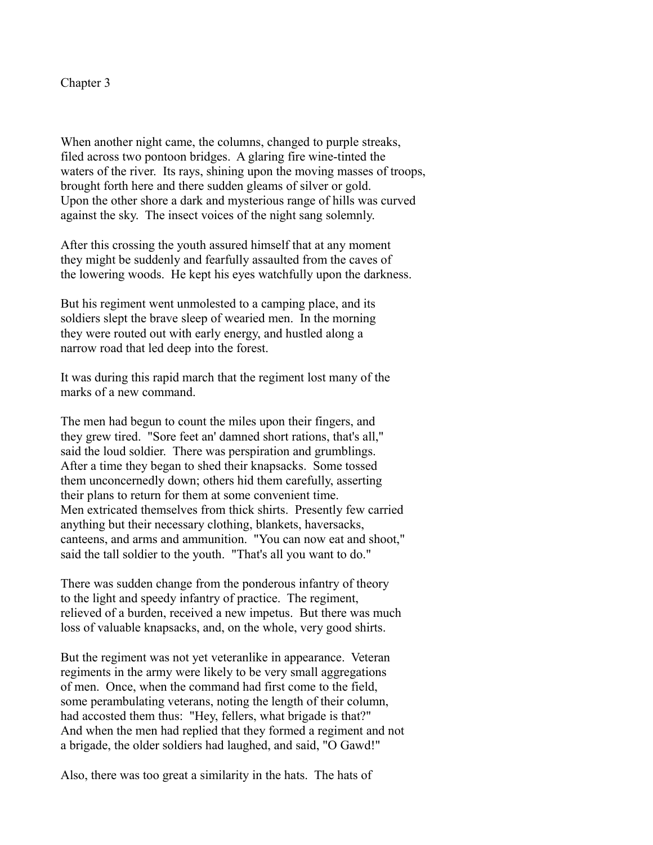## Chapter 3

When another night came, the columns, changed to purple streaks, filed across two pontoon bridges. A glaring fire wine-tinted the waters of the river. Its rays, shining upon the moving masses of troops, brought forth here and there sudden gleams of silver or gold. Upon the other shore a dark and mysterious range of hills was curved against the sky. The insect voices of the night sang solemnly.

After this crossing the youth assured himself that at any moment they might be suddenly and fearfully assaulted from the caves of the lowering woods. He kept his eyes watchfully upon the darkness.

But his regiment went unmolested to a camping place, and its soldiers slept the brave sleep of wearied men. In the morning they were routed out with early energy, and hustled along a narrow road that led deep into the forest.

It was during this rapid march that the regiment lost many of the marks of a new command.

The men had begun to count the miles upon their fingers, and they grew tired. "Sore feet an' damned short rations, that's all," said the loud soldier. There was perspiration and grumblings. After a time they began to shed their knapsacks. Some tossed them unconcernedly down; others hid them carefully, asserting their plans to return for them at some convenient time. Men extricated themselves from thick shirts. Presently few carried anything but their necessary clothing, blankets, haversacks, canteens, and arms and ammunition. "You can now eat and shoot," said the tall soldier to the youth. "That's all you want to do."

There was sudden change from the ponderous infantry of theory to the light and speedy infantry of practice. The regiment, relieved of a burden, received a new impetus. But there was much loss of valuable knapsacks, and, on the whole, very good shirts.

But the regiment was not yet veteranlike in appearance. Veteran regiments in the army were likely to be very small aggregations of men. Once, when the command had first come to the field, some perambulating veterans, noting the length of their column, had accosted them thus: "Hey, fellers, what brigade is that?" And when the men had replied that they formed a regiment and not a brigade, the older soldiers had laughed, and said, "O Gawd!"

Also, there was too great a similarity in the hats. The hats of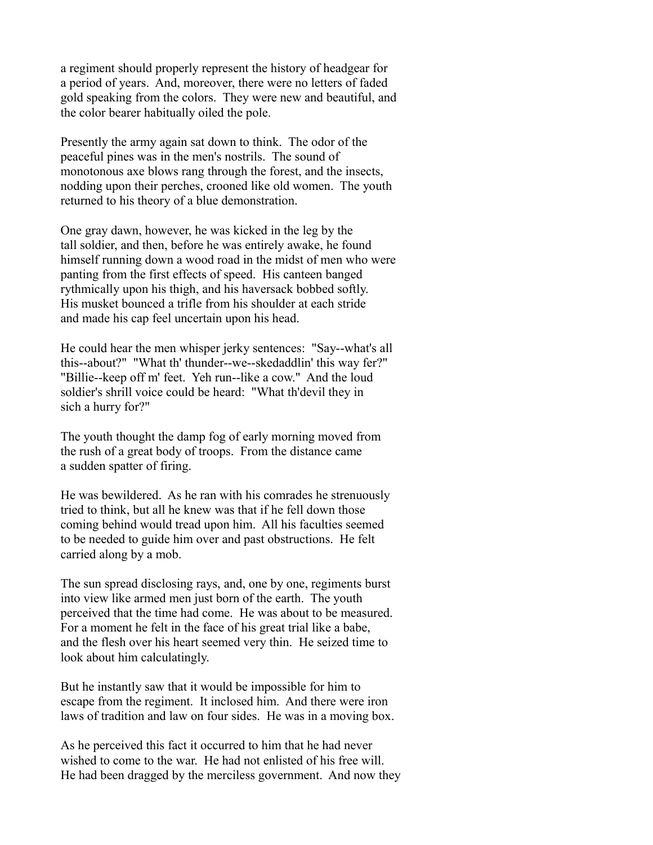a regiment should properly represent the history of headgear for a period of years. And, moreover, there were no letters of faded gold speaking from the colors. They were new and beautiful, and the color bearer habitually oiled the pole.

Presently the army again sat down to think. The odor of the peaceful pines was in the men's nostrils. The sound of monotonous axe blows rang through the forest, and the insects, nodding upon their perches, crooned like old women. The youth returned to his theory of a blue demonstration.

One gray dawn, however, he was kicked in the leg by the tall soldier, and then, before he was entirely awake, he found himself running down a wood road in the midst of men who were panting from the first effects of speed. His canteen banged rythmically upon his thigh, and his haversack bobbed softly. His musket bounced a trifle from his shoulder at each stride and made his cap feel uncertain upon his head.

He could hear the men whisper jerky sentences: "Say--what's all this--about?" "What th' thunder--we--skedaddlin' this way fer?" "Billie--keep off m' feet. Yeh run--like a cow." And the loud soldier's shrill voice could be heard: "What th'devil they in sich a hurry for?"

The youth thought the damp fog of early morning moved from the rush of a great body of troops. From the distance came a sudden spatter of firing.

He was bewildered. As he ran with his comrades he strenuously tried to think, but all he knew was that if he fell down those coming behind would tread upon him. All his faculties seemed to be needed to guide him over and past obstructions. He felt carried along by a mob.

The sun spread disclosing rays, and, one by one, regiments burst into view like armed men just born of the earth. The youth perceived that the time had come. He was about to be measured. For a moment he felt in the face of his great trial like a babe, and the flesh over his heart seemed very thin. He seized time to look about him calculatingly.

But he instantly saw that it would be impossible for him to escape from the regiment. It inclosed him. And there were iron laws of tradition and law on four sides. He was in a moving box.

As he perceived this fact it occurred to him that he had never wished to come to the war. He had not enlisted of his free will. He had been dragged by the merciless government. And now they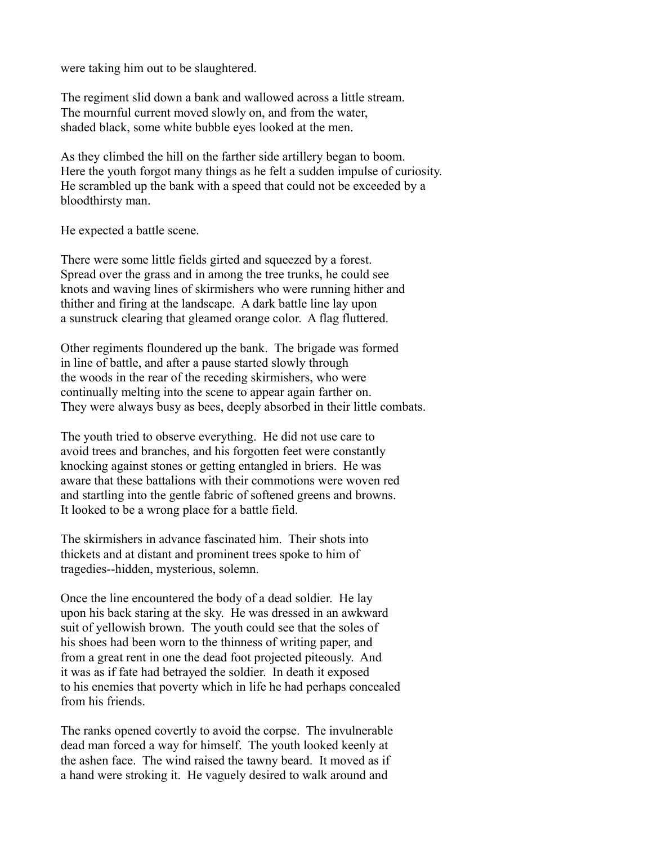were taking him out to be slaughtered.

The regiment slid down a bank and wallowed across a little stream. The mournful current moved slowly on, and from the water, shaded black, some white bubble eyes looked at the men.

As they climbed the hill on the farther side artillery began to boom. Here the youth forgot many things as he felt a sudden impulse of curiosity. He scrambled up the bank with a speed that could not be exceeded by a bloodthirsty man.

He expected a battle scene.

There were some little fields girted and squeezed by a forest. Spread over the grass and in among the tree trunks, he could see knots and waving lines of skirmishers who were running hither and thither and firing at the landscape. A dark battle line lay upon a sunstruck clearing that gleamed orange color. A flag fluttered.

Other regiments floundered up the bank. The brigade was formed in line of battle, and after a pause started slowly through the woods in the rear of the receding skirmishers, who were continually melting into the scene to appear again farther on. They were always busy as bees, deeply absorbed in their little combats.

The youth tried to observe everything. He did not use care to avoid trees and branches, and his forgotten feet were constantly knocking against stones or getting entangled in briers. He was aware that these battalions with their commotions were woven red and startling into the gentle fabric of softened greens and browns. It looked to be a wrong place for a battle field.

The skirmishers in advance fascinated him. Their shots into thickets and at distant and prominent trees spoke to him of tragedies--hidden, mysterious, solemn.

Once the line encountered the body of a dead soldier. He lay upon his back staring at the sky. He was dressed in an awkward suit of yellowish brown. The youth could see that the soles of his shoes had been worn to the thinness of writing paper, and from a great rent in one the dead foot projected piteously. And it was as if fate had betrayed the soldier. In death it exposed to his enemies that poverty which in life he had perhaps concealed from his friends.

The ranks opened covertly to avoid the corpse. The invulnerable dead man forced a way for himself. The youth looked keenly at the ashen face. The wind raised the tawny beard. It moved as if a hand were stroking it. He vaguely desired to walk around and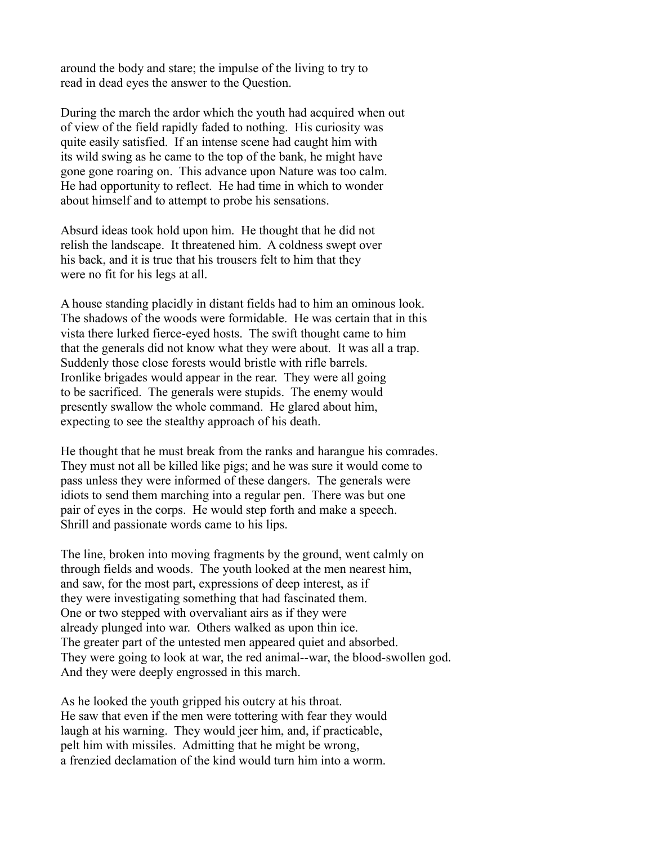around the body and stare; the impulse of the living to try to read in dead eyes the answer to the Question.

During the march the ardor which the youth had acquired when out of view of the field rapidly faded to nothing. His curiosity was quite easily satisfied. If an intense scene had caught him with its wild swing as he came to the top of the bank, he might have gone gone roaring on. This advance upon Nature was too calm. He had opportunity to reflect. He had time in which to wonder about himself and to attempt to probe his sensations.

Absurd ideas took hold upon him. He thought that he did not relish the landscape. It threatened him. A coldness swept over his back, and it is true that his trousers felt to him that they were no fit for his legs at all.

A house standing placidly in distant fields had to him an ominous look. The shadows of the woods were formidable. He was certain that in this vista there lurked fierce-eyed hosts. The swift thought came to him that the generals did not know what they were about. It was all a trap. Suddenly those close forests would bristle with rifle barrels. Ironlike brigades would appear in the rear. They were all going to be sacrificed. The generals were stupids. The enemy would presently swallow the whole command. He glared about him, expecting to see the stealthy approach of his death.

He thought that he must break from the ranks and harangue his comrades. They must not all be killed like pigs; and he was sure it would come to pass unless they were informed of these dangers. The generals were idiots to send them marching into a regular pen. There was but one pair of eyes in the corps. He would step forth and make a speech. Shrill and passionate words came to his lips.

The line, broken into moving fragments by the ground, went calmly on through fields and woods. The youth looked at the men nearest him, and saw, for the most part, expressions of deep interest, as if they were investigating something that had fascinated them. One or two stepped with overvaliant airs as if they were already plunged into war. Others walked as upon thin ice. The greater part of the untested men appeared quiet and absorbed. They were going to look at war, the red animal--war, the blood-swollen god. And they were deeply engrossed in this march.

As he looked the youth gripped his outcry at his throat. He saw that even if the men were tottering with fear they would laugh at his warning. They would jeer him, and, if practicable, pelt him with missiles. Admitting that he might be wrong, a frenzied declamation of the kind would turn him into a worm.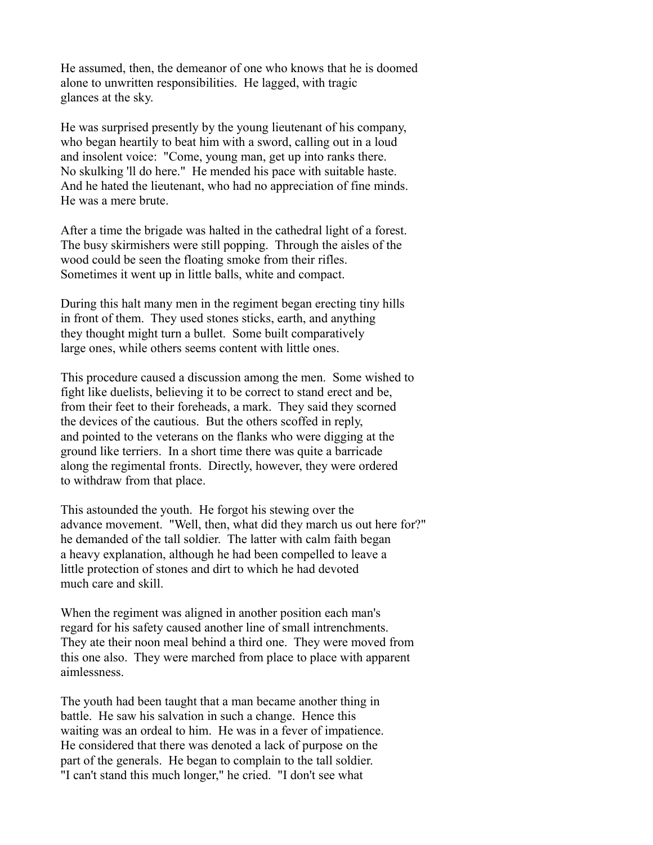He assumed, then, the demeanor of one who knows that he is doomed alone to unwritten responsibilities. He lagged, with tragic glances at the sky.

He was surprised presently by the young lieutenant of his company, who began heartily to beat him with a sword, calling out in a loud and insolent voice: "Come, young man, get up into ranks there. No skulking 'll do here." He mended his pace with suitable haste. And he hated the lieutenant, who had no appreciation of fine minds. He was a mere brute.

After a time the brigade was halted in the cathedral light of a forest. The busy skirmishers were still popping. Through the aisles of the wood could be seen the floating smoke from their rifles. Sometimes it went up in little balls, white and compact.

During this halt many men in the regiment began erecting tiny hills in front of them. They used stones sticks, earth, and anything they thought might turn a bullet. Some built comparatively large ones, while others seems content with little ones.

This procedure caused a discussion among the men. Some wished to fight like duelists, believing it to be correct to stand erect and be, from their feet to their foreheads, a mark. They said they scorned the devices of the cautious. But the others scoffed in reply, and pointed to the veterans on the flanks who were digging at the ground like terriers. In a short time there was quite a barricade along the regimental fronts. Directly, however, they were ordered to withdraw from that place.

This astounded the youth. He forgot his stewing over the advance movement. "Well, then, what did they march us out here for?" he demanded of the tall soldier. The latter with calm faith began a heavy explanation, although he had been compelled to leave a little protection of stones and dirt to which he had devoted much care and skill.

When the regiment was aligned in another position each man's regard for his safety caused another line of small intrenchments. They ate their noon meal behind a third one. They were moved from this one also. They were marched from place to place with apparent aimlessness.

The youth had been taught that a man became another thing in battle. He saw his salvation in such a change. Hence this waiting was an ordeal to him. He was in a fever of impatience. He considered that there was denoted a lack of purpose on the part of the generals. He began to complain to the tall soldier. "I can't stand this much longer," he cried. "I don't see what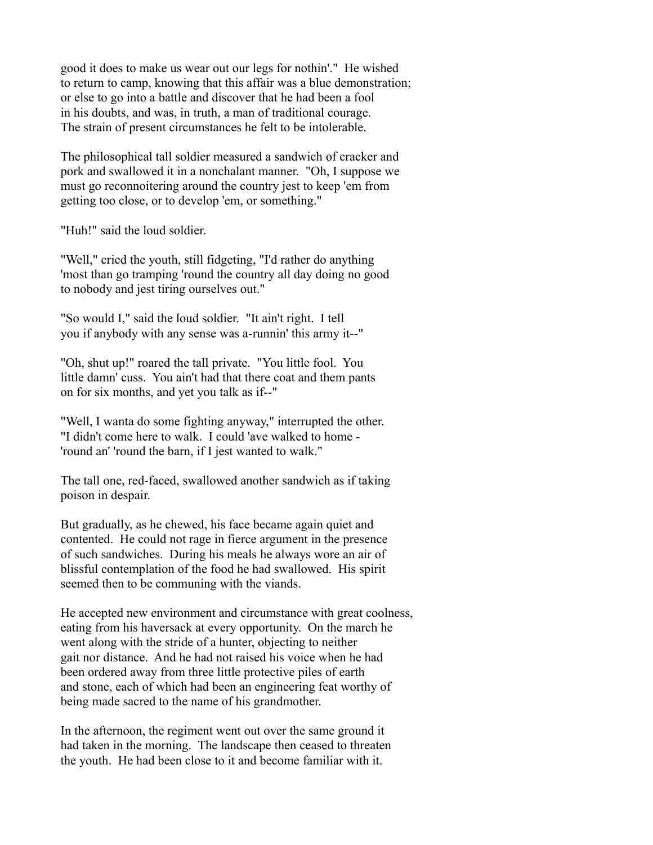good it does to make us wear out our legs for nothin'." He wished to return to camp, knowing that this affair was a blue demonstration; or else to go into a battle and discover that he had been a fool in his doubts, and was, in truth, a man of traditional courage. The strain of present circumstances he felt to be intolerable.

The philosophical tall soldier measured a sandwich of cracker and pork and swallowed it in a nonchalant manner. "Oh, I suppose we must go reconnoitering around the country jest to keep 'em from getting too close, or to develop 'em, or something."

"Huh!" said the loud soldier.

"Well," cried the youth, still fidgeting, "I'd rather do anything 'most than go tramping 'round the country all day doing no good to nobody and jest tiring ourselves out."

"So would I," said the loud soldier. "It ain't right. I tell you if anybody with any sense was a-runnin' this army it--"

"Oh, shut up!" roared the tall private. "You little fool. You little damn' cuss. You ain't had that there coat and them pants on for six months, and yet you talk as if--"

"Well, I wanta do some fighting anyway," interrupted the other. "I didn't come here to walk. I could 'ave walked to home - 'round an' 'round the barn, if I jest wanted to walk."

The tall one, red-faced, swallowed another sandwich as if taking poison in despair.

But gradually, as he chewed, his face became again quiet and contented. He could not rage in fierce argument in the presence of such sandwiches. During his meals he always wore an air of blissful contemplation of the food he had swallowed. His spirit seemed then to be communing with the viands.

He accepted new environment and circumstance with great coolness, eating from his haversack at every opportunity. On the march he went along with the stride of a hunter, objecting to neither gait nor distance. And he had not raised his voice when he had been ordered away from three little protective piles of earth and stone, each of which had been an engineering feat worthy of being made sacred to the name of his grandmother.

In the afternoon, the regiment went out over the same ground it had taken in the morning. The landscape then ceased to threaten the youth. He had been close to it and become familiar with it.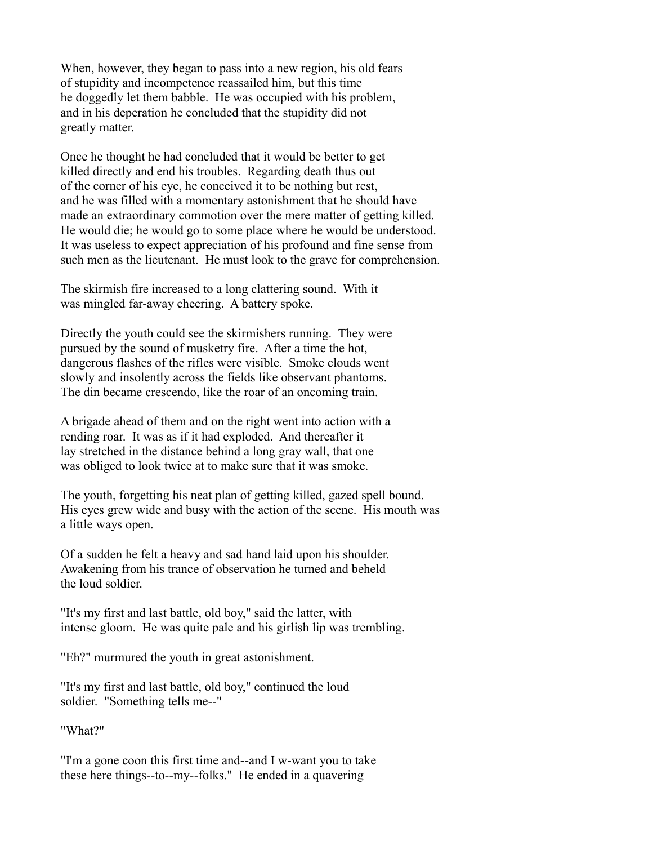When, however, they began to pass into a new region, his old fears of stupidity and incompetence reassailed him, but this time he doggedly let them babble. He was occupied with his problem, and in his deperation he concluded that the stupidity did not greatly matter.

Once he thought he had concluded that it would be better to get killed directly and end his troubles. Regarding death thus out of the corner of his eye, he conceived it to be nothing but rest, and he was filled with a momentary astonishment that he should have made an extraordinary commotion over the mere matter of getting killed. He would die; he would go to some place where he would be understood. It was useless to expect appreciation of his profound and fine sense from such men as the lieutenant. He must look to the grave for comprehension.

The skirmish fire increased to a long clattering sound. With it was mingled far-away cheering. A battery spoke.

Directly the youth could see the skirmishers running. They were pursued by the sound of musketry fire. After a time the hot, dangerous flashes of the rifles were visible. Smoke clouds went slowly and insolently across the fields like observant phantoms. The din became crescendo, like the roar of an oncoming train.

A brigade ahead of them and on the right went into action with a rending roar. It was as if it had exploded. And thereafter it lay stretched in the distance behind a long gray wall, that one was obliged to look twice at to make sure that it was smoke.

The youth, forgetting his neat plan of getting killed, gazed spell bound. His eyes grew wide and busy with the action of the scene. His mouth was a little ways open.

Of a sudden he felt a heavy and sad hand laid upon his shoulder. Awakening from his trance of observation he turned and beheld the loud soldier.

"It's my first and last battle, old boy," said the latter, with intense gloom. He was quite pale and his girlish lip was trembling.

"Eh?" murmured the youth in great astonishment.

"It's my first and last battle, old boy," continued the loud soldier. "Something tells me--"

"What?"

"I'm a gone coon this first time and--and I w-want you to take these here things--to--my--folks." He ended in a quavering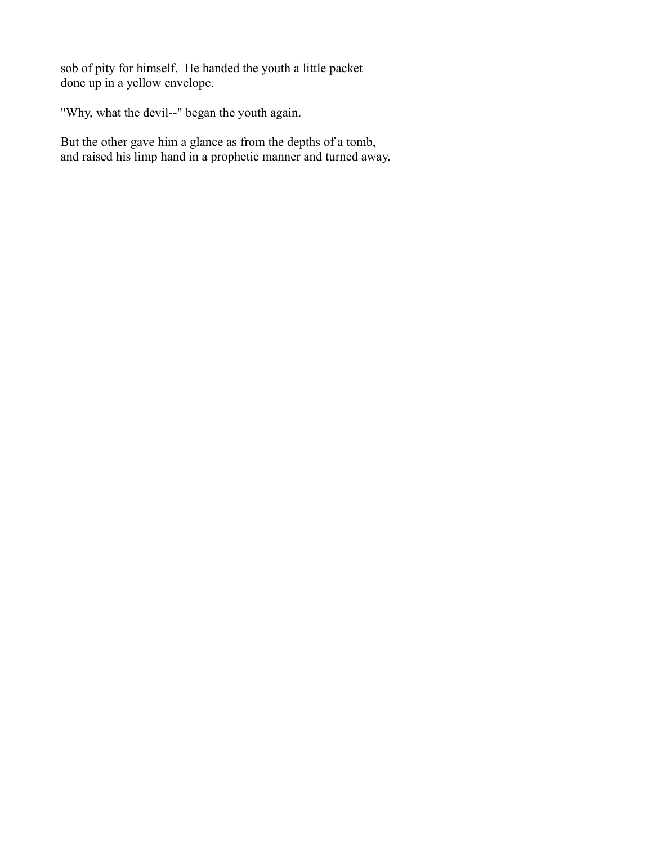sob of pity for himself. He handed the youth a little packet done up in a yellow envelope.

"Why, what the devil--" began the youth again.

But the other gave him a glance as from the depths of a tomb, and raised his limp hand in a prophetic manner and turned away.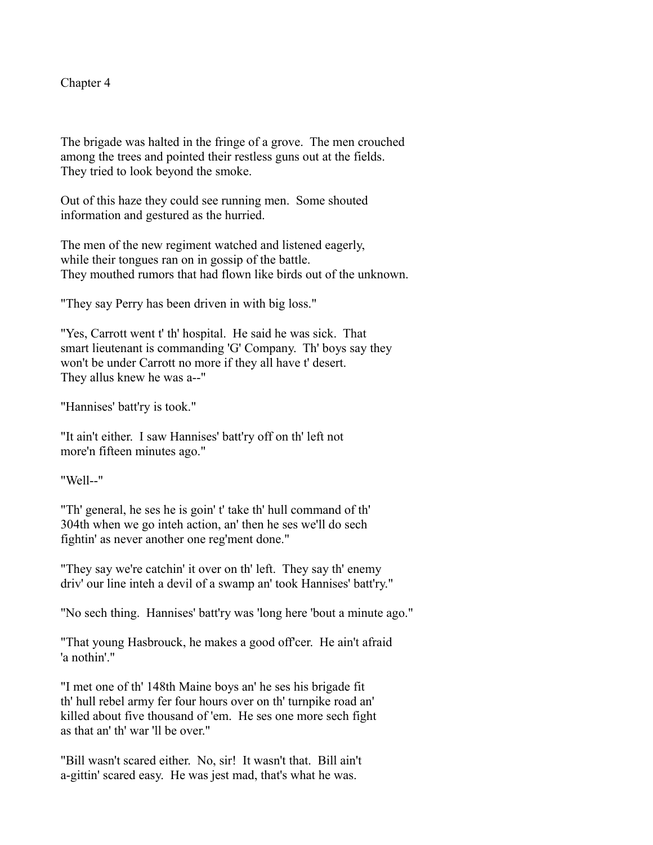Chapter 4

The brigade was halted in the fringe of a grove. The men crouched among the trees and pointed their restless guns out at the fields. They tried to look beyond the smoke.

Out of this haze they could see running men. Some shouted information and gestured as the hurried.

The men of the new regiment watched and listened eagerly, while their tongues ran on in gossip of the battle. They mouthed rumors that had flown like birds out of the unknown.

"They say Perry has been driven in with big loss."

"Yes, Carrott went t' th' hospital. He said he was sick. That smart lieutenant is commanding 'G' Company. Th' boys say they won't be under Carrott no more if they all have t' desert. They allus knew he was a--"

"Hannises' batt'ry is took."

"It ain't either. I saw Hannises' batt'ry off on th' left not more'n fifteen minutes ago."

"Well--"

"Th' general, he ses he is goin' t' take th' hull command of th' 304th when we go inteh action, an' then he ses we'll do sech fightin' as never another one reg'ment done."

"They say we're catchin' it over on th' left. They say th' enemy driv' our line inteh a devil of a swamp an' took Hannises' batt'ry."

"No sech thing. Hannises' batt'ry was 'long here 'bout a minute ago."

"That young Hasbrouck, he makes a good off'cer. He ain't afraid 'a nothin'."

"I met one of th' 148th Maine boys an' he ses his brigade fit th' hull rebel army fer four hours over on th' turnpike road an' killed about five thousand of 'em. He ses one more sech fight as that an' th' war 'll be over."

"Bill wasn't scared either. No, sir! It wasn't that. Bill ain't a-gittin' scared easy. He was jest mad, that's what he was.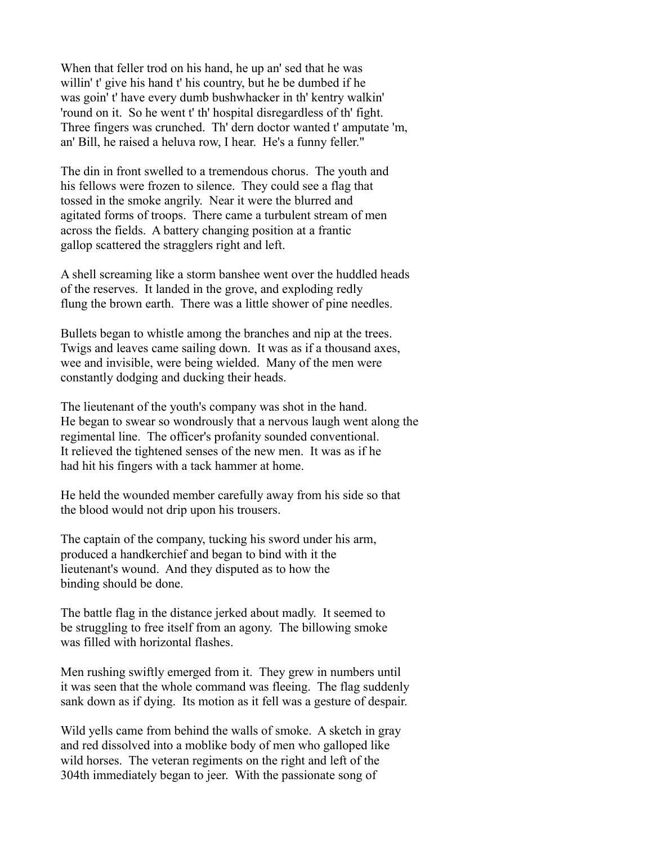When that feller trod on his hand, he up an' sed that he was willin' t' give his hand t' his country, but he be dumbed if he was goin' t' have every dumb bushwhacker in th' kentry walkin' 'round on it. So he went t' th' hospital disregardless of th' fight. Three fingers was crunched. Th' dern doctor wanted t' amputate 'm, an' Bill, he raised a heluva row, I hear. He's a funny feller."

The din in front swelled to a tremendous chorus. The youth and his fellows were frozen to silence. They could see a flag that tossed in the smoke angrily. Near it were the blurred and agitated forms of troops. There came a turbulent stream of men across the fields. A battery changing position at a frantic gallop scattered the stragglers right and left.

A shell screaming like a storm banshee went over the huddled heads of the reserves. It landed in the grove, and exploding redly flung the brown earth. There was a little shower of pine needles.

Bullets began to whistle among the branches and nip at the trees. Twigs and leaves came sailing down. It was as if a thousand axes, wee and invisible, were being wielded. Many of the men were constantly dodging and ducking their heads.

The lieutenant of the youth's company was shot in the hand. He began to swear so wondrously that a nervous laugh went along the regimental line. The officer's profanity sounded conventional. It relieved the tightened senses of the new men. It was as if he had hit his fingers with a tack hammer at home.

He held the wounded member carefully away from his side so that the blood would not drip upon his trousers.

The captain of the company, tucking his sword under his arm, produced a handkerchief and began to bind with it the lieutenant's wound. And they disputed as to how the binding should be done.

The battle flag in the distance jerked about madly. It seemed to be struggling to free itself from an agony. The billowing smoke was filled with horizontal flashes.

Men rushing swiftly emerged from it. They grew in numbers until it was seen that the whole command was fleeing. The flag suddenly sank down as if dying. Its motion as it fell was a gesture of despair.

Wild yells came from behind the walls of smoke. A sketch in gray and red dissolved into a moblike body of men who galloped like wild horses. The veteran regiments on the right and left of the 304th immediately began to jeer. With the passionate song of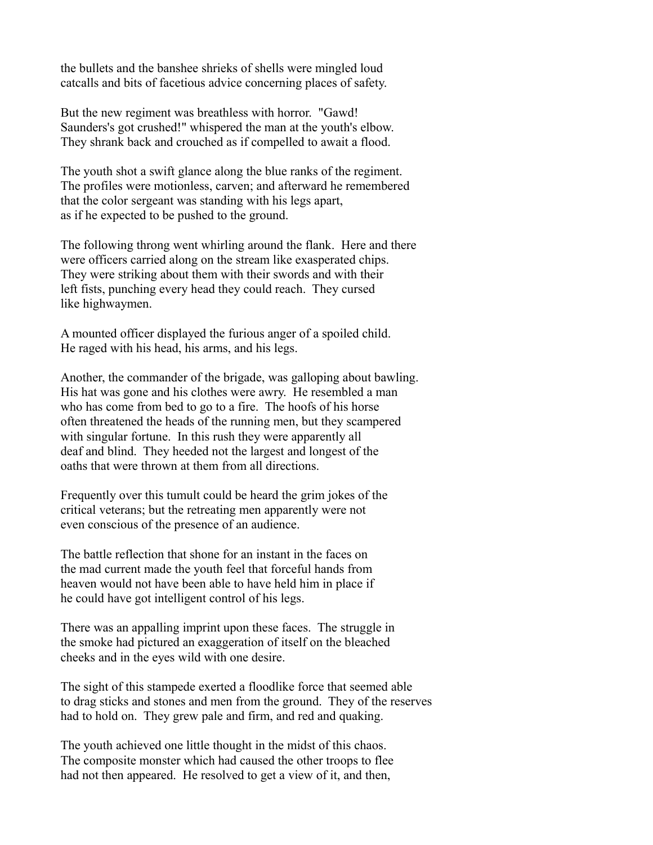the bullets and the banshee shrieks of shells were mingled loud catcalls and bits of facetious advice concerning places of safety.

But the new regiment was breathless with horror. "Gawd! Saunders's got crushed!" whispered the man at the youth's elbow. They shrank back and crouched as if compelled to await a flood.

The youth shot a swift glance along the blue ranks of the regiment. The profiles were motionless, carven; and afterward he remembered that the color sergeant was standing with his legs apart, as if he expected to be pushed to the ground.

The following throng went whirling around the flank. Here and there were officers carried along on the stream like exasperated chips. They were striking about them with their swords and with their left fists, punching every head they could reach. They cursed like highwaymen.

A mounted officer displayed the furious anger of a spoiled child. He raged with his head, his arms, and his legs.

Another, the commander of the brigade, was galloping about bawling. His hat was gone and his clothes were awry. He resembled a man who has come from bed to go to a fire. The hoofs of his horse often threatened the heads of the running men, but they scampered with singular fortune. In this rush they were apparently all deaf and blind. They heeded not the largest and longest of the oaths that were thrown at them from all directions.

Frequently over this tumult could be heard the grim jokes of the critical veterans; but the retreating men apparently were not even conscious of the presence of an audience.

The battle reflection that shone for an instant in the faces on the mad current made the youth feel that forceful hands from heaven would not have been able to have held him in place if he could have got intelligent control of his legs.

There was an appalling imprint upon these faces. The struggle in the smoke had pictured an exaggeration of itself on the bleached cheeks and in the eyes wild with one desire.

The sight of this stampede exerted a floodlike force that seemed able to drag sticks and stones and men from the ground. They of the reserves had to hold on. They grew pale and firm, and red and quaking.

The youth achieved one little thought in the midst of this chaos. The composite monster which had caused the other troops to flee had not then appeared. He resolved to get a view of it, and then,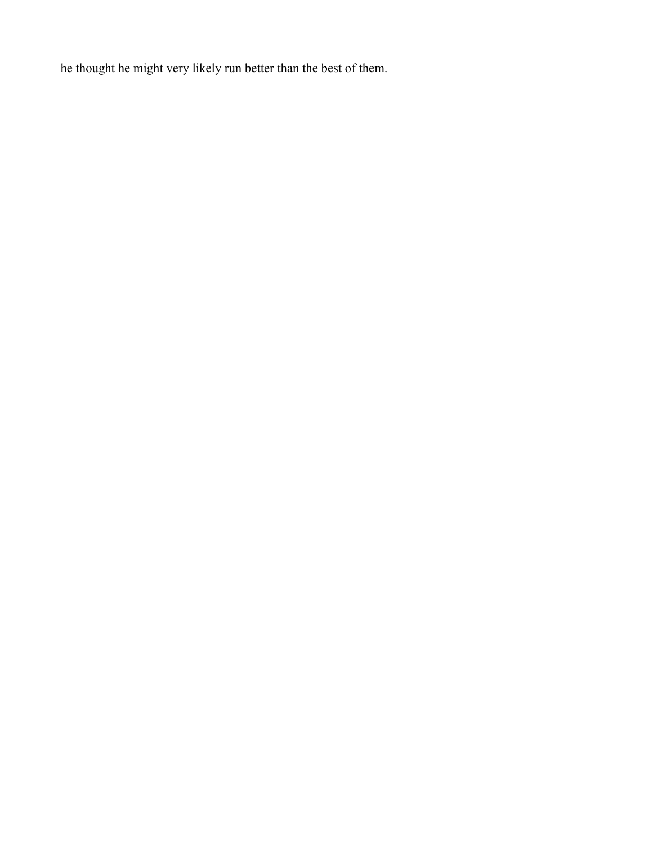he thought he might very likely run better than the best of them.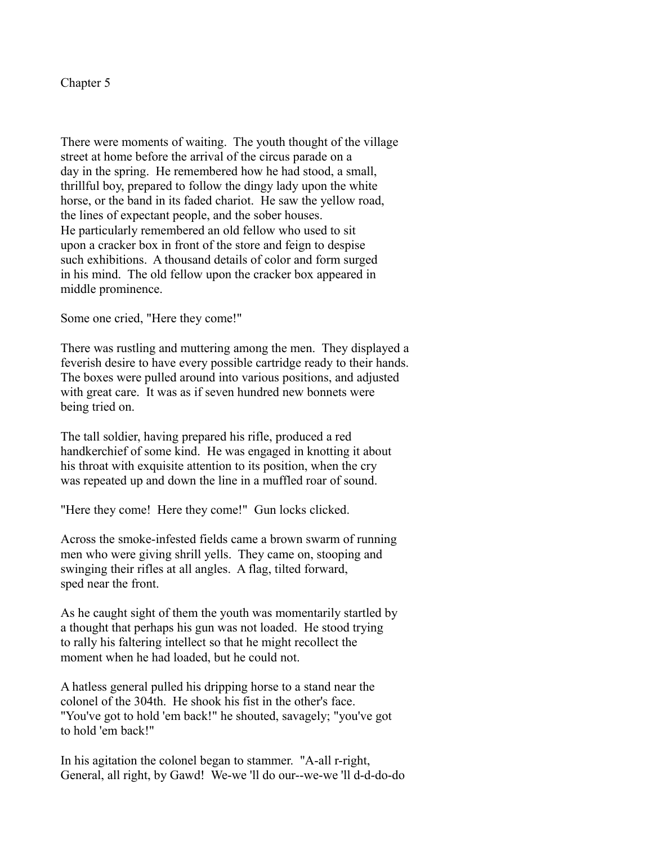Chapter 5

There were moments of waiting. The youth thought of the village street at home before the arrival of the circus parade on a day in the spring. He remembered how he had stood, a small, thrillful boy, prepared to follow the dingy lady upon the white horse, or the band in its faded chariot. He saw the yellow road, the lines of expectant people, and the sober houses. He particularly remembered an old fellow who used to sit upon a cracker box in front of the store and feign to despise such exhibitions. A thousand details of color and form surged in his mind. The old fellow upon the cracker box appeared in middle prominence.

Some one cried, "Here they come!"

There was rustling and muttering among the men. They displayed a feverish desire to have every possible cartridge ready to their hands. The boxes were pulled around into various positions, and adjusted with great care. It was as if seven hundred new bonnets were being tried on.

The tall soldier, having prepared his rifle, produced a red handkerchief of some kind. He was engaged in knotting it about his throat with exquisite attention to its position, when the cry was repeated up and down the line in a muffled roar of sound.

"Here they come! Here they come!" Gun locks clicked.

Across the smoke-infested fields came a brown swarm of running men who were giving shrill yells. They came on, stooping and swinging their rifles at all angles. A flag, tilted forward, sped near the front.

As he caught sight of them the youth was momentarily startled by a thought that perhaps his gun was not loaded. He stood trying to rally his faltering intellect so that he might recollect the moment when he had loaded, but he could not.

A hatless general pulled his dripping horse to a stand near the colonel of the 304th. He shook his fist in the other's face. "You've got to hold 'em back!" he shouted, savagely; "you've got to hold 'em back!"

In his agitation the colonel began to stammer. "A-all r-right, General, all right, by Gawd! We-we 'll do our--we-we 'll d-d-do-do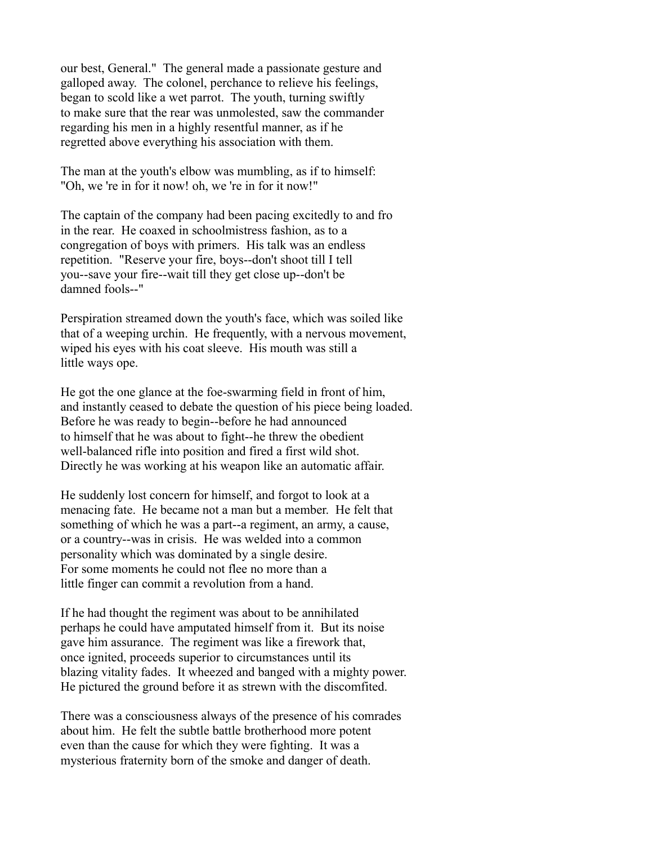our best, General." The general made a passionate gesture and galloped away. The colonel, perchance to relieve his feelings, began to scold like a wet parrot. The youth, turning swiftly to make sure that the rear was unmolested, saw the commander regarding his men in a highly resentful manner, as if he regretted above everything his association with them.

The man at the youth's elbow was mumbling, as if to himself: "Oh, we 're in for it now! oh, we 're in for it now!"

The captain of the company had been pacing excitedly to and fro in the rear. He coaxed in schoolmistress fashion, as to a congregation of boys with primers. His talk was an endless repetition. "Reserve your fire, boys--don't shoot till I tell you--save your fire--wait till they get close up--don't be damned fools--"

Perspiration streamed down the youth's face, which was soiled like that of a weeping urchin. He frequently, with a nervous movement, wiped his eyes with his coat sleeve. His mouth was still a little ways ope.

He got the one glance at the foe-swarming field in front of him, and instantly ceased to debate the question of his piece being loaded. Before he was ready to begin--before he had announced to himself that he was about to fight--he threw the obedient well-balanced rifle into position and fired a first wild shot. Directly he was working at his weapon like an automatic affair.

He suddenly lost concern for himself, and forgot to look at a menacing fate. He became not a man but a member. He felt that something of which he was a part--a regiment, an army, a cause, or a country--was in crisis. He was welded into a common personality which was dominated by a single desire. For some moments he could not flee no more than a little finger can commit a revolution from a hand.

If he had thought the regiment was about to be annihilated perhaps he could have amputated himself from it. But its noise gave him assurance. The regiment was like a firework that, once ignited, proceeds superior to circumstances until its blazing vitality fades. It wheezed and banged with a mighty power. He pictured the ground before it as strewn with the discomfited.

There was a consciousness always of the presence of his comrades about him. He felt the subtle battle brotherhood more potent even than the cause for which they were fighting. It was a mysterious fraternity born of the smoke and danger of death.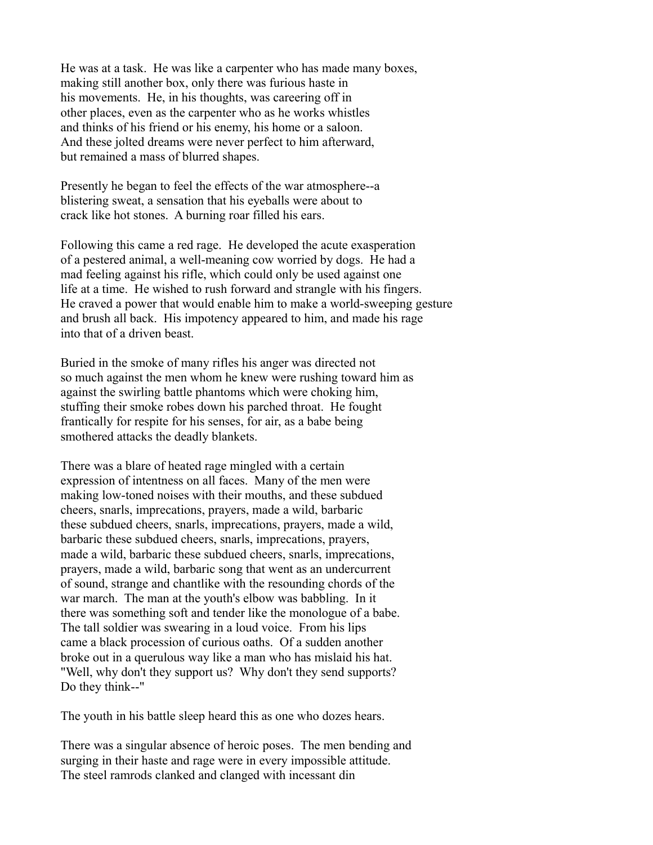He was at a task. He was like a carpenter who has made many boxes, making still another box, only there was furious haste in his movements. He, in his thoughts, was careering off in other places, even as the carpenter who as he works whistles and thinks of his friend or his enemy, his home or a saloon. And these jolted dreams were never perfect to him afterward, but remained a mass of blurred shapes.

Presently he began to feel the effects of the war atmosphere--a blistering sweat, a sensation that his eyeballs were about to crack like hot stones. A burning roar filled his ears.

Following this came a red rage. He developed the acute exasperation of a pestered animal, a well-meaning cow worried by dogs. He had a mad feeling against his rifle, which could only be used against one life at a time. He wished to rush forward and strangle with his fingers. He craved a power that would enable him to make a world-sweeping gesture and brush all back. His impotency appeared to him, and made his rage into that of a driven beast.

Buried in the smoke of many rifles his anger was directed not so much against the men whom he knew were rushing toward him as against the swirling battle phantoms which were choking him, stuffing their smoke robes down his parched throat. He fought frantically for respite for his senses, for air, as a babe being smothered attacks the deadly blankets.

There was a blare of heated rage mingled with a certain expression of intentness on all faces. Many of the men were making low-toned noises with their mouths, and these subdued cheers, snarls, imprecations, prayers, made a wild, barbaric these subdued cheers, snarls, imprecations, prayers, made a wild, barbaric these subdued cheers, snarls, imprecations, prayers, made a wild, barbaric these subdued cheers, snarls, imprecations, prayers, made a wild, barbaric song that went as an undercurrent of sound, strange and chantlike with the resounding chords of the war march. The man at the youth's elbow was babbling. In it there was something soft and tender like the monologue of a babe. The tall soldier was swearing in a loud voice. From his lips came a black procession of curious oaths. Of a sudden another broke out in a querulous way like a man who has mislaid his hat. "Well, why don't they support us? Why don't they send supports? Do they think--"

The youth in his battle sleep heard this as one who dozes hears.

There was a singular absence of heroic poses. The men bending and surging in their haste and rage were in every impossible attitude. The steel ramrods clanked and clanged with incessant din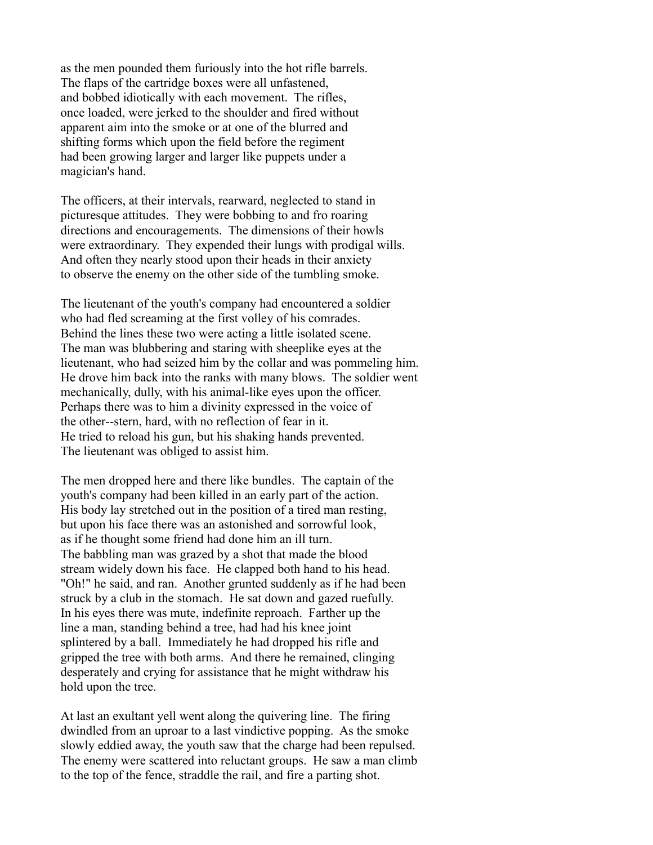as the men pounded them furiously into the hot rifle barrels. The flaps of the cartridge boxes were all unfastened, and bobbed idiotically with each movement. The rifles, once loaded, were jerked to the shoulder and fired without apparent aim into the smoke or at one of the blurred and shifting forms which upon the field before the regiment had been growing larger and larger like puppets under a magician's hand.

The officers, at their intervals, rearward, neglected to stand in picturesque attitudes. They were bobbing to and fro roaring directions and encouragements. The dimensions of their howls were extraordinary. They expended their lungs with prodigal wills. And often they nearly stood upon their heads in their anxiety to observe the enemy on the other side of the tumbling smoke.

The lieutenant of the youth's company had encountered a soldier who had fled screaming at the first volley of his comrades. Behind the lines these two were acting a little isolated scene. The man was blubbering and staring with sheeplike eyes at the lieutenant, who had seized him by the collar and was pommeling him. He drove him back into the ranks with many blows. The soldier went mechanically, dully, with his animal-like eyes upon the officer. Perhaps there was to him a divinity expressed in the voice of the other--stern, hard, with no reflection of fear in it. He tried to reload his gun, but his shaking hands prevented. The lieutenant was obliged to assist him.

The men dropped here and there like bundles. The captain of the youth's company had been killed in an early part of the action. His body lay stretched out in the position of a tired man resting, but upon his face there was an astonished and sorrowful look, as if he thought some friend had done him an ill turn. The babbling man was grazed by a shot that made the blood stream widely down his face. He clapped both hand to his head. "Oh!" he said, and ran. Another grunted suddenly as if he had been struck by a club in the stomach. He sat down and gazed ruefully. In his eyes there was mute, indefinite reproach. Farther up the line a man, standing behind a tree, had had his knee joint splintered by a ball. Immediately he had dropped his rifle and gripped the tree with both arms. And there he remained, clinging desperately and crying for assistance that he might withdraw his hold upon the tree.

At last an exultant yell went along the quivering line. The firing dwindled from an uproar to a last vindictive popping. As the smoke slowly eddied away, the youth saw that the charge had been repulsed. The enemy were scattered into reluctant groups. He saw a man climb to the top of the fence, straddle the rail, and fire a parting shot.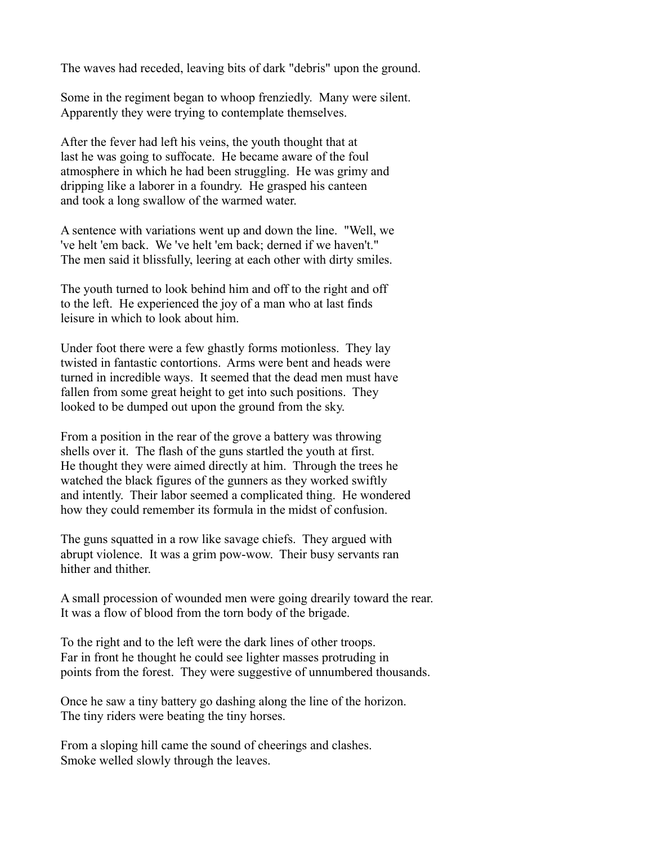The waves had receded, leaving bits of dark "debris" upon the ground.

Some in the regiment began to whoop frenziedly. Many were silent. Apparently they were trying to contemplate themselves.

After the fever had left his veins, the youth thought that at last he was going to suffocate. He became aware of the foul atmosphere in which he had been struggling. He was grimy and dripping like a laborer in a foundry. He grasped his canteen and took a long swallow of the warmed water.

A sentence with variations went up and down the line. "Well, we 've helt 'em back. We 've helt 'em back; derned if we haven't." The men said it blissfully, leering at each other with dirty smiles.

The youth turned to look behind him and off to the right and off to the left. He experienced the joy of a man who at last finds leisure in which to look about him.

Under foot there were a few ghastly forms motionless. They lay twisted in fantastic contortions. Arms were bent and heads were turned in incredible ways. It seemed that the dead men must have fallen from some great height to get into such positions. They looked to be dumped out upon the ground from the sky.

From a position in the rear of the grove a battery was throwing shells over it. The flash of the guns startled the youth at first. He thought they were aimed directly at him. Through the trees he watched the black figures of the gunners as they worked swiftly and intently. Their labor seemed a complicated thing. He wondered how they could remember its formula in the midst of confusion.

The guns squatted in a row like savage chiefs. They argued with abrupt violence. It was a grim pow-wow. Their busy servants ran hither and thither.

A small procession of wounded men were going drearily toward the rear. It was a flow of blood from the torn body of the brigade.

To the right and to the left were the dark lines of other troops. Far in front he thought he could see lighter masses protruding in points from the forest. They were suggestive of unnumbered thousands.

Once he saw a tiny battery go dashing along the line of the horizon. The tiny riders were beating the tiny horses.

From a sloping hill came the sound of cheerings and clashes. Smoke welled slowly through the leaves.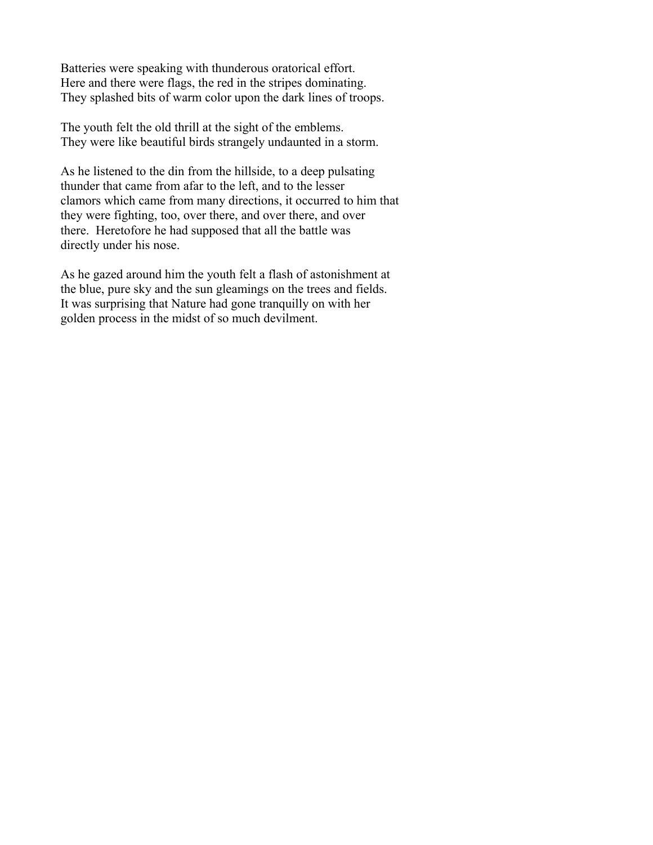Batteries were speaking with thunderous oratorical effort. Here and there were flags, the red in the stripes dominating. They splashed bits of warm color upon the dark lines of troops.

The youth felt the old thrill at the sight of the emblems. They were like beautiful birds strangely undaunted in a storm.

As he listened to the din from the hillside, to a deep pulsating thunder that came from afar to the left, and to the lesser clamors which came from many directions, it occurred to him that they were fighting, too, over there, and over there, and over there. Heretofore he had supposed that all the battle was directly under his nose.

As he gazed around him the youth felt a flash of astonishment at the blue, pure sky and the sun gleamings on the trees and fields. It was surprising that Nature had gone tranquilly on with her golden process in the midst of so much devilment.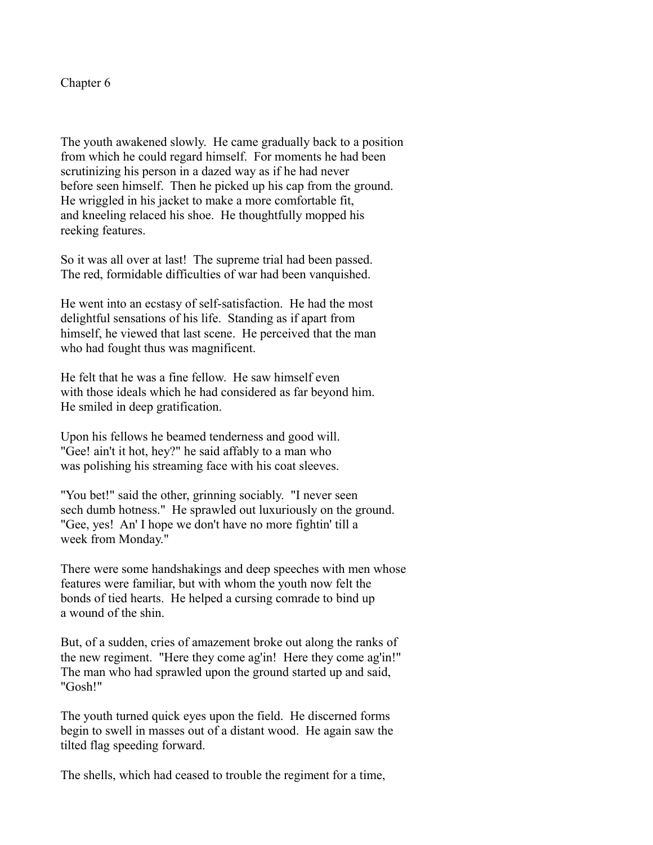Chapter 6

The youth awakened slowly. He came gradually back to a position from which he could regard himself. For moments he had been scrutinizing his person in a dazed way as if he had never before seen himself. Then he picked up his cap from the ground. He wriggled in his jacket to make a more comfortable fit, and kneeling relaced his shoe. He thoughtfully mopped his reeking features.

So it was all over at last! The supreme trial had been passed. The red, formidable difficulties of war had been vanquished.

He went into an ecstasy of self-satisfaction. He had the most delightful sensations of his life. Standing as if apart from himself, he viewed that last scene. He perceived that the man who had fought thus was magnificent.

He felt that he was a fine fellow. He saw himself even with those ideals which he had considered as far beyond him. He smiled in deep gratification.

Upon his fellows he beamed tenderness and good will. "Gee! ain't it hot, hey?" he said affably to a man who was polishing his streaming face with his coat sleeves.

"You bet!" said the other, grinning sociably. "I never seen sech dumb hotness." He sprawled out luxuriously on the ground. "Gee, yes! An' I hope we don't have no more fightin' till a week from Monday."

There were some handshakings and deep speeches with men whose features were familiar, but with whom the youth now felt the bonds of tied hearts. He helped a cursing comrade to bind up a wound of the shin.

But, of a sudden, cries of amazement broke out along the ranks of the new regiment. "Here they come ag'in! Here they come ag'in!" The man who had sprawled upon the ground started up and said, "Gosh!"

The youth turned quick eyes upon the field. He discerned forms begin to swell in masses out of a distant wood. He again saw the tilted flag speeding forward.

The shells, which had ceased to trouble the regiment for a time,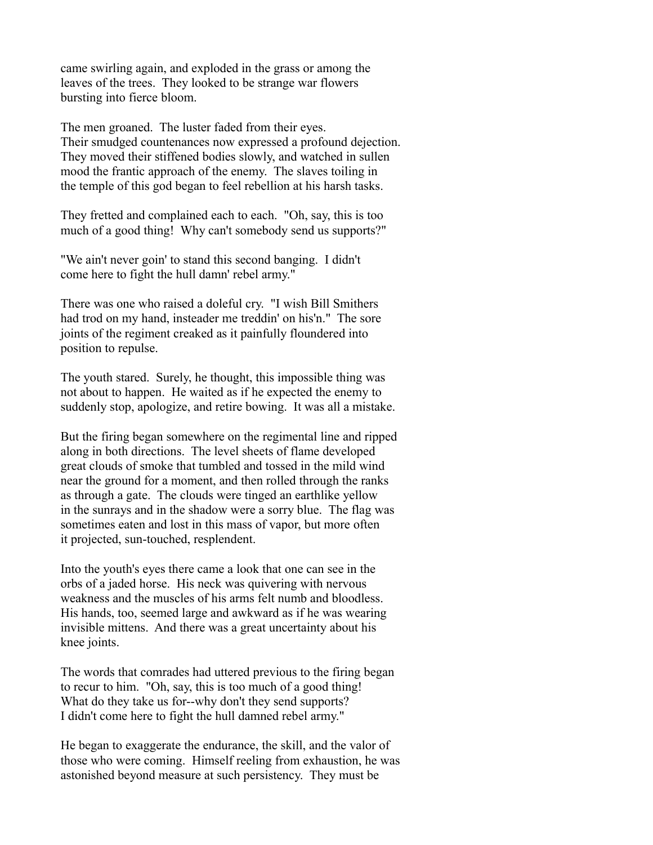came swirling again, and exploded in the grass or among the leaves of the trees. They looked to be strange war flowers bursting into fierce bloom.

The men groaned. The luster faded from their eyes. Their smudged countenances now expressed a profound dejection. They moved their stiffened bodies slowly, and watched in sullen mood the frantic approach of the enemy. The slaves toiling in the temple of this god began to feel rebellion at his harsh tasks.

They fretted and complained each to each. "Oh, say, this is too much of a good thing! Why can't somebody send us supports?"

"We ain't never goin' to stand this second banging. I didn't come here to fight the hull damn' rebel army."

There was one who raised a doleful cry. "I wish Bill Smithers had trod on my hand, insteader me treddin' on his'n." The sore joints of the regiment creaked as it painfully floundered into position to repulse.

The youth stared. Surely, he thought, this impossible thing was not about to happen. He waited as if he expected the enemy to suddenly stop, apologize, and retire bowing. It was all a mistake.

But the firing began somewhere on the regimental line and ripped along in both directions. The level sheets of flame developed great clouds of smoke that tumbled and tossed in the mild wind near the ground for a moment, and then rolled through the ranks as through a gate. The clouds were tinged an earthlike yellow in the sunrays and in the shadow were a sorry blue. The flag was sometimes eaten and lost in this mass of vapor, but more often it projected, sun-touched, resplendent.

Into the youth's eyes there came a look that one can see in the orbs of a jaded horse. His neck was quivering with nervous weakness and the muscles of his arms felt numb and bloodless. His hands, too, seemed large and awkward as if he was wearing invisible mittens. And there was a great uncertainty about his knee joints.

The words that comrades had uttered previous to the firing began to recur to him. "Oh, say, this is too much of a good thing! What do they take us for--why don't they send supports? I didn't come here to fight the hull damned rebel army."

He began to exaggerate the endurance, the skill, and the valor of those who were coming. Himself reeling from exhaustion, he was astonished beyond measure at such persistency. They must be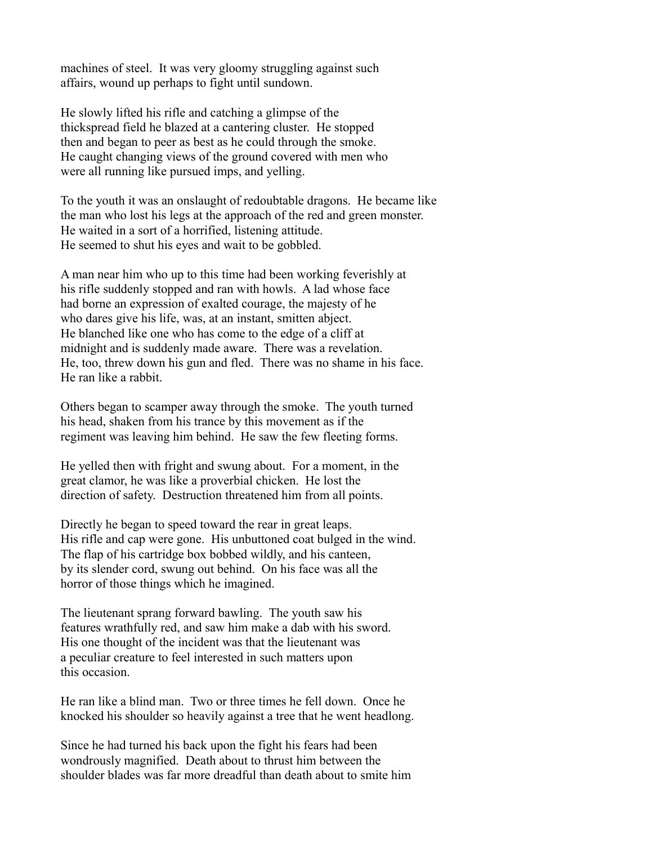machines of steel. It was very gloomy struggling against such affairs, wound up perhaps to fight until sundown.

He slowly lifted his rifle and catching a glimpse of the thickspread field he blazed at a cantering cluster. He stopped then and began to peer as best as he could through the smoke. He caught changing views of the ground covered with men who were all running like pursued imps, and yelling.

To the youth it was an onslaught of redoubtable dragons. He became like the man who lost his legs at the approach of the red and green monster. He waited in a sort of a horrified, listening attitude. He seemed to shut his eyes and wait to be gobbled.

A man near him who up to this time had been working feverishly at his rifle suddenly stopped and ran with howls. A lad whose face had borne an expression of exalted courage, the majesty of he who dares give his life, was, at an instant, smitten abject. He blanched like one who has come to the edge of a cliff at midnight and is suddenly made aware. There was a revelation. He, too, threw down his gun and fled. There was no shame in his face. He ran like a rabbit.

Others began to scamper away through the smoke. The youth turned his head, shaken from his trance by this movement as if the regiment was leaving him behind. He saw the few fleeting forms.

He yelled then with fright and swung about. For a moment, in the great clamor, he was like a proverbial chicken. He lost the direction of safety. Destruction threatened him from all points.

Directly he began to speed toward the rear in great leaps. His rifle and cap were gone. His unbuttoned coat bulged in the wind. The flap of his cartridge box bobbed wildly, and his canteen, by its slender cord, swung out behind. On his face was all the horror of those things which he imagined.

The lieutenant sprang forward bawling. The youth saw his features wrathfully red, and saw him make a dab with his sword. His one thought of the incident was that the lieutenant was a peculiar creature to feel interested in such matters upon this occasion.

He ran like a blind man. Two or three times he fell down. Once he knocked his shoulder so heavily against a tree that he went headlong.

Since he had turned his back upon the fight his fears had been wondrously magnified. Death about to thrust him between the shoulder blades was far more dreadful than death about to smite him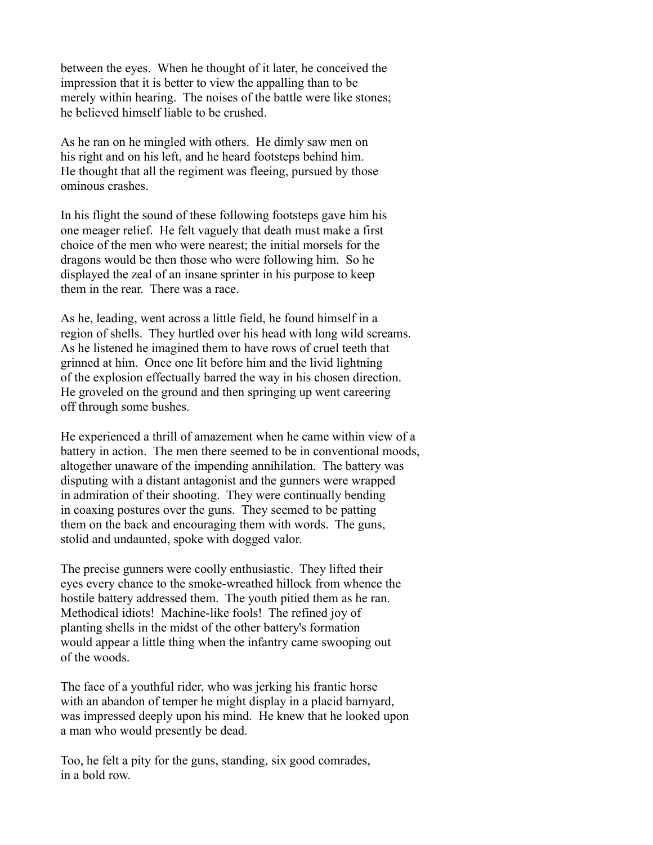between the eyes. When he thought of it later, he conceived the impression that it is better to view the appalling than to be merely within hearing. The noises of the battle were like stones; he believed himself liable to be crushed.

As he ran on he mingled with others. He dimly saw men on his right and on his left, and he heard footsteps behind him. He thought that all the regiment was fleeing, pursued by those ominous crashes.

In his flight the sound of these following footsteps gave him his one meager relief. He felt vaguely that death must make a first choice of the men who were nearest; the initial morsels for the dragons would be then those who were following him. So he displayed the zeal of an insane sprinter in his purpose to keep them in the rear. There was a race.

As he, leading, went across a little field, he found himself in a region of shells. They hurtled over his head with long wild screams. As he listened he imagined them to have rows of cruel teeth that grinned at him. Once one lit before him and the livid lightning of the explosion effectually barred the way in his chosen direction. He groveled on the ground and then springing up went careering off through some bushes.

He experienced a thrill of amazement when he came within view of a battery in action. The men there seemed to be in conventional moods, altogether unaware of the impending annihilation. The battery was disputing with a distant antagonist and the gunners were wrapped in admiration of their shooting. They were continually bending in coaxing postures over the guns. They seemed to be patting them on the back and encouraging them with words. The guns, stolid and undaunted, spoke with dogged valor.

The precise gunners were coolly enthusiastic. They lifted their eyes every chance to the smoke-wreathed hillock from whence the hostile battery addressed them. The youth pitied them as he ran. Methodical idiots! Machine-like fools! The refined joy of planting shells in the midst of the other battery's formation would appear a little thing when the infantry came swooping out of the woods.

The face of a youthful rider, who was jerking his frantic horse with an abandon of temper he might display in a placid barnyard, was impressed deeply upon his mind. He knew that he looked upon a man who would presently be dead.

Too, he felt a pity for the guns, standing, six good comrades, in a bold row.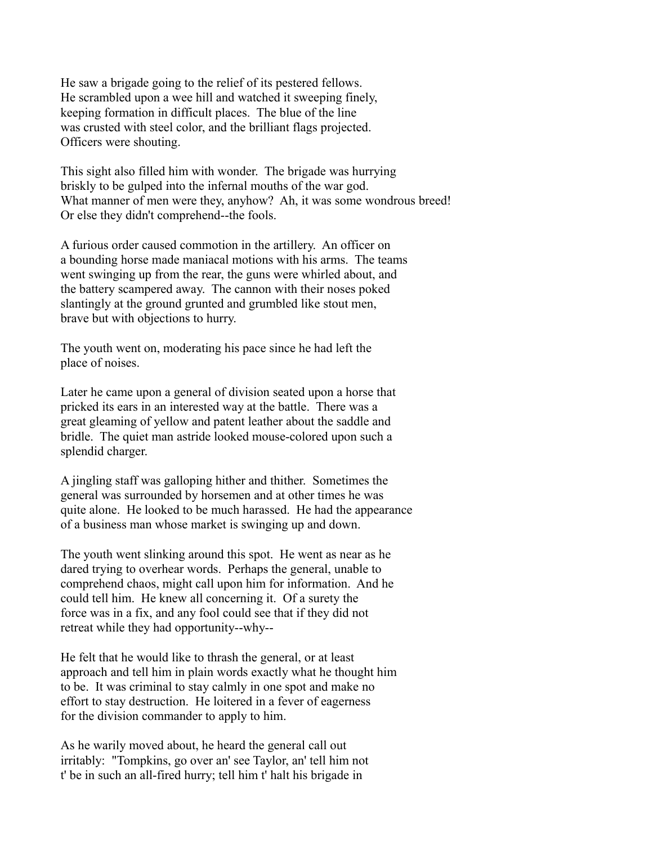He saw a brigade going to the relief of its pestered fellows. He scrambled upon a wee hill and watched it sweeping finely, keeping formation in difficult places. The blue of the line was crusted with steel color, and the brilliant flags projected. Officers were shouting.

This sight also filled him with wonder. The brigade was hurrying briskly to be gulped into the infernal mouths of the war god. What manner of men were they, anyhow? Ah, it was some wondrous breed! Or else they didn't comprehend--the fools.

A furious order caused commotion in the artillery. An officer on a bounding horse made maniacal motions with his arms. The teams went swinging up from the rear, the guns were whirled about, and the battery scampered away. The cannon with their noses poked slantingly at the ground grunted and grumbled like stout men, brave but with objections to hurry.

The youth went on, moderating his pace since he had left the place of noises.

Later he came upon a general of division seated upon a horse that pricked its ears in an interested way at the battle. There was a great gleaming of yellow and patent leather about the saddle and bridle. The quiet man astride looked mouse-colored upon such a splendid charger.

A jingling staff was galloping hither and thither. Sometimes the general was surrounded by horsemen and at other times he was quite alone. He looked to be much harassed. He had the appearance of a business man whose market is swinging up and down.

The youth went slinking around this spot. He went as near as he dared trying to overhear words. Perhaps the general, unable to comprehend chaos, might call upon him for information. And he could tell him. He knew all concerning it. Of a surety the force was in a fix, and any fool could see that if they did not retreat while they had opportunity--why--

He felt that he would like to thrash the general, or at least approach and tell him in plain words exactly what he thought him to be. It was criminal to stay calmly in one spot and make no effort to stay destruction. He loitered in a fever of eagerness for the division commander to apply to him.

As he warily moved about, he heard the general call out irritably: "Tompkins, go over an' see Taylor, an' tell him not t' be in such an all-fired hurry; tell him t' halt his brigade in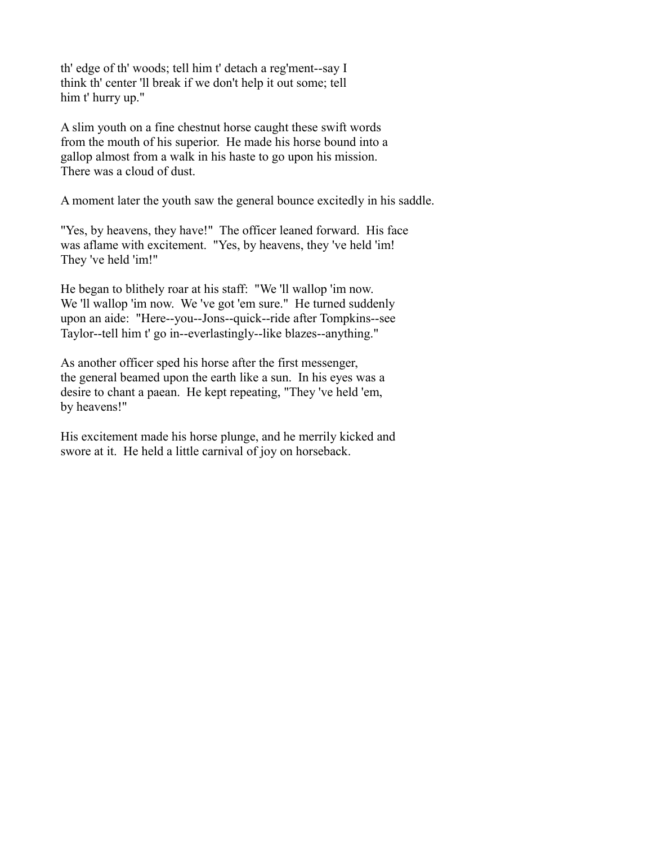th' edge of th' woods; tell him t' detach a reg'ment--say I think th' center 'll break if we don't help it out some; tell him t' hurry up."

A slim youth on a fine chestnut horse caught these swift words from the mouth of his superior. He made his horse bound into a gallop almost from a walk in his haste to go upon his mission. There was a cloud of dust.

A moment later the youth saw the general bounce excitedly in his saddle.

"Yes, by heavens, they have!" The officer leaned forward. His face was aflame with excitement. "Yes, by heavens, they 've held 'im! They 've held 'im!"

He began to blithely roar at his staff: "We 'll wallop 'im now. We 'll wallop 'im now. We 've got 'em sure." He turned suddenly upon an aide: "Here--you--Jons--quick--ride after Tompkins--see Taylor--tell him t' go in--everlastingly--like blazes--anything."

As another officer sped his horse after the first messenger, the general beamed upon the earth like a sun. In his eyes was a desire to chant a paean. He kept repeating, "They 've held 'em, by heavens!"

His excitement made his horse plunge, and he merrily kicked and swore at it. He held a little carnival of joy on horseback.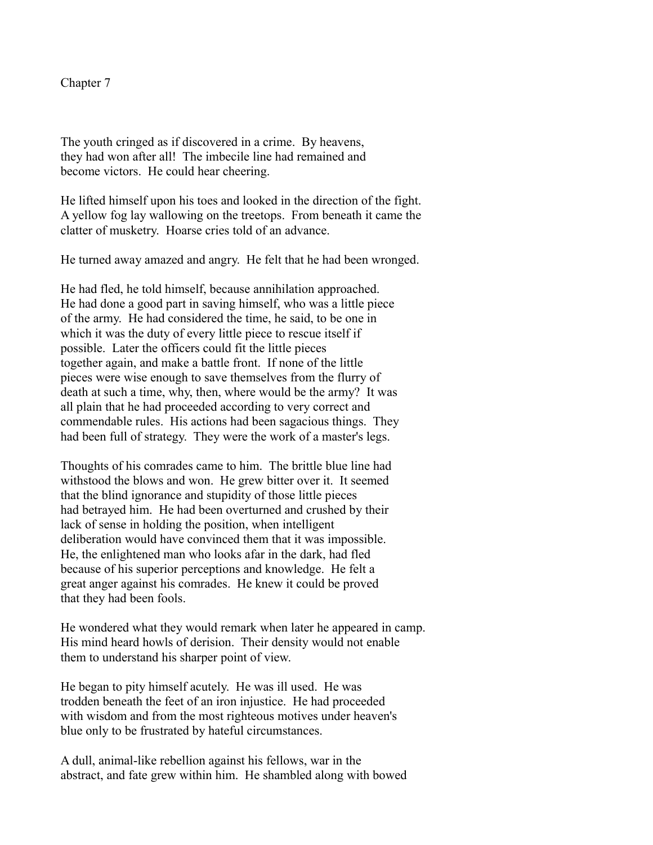Chapter 7

The youth cringed as if discovered in a crime. By heavens, they had won after all! The imbecile line had remained and become victors. He could hear cheering.

He lifted himself upon his toes and looked in the direction of the fight. A yellow fog lay wallowing on the treetops. From beneath it came the clatter of musketry. Hoarse cries told of an advance.

He turned away amazed and angry. He felt that he had been wronged.

He had fled, he told himself, because annihilation approached. He had done a good part in saving himself, who was a little piece of the army. He had considered the time, he said, to be one in which it was the duty of every little piece to rescue itself if possible. Later the officers could fit the little pieces together again, and make a battle front. If none of the little pieces were wise enough to save themselves from the flurry of death at such a time, why, then, where would be the army? It was all plain that he had proceeded according to very correct and commendable rules. His actions had been sagacious things. They had been full of strategy. They were the work of a master's legs.

Thoughts of his comrades came to him. The brittle blue line had withstood the blows and won. He grew bitter over it. It seemed that the blind ignorance and stupidity of those little pieces had betrayed him. He had been overturned and crushed by their lack of sense in holding the position, when intelligent deliberation would have convinced them that it was impossible. He, the enlightened man who looks afar in the dark, had fled because of his superior perceptions and knowledge. He felt a great anger against his comrades. He knew it could be proved that they had been fools.

He wondered what they would remark when later he appeared in camp. His mind heard howls of derision. Their density would not enable them to understand his sharper point of view.

He began to pity himself acutely. He was ill used. He was trodden beneath the feet of an iron injustice. He had proceeded with wisdom and from the most righteous motives under heaven's blue only to be frustrated by hateful circumstances.

A dull, animal-like rebellion against his fellows, war in the abstract, and fate grew within him. He shambled along with bowed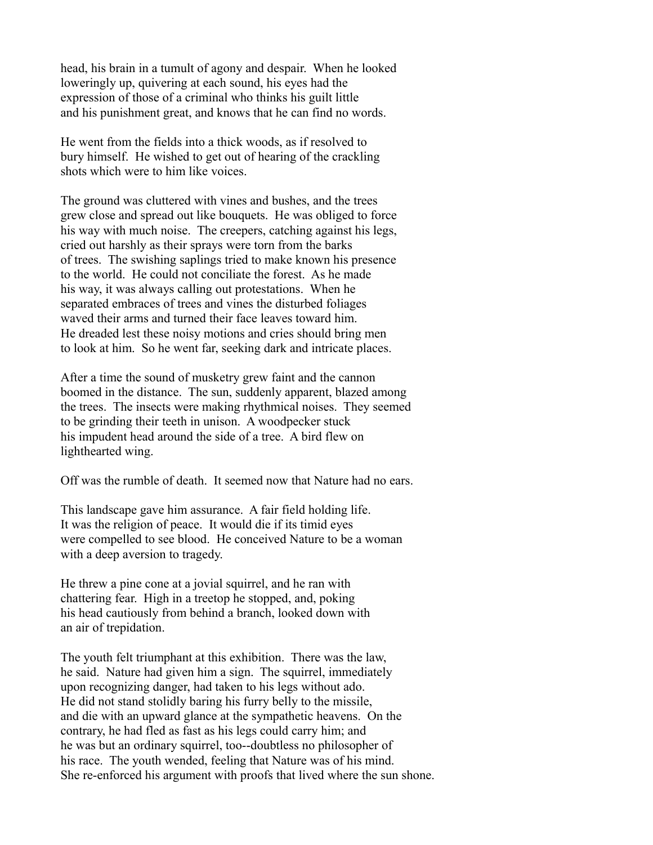head, his brain in a tumult of agony and despair. When he looked loweringly up, quivering at each sound, his eyes had the expression of those of a criminal who thinks his guilt little and his punishment great, and knows that he can find no words.

He went from the fields into a thick woods, as if resolved to bury himself. He wished to get out of hearing of the crackling shots which were to him like voices.

The ground was cluttered with vines and bushes, and the trees grew close and spread out like bouquets. He was obliged to force his way with much noise. The creepers, catching against his legs, cried out harshly as their sprays were torn from the barks of trees. The swishing saplings tried to make known his presence to the world. He could not conciliate the forest. As he made his way, it was always calling out protestations. When he separated embraces of trees and vines the disturbed foliages waved their arms and turned their face leaves toward him. He dreaded lest these noisy motions and cries should bring men to look at him. So he went far, seeking dark and intricate places.

After a time the sound of musketry grew faint and the cannon boomed in the distance. The sun, suddenly apparent, blazed among the trees. The insects were making rhythmical noises. They seemed to be grinding their teeth in unison. A woodpecker stuck his impudent head around the side of a tree. A bird flew on lighthearted wing.

Off was the rumble of death. It seemed now that Nature had no ears.

This landscape gave him assurance. A fair field holding life. It was the religion of peace. It would die if its timid eyes were compelled to see blood. He conceived Nature to be a woman with a deep aversion to tragedy.

He threw a pine cone at a jovial squirrel, and he ran with chattering fear. High in a treetop he stopped, and, poking his head cautiously from behind a branch, looked down with an air of trepidation.

The youth felt triumphant at this exhibition. There was the law, he said. Nature had given him a sign. The squirrel, immediately upon recognizing danger, had taken to his legs without ado. He did not stand stolidly baring his furry belly to the missile, and die with an upward glance at the sympathetic heavens. On the contrary, he had fled as fast as his legs could carry him; and he was but an ordinary squirrel, too--doubtless no philosopher of his race. The youth wended, feeling that Nature was of his mind. She re-enforced his argument with proofs that lived where the sun shone.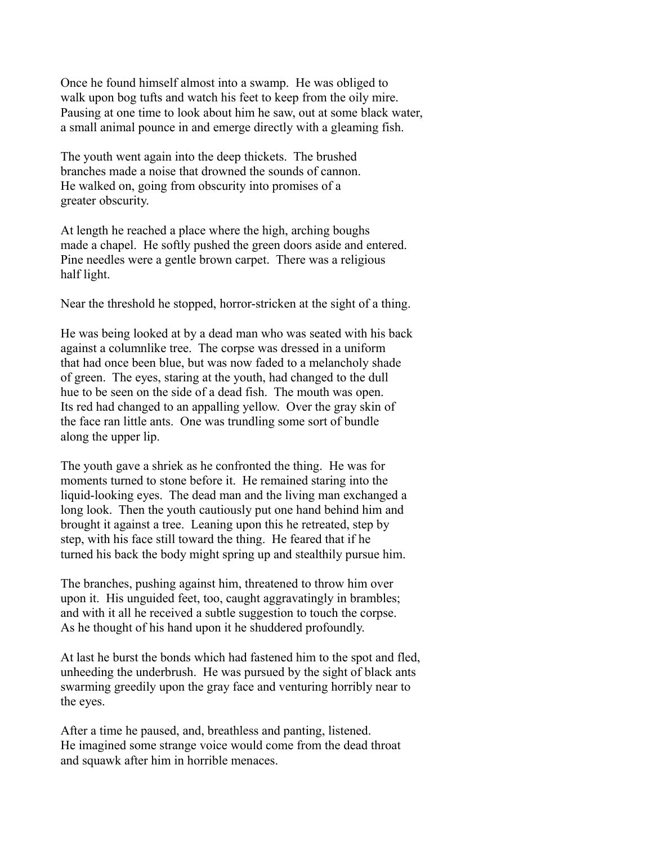Once he found himself almost into a swamp. He was obliged to walk upon bog tufts and watch his feet to keep from the oily mire. Pausing at one time to look about him he saw, out at some black water, a small animal pounce in and emerge directly with a gleaming fish.

The youth went again into the deep thickets. The brushed branches made a noise that drowned the sounds of cannon. He walked on, going from obscurity into promises of a greater obscurity.

At length he reached a place where the high, arching boughs made a chapel. He softly pushed the green doors aside and entered. Pine needles were a gentle brown carpet. There was a religious half light.

Near the threshold he stopped, horror-stricken at the sight of a thing.

He was being looked at by a dead man who was seated with his back against a columnlike tree. The corpse was dressed in a uniform that had once been blue, but was now faded to a melancholy shade of green. The eyes, staring at the youth, had changed to the dull hue to be seen on the side of a dead fish. The mouth was open. Its red had changed to an appalling yellow. Over the gray skin of the face ran little ants. One was trundling some sort of bundle along the upper lip.

The youth gave a shriek as he confronted the thing. He was for moments turned to stone before it. He remained staring into the liquid-looking eyes. The dead man and the living man exchanged a long look. Then the youth cautiously put one hand behind him and brought it against a tree. Leaning upon this he retreated, step by step, with his face still toward the thing. He feared that if he turned his back the body might spring up and stealthily pursue him.

The branches, pushing against him, threatened to throw him over upon it. His unguided feet, too, caught aggravatingly in brambles; and with it all he received a subtle suggestion to touch the corpse. As he thought of his hand upon it he shuddered profoundly.

At last he burst the bonds which had fastened him to the spot and fled, unheeding the underbrush. He was pursued by the sight of black ants swarming greedily upon the gray face and venturing horribly near to the eyes.

After a time he paused, and, breathless and panting, listened. He imagined some strange voice would come from the dead throat and squawk after him in horrible menaces.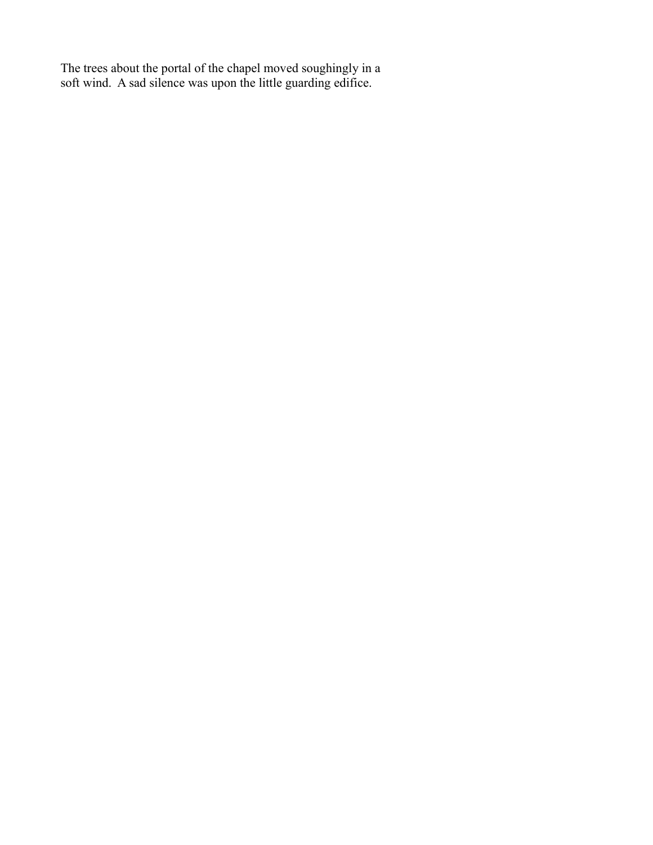The trees about the portal of the chapel moved soughingly in a soft wind. A sad silence was upon the little guarding edifice.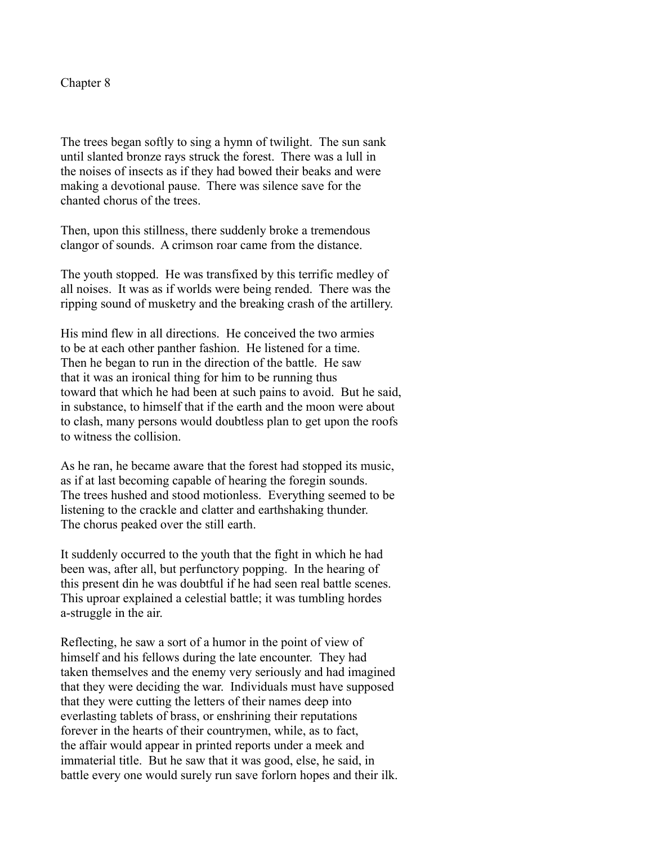Chapter 8

The trees began softly to sing a hymn of twilight. The sun sank until slanted bronze rays struck the forest. There was a lull in the noises of insects as if they had bowed their beaks and were making a devotional pause. There was silence save for the chanted chorus of the trees.

Then, upon this stillness, there suddenly broke a tremendous clangor of sounds. A crimson roar came from the distance.

The youth stopped. He was transfixed by this terrific medley of all noises. It was as if worlds were being rended. There was the ripping sound of musketry and the breaking crash of the artillery.

His mind flew in all directions. He conceived the two armies to be at each other panther fashion. He listened for a time. Then he began to run in the direction of the battle. He saw that it was an ironical thing for him to be running thus toward that which he had been at such pains to avoid. But he said, in substance, to himself that if the earth and the moon were about to clash, many persons would doubtless plan to get upon the roofs to witness the collision.

As he ran, he became aware that the forest had stopped its music, as if at last becoming capable of hearing the foregin sounds. The trees hushed and stood motionless. Everything seemed to be listening to the crackle and clatter and earthshaking thunder. The chorus peaked over the still earth.

It suddenly occurred to the youth that the fight in which he had been was, after all, but perfunctory popping. In the hearing of this present din he was doubtful if he had seen real battle scenes. This uproar explained a celestial battle; it was tumbling hordes a-struggle in the air.

Reflecting, he saw a sort of a humor in the point of view of himself and his fellows during the late encounter. They had taken themselves and the enemy very seriously and had imagined that they were deciding the war. Individuals must have supposed that they were cutting the letters of their names deep into everlasting tablets of brass, or enshrining their reputations forever in the hearts of their countrymen, while, as to fact, the affair would appear in printed reports under a meek and immaterial title. But he saw that it was good, else, he said, in battle every one would surely run save forlorn hopes and their ilk.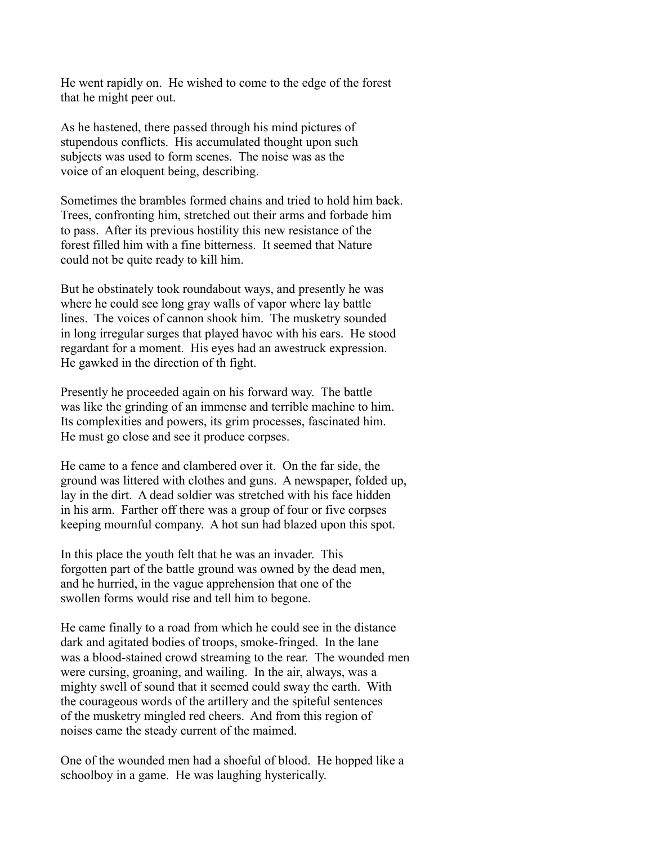He went rapidly on. He wished to come to the edge of the forest that he might peer out.

As he hastened, there passed through his mind pictures of stupendous conflicts. His accumulated thought upon such subjects was used to form scenes. The noise was as the voice of an eloquent being, describing.

Sometimes the brambles formed chains and tried to hold him back. Trees, confronting him, stretched out their arms and forbade him to pass. After its previous hostility this new resistance of the forest filled him with a fine bitterness. It seemed that Nature could not be quite ready to kill him.

But he obstinately took roundabout ways, and presently he was where he could see long gray walls of vapor where lay battle lines. The voices of cannon shook him. The musketry sounded in long irregular surges that played havoc with his ears. He stood regardant for a moment. His eyes had an awestruck expression. He gawked in the direction of th fight.

Presently he proceeded again on his forward way. The battle was like the grinding of an immense and terrible machine to him. Its complexities and powers, its grim processes, fascinated him. He must go close and see it produce corpses.

He came to a fence and clambered over it. On the far side, the ground was littered with clothes and guns. A newspaper, folded up, lay in the dirt. A dead soldier was stretched with his face hidden in his arm. Farther off there was a group of four or five corpses keeping mournful company. A hot sun had blazed upon this spot.

In this place the youth felt that he was an invader. This forgotten part of the battle ground was owned by the dead men, and he hurried, in the vague apprehension that one of the swollen forms would rise and tell him to begone.

He came finally to a road from which he could see in the distance dark and agitated bodies of troops, smoke-fringed. In the lane was a blood-stained crowd streaming to the rear. The wounded men were cursing, groaning, and wailing. In the air, always, was a mighty swell of sound that it seemed could sway the earth. With the courageous words of the artillery and the spiteful sentences of the musketry mingled red cheers. And from this region of noises came the steady current of the maimed.

One of the wounded men had a shoeful of blood. He hopped like a schoolboy in a game. He was laughing hysterically.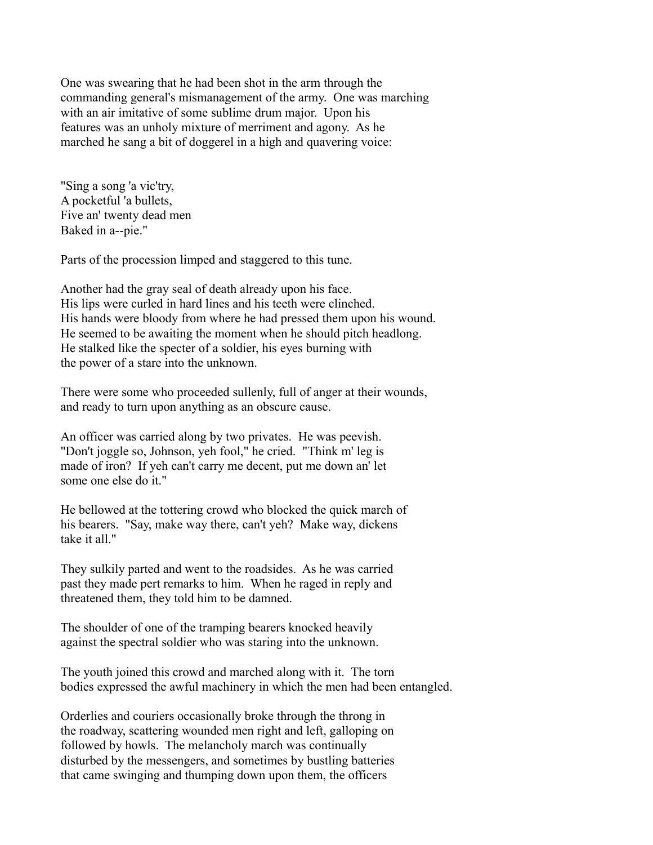One was swearing that he had been shot in the arm through the commanding general's mismanagement of the army. One was marching with an air imitative of some sublime drum major. Upon his features was an unholy mixture of merriment and agony. As he marched he sang a bit of doggerel in a high and quavering voice:

"Sing a song 'a vic'try, A pocketful 'a bullets, Five an' twenty dead men Baked in a--pie."

Parts of the procession limped and staggered to this tune.

Another had the gray seal of death already upon his face. His lips were curled in hard lines and his teeth were clinched. His hands were bloody from where he had pressed them upon his wound. He seemed to be awaiting the moment when he should pitch headlong. He stalked like the specter of a soldier, his eyes burning with the power of a stare into the unknown.

There were some who proceeded sullenly, full of anger at their wounds, and ready to turn upon anything as an obscure cause.

An officer was carried along by two privates. He was peevish. "Don't joggle so, Johnson, yeh fool," he cried. "Think m' leg is made of iron? If yeh can't carry me decent, put me down an' let some one else do it."

He bellowed at the tottering crowd who blocked the quick march of his bearers. "Say, make way there, can't yeh? Make way, dickens take it all."

They sulkily parted and went to the roadsides. As he was carried past they made pert remarks to him. When he raged in reply and threatened them, they told him to be damned.

The shoulder of one of the tramping bearers knocked heavily against the spectral soldier who was staring into the unknown.

The youth joined this crowd and marched along with it. The torn bodies expressed the awful machinery in which the men had been entangled.

Orderlies and couriers occasionally broke through the throng in the roadway, scattering wounded men right and left, galloping on followed by howls. The melancholy march was continually disturbed by the messengers, and sometimes by bustling batteries that came swinging and thumping down upon them, the officers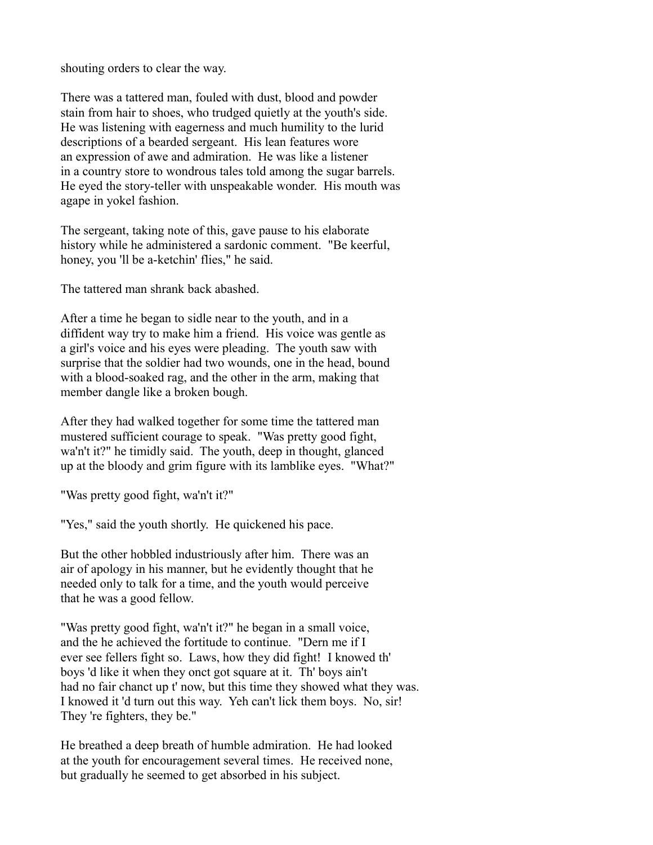shouting orders to clear the way.

There was a tattered man, fouled with dust, blood and powder stain from hair to shoes, who trudged quietly at the youth's side. He was listening with eagerness and much humility to the lurid descriptions of a bearded sergeant. His lean features wore an expression of awe and admiration. He was like a listener in a country store to wondrous tales told among the sugar barrels. He eyed the story-teller with unspeakable wonder. His mouth was agape in yokel fashion.

The sergeant, taking note of this, gave pause to his elaborate history while he administered a sardonic comment. "Be keerful, honey, you 'll be a-ketchin' flies," he said.

The tattered man shrank back abashed.

After a time he began to sidle near to the youth, and in a diffident way try to make him a friend. His voice was gentle as a girl's voice and his eyes were pleading. The youth saw with surprise that the soldier had two wounds, one in the head, bound with a blood-soaked rag, and the other in the arm, making that member dangle like a broken bough.

After they had walked together for some time the tattered man mustered sufficient courage to speak. "Was pretty good fight, wa'n't it?" he timidly said. The youth, deep in thought, glanced up at the bloody and grim figure with its lamblike eyes. "What?"

"Was pretty good fight, wa'n't it?"

"Yes," said the youth shortly. He quickened his pace.

But the other hobbled industriously after him. There was an air of apology in his manner, but he evidently thought that he needed only to talk for a time, and the youth would perceive that he was a good fellow.

"Was pretty good fight, wa'n't it?" he began in a small voice, and the he achieved the fortitude to continue. "Dern me if I ever see fellers fight so. Laws, how they did fight! I knowed th' boys 'd like it when they onct got square at it. Th' boys ain't had no fair chanct up t' now, but this time they showed what they was. I knowed it 'd turn out this way. Yeh can't lick them boys. No, sir! They 're fighters, they be."

He breathed a deep breath of humble admiration. He had looked at the youth for encouragement several times. He received none, but gradually he seemed to get absorbed in his subject.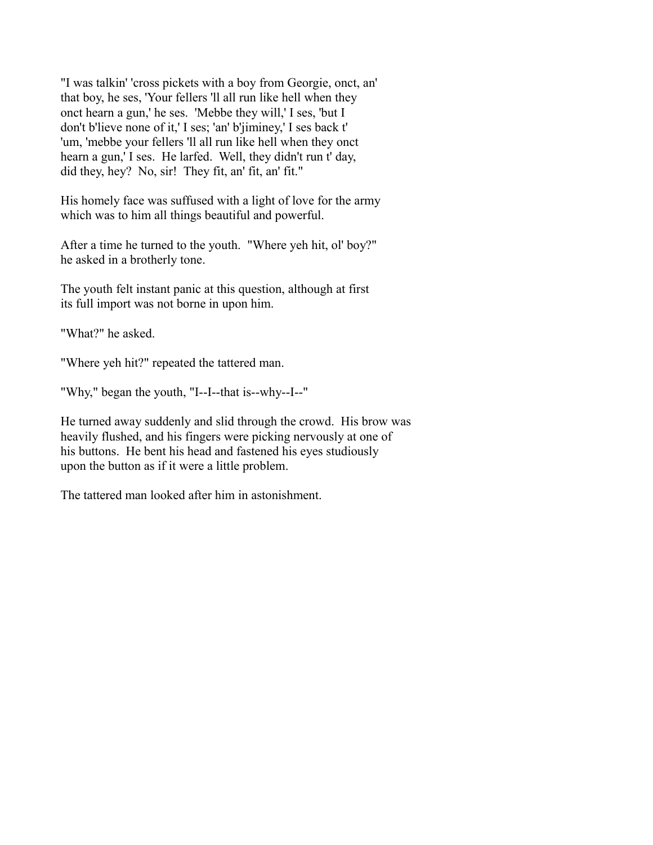"I was talkin' 'cross pickets with a boy from Georgie, onct, an' that boy, he ses, 'Your fellers 'll all run like hell when they onct hearn a gun,' he ses. 'Mebbe they will,' I ses, 'but I don't b'lieve none of it,' I ses; 'an' b'jiminey,' I ses back t' 'um, 'mebbe your fellers 'll all run like hell when they onct hearn a gun,' I ses. He larfed. Well, they didn't run t' day, did they, hey? No, sir! They fit, an' fit, an' fit."

His homely face was suffused with a light of love for the army which was to him all things beautiful and powerful.

After a time he turned to the youth. "Where yeh hit, ol' boy?" he asked in a brotherly tone.

The youth felt instant panic at this question, although at first its full import was not borne in upon him.

"What?" he asked.

"Where yeh hit?" repeated the tattered man.

"Why," began the youth, "I--I--that is--why--I--"

He turned away suddenly and slid through the crowd. His brow was heavily flushed, and his fingers were picking nervously at one of his buttons. He bent his head and fastened his eyes studiously upon the button as if it were a little problem.

The tattered man looked after him in astonishment.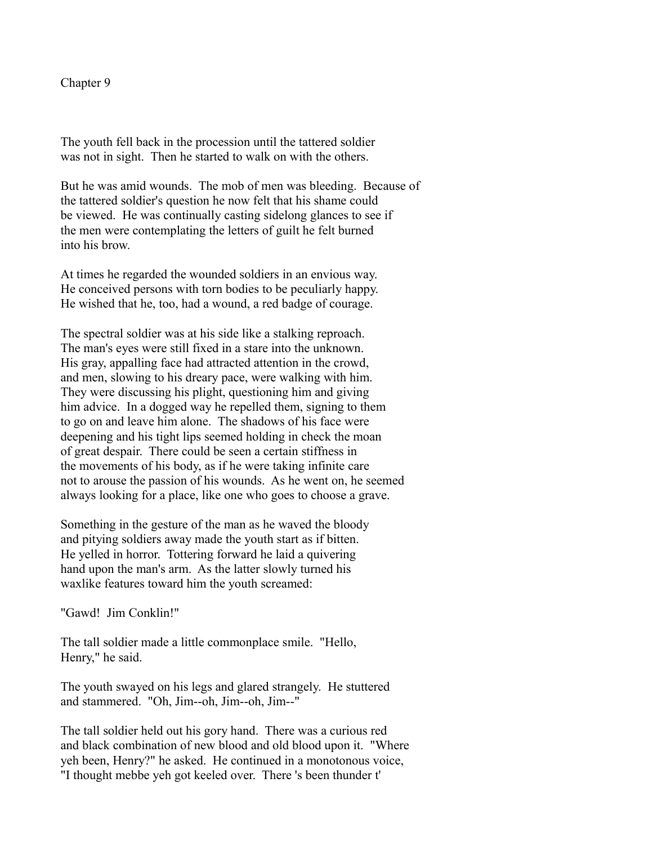## Chapter 9

The youth fell back in the procession until the tattered soldier was not in sight. Then he started to walk on with the others.

But he was amid wounds. The mob of men was bleeding. Because of the tattered soldier's question he now felt that his shame could be viewed. He was continually casting sidelong glances to see if the men were contemplating the letters of guilt he felt burned into his brow.

At times he regarded the wounded soldiers in an envious way. He conceived persons with torn bodies to be peculiarly happy. He wished that he, too, had a wound, a red badge of courage.

The spectral soldier was at his side like a stalking reproach. The man's eyes were still fixed in a stare into the unknown. His gray, appalling face had attracted attention in the crowd, and men, slowing to his dreary pace, were walking with him. They were discussing his plight, questioning him and giving him advice. In a dogged way he repelled them, signing to them to go on and leave him alone. The shadows of his face were deepening and his tight lips seemed holding in check the moan of great despair. There could be seen a certain stiffness in the movements of his body, as if he were taking infinite care not to arouse the passion of his wounds. As he went on, he seemed always looking for a place, like one who goes to choose a grave.

Something in the gesture of the man as he waved the bloody and pitying soldiers away made the youth start as if bitten. He yelled in horror. Tottering forward he laid a quivering hand upon the man's arm. As the latter slowly turned his waxlike features toward him the youth screamed:

"Gawd! Jim Conklin!"

The tall soldier made a little commonplace smile. "Hello, Henry," he said.

The youth swayed on his legs and glared strangely. He stuttered and stammered. "Oh, Jim--oh, Jim--oh, Jim--"

The tall soldier held out his gory hand. There was a curious red and black combination of new blood and old blood upon it. "Where yeh been, Henry?" he asked. He continued in a monotonous voice, "I thought mebbe yeh got keeled over. There 's been thunder t'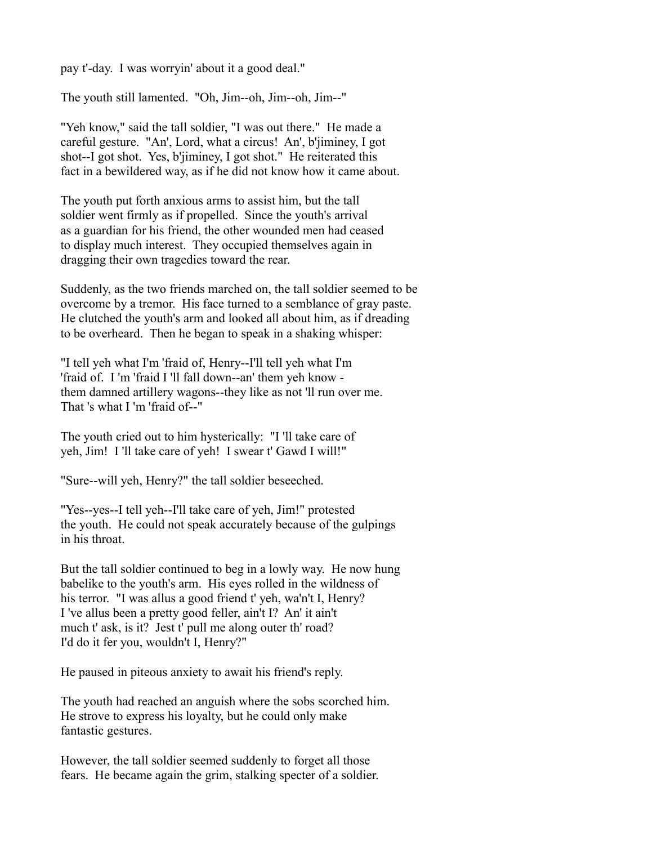pay t'-day. I was worryin' about it a good deal."

The youth still lamented. "Oh, Jim--oh, Jim--oh, Jim--"

"Yeh know," said the tall soldier, "I was out there." He made a careful gesture. "An', Lord, what a circus! An', b'jiminey, I got shot--I got shot. Yes, b'jiminey, I got shot." He reiterated this fact in a bewildered way, as if he did not know how it came about.

The youth put forth anxious arms to assist him, but the tall soldier went firmly as if propelled. Since the youth's arrival as a guardian for his friend, the other wounded men had ceased to display much interest. They occupied themselves again in dragging their own tragedies toward the rear.

Suddenly, as the two friends marched on, the tall soldier seemed to be overcome by a tremor. His face turned to a semblance of gray paste. He clutched the youth's arm and looked all about him, as if dreading to be overheard. Then he began to speak in a shaking whisper:

"I tell yeh what I'm 'fraid of, Henry--I'll tell yeh what I'm 'fraid of. I 'm 'fraid I 'll fall down--an' them yeh know them damned artillery wagons--they like as not 'll run over me. That 's what I 'm 'fraid of--"

The youth cried out to him hysterically: "I 'll take care of yeh, Jim! I 'll take care of yeh! I swear t' Gawd I will!"

"Sure--will yeh, Henry?" the tall soldier beseeched.

"Yes--yes--I tell yeh--I'll take care of yeh, Jim!" protested the youth. He could not speak accurately because of the gulpings in his throat.

But the tall soldier continued to beg in a lowly way. He now hung babelike to the youth's arm. His eyes rolled in the wildness of his terror. "I was allus a good friend t' yeh, wa'n't I, Henry? I 've allus been a pretty good feller, ain't I? An' it ain't much t' ask, is it? Jest t' pull me along outer th' road? I'd do it fer you, wouldn't I, Henry?"

He paused in piteous anxiety to await his friend's reply.

The youth had reached an anguish where the sobs scorched him. He strove to express his loyalty, but he could only make fantastic gestures.

However, the tall soldier seemed suddenly to forget all those fears. He became again the grim, stalking specter of a soldier.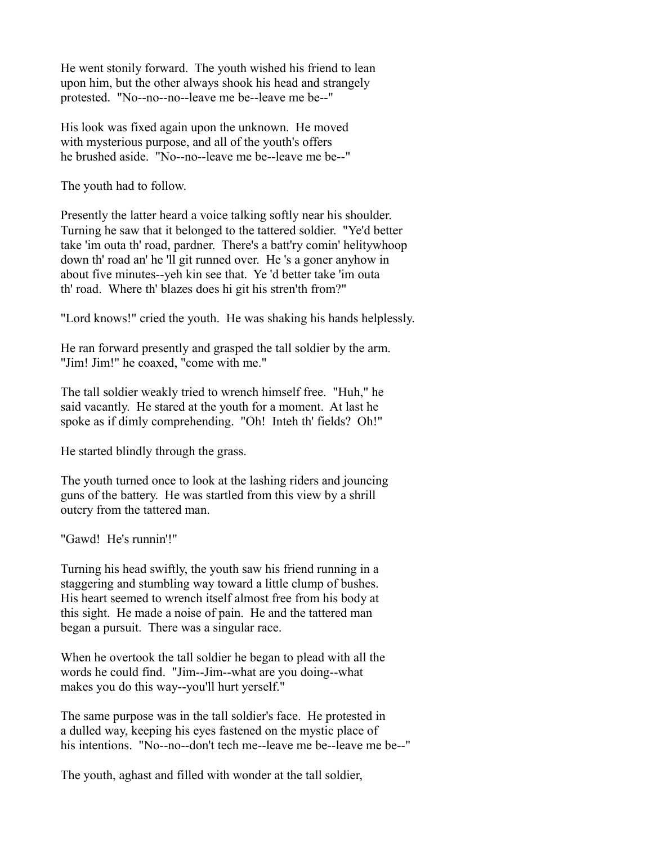He went stonily forward. The youth wished his friend to lean upon him, but the other always shook his head and strangely protested. "No--no--no--leave me be--leave me be--"

His look was fixed again upon the unknown. He moved with mysterious purpose, and all of the youth's offers he brushed aside. "No--no--leave me be--leave me be--"

The youth had to follow.

Presently the latter heard a voice talking softly near his shoulder. Turning he saw that it belonged to the tattered soldier. "Ye'd better take 'im outa th' road, pardner. There's a batt'ry comin' helitywhoop down th' road an' he 'll git runned over. He 's a goner anyhow in about five minutes--yeh kin see that. Ye 'd better take 'im outa th' road. Where th' blazes does hi git his stren'th from?"

"Lord knows!" cried the youth. He was shaking his hands helplessly.

He ran forward presently and grasped the tall soldier by the arm. "Jim! Jim!" he coaxed, "come with me."

The tall soldier weakly tried to wrench himself free. "Huh," he said vacantly. He stared at the youth for a moment. At last he spoke as if dimly comprehending. "Oh! Inteh th' fields? Oh!"

He started blindly through the grass.

The youth turned once to look at the lashing riders and jouncing guns of the battery. He was startled from this view by a shrill outcry from the tattered man.

"Gawd! He's runnin'!"

Turning his head swiftly, the youth saw his friend running in a staggering and stumbling way toward a little clump of bushes. His heart seemed to wrench itself almost free from his body at this sight. He made a noise of pain. He and the tattered man began a pursuit. There was a singular race.

When he overtook the tall soldier he began to plead with all the words he could find. "Jim--Jim--what are you doing--what makes you do this way--you'll hurt yerself."

The same purpose was in the tall soldier's face. He protested in a dulled way, keeping his eyes fastened on the mystic place of his intentions. "No--no--don't tech me--leave me be--leave me be--"

The youth, aghast and filled with wonder at the tall soldier,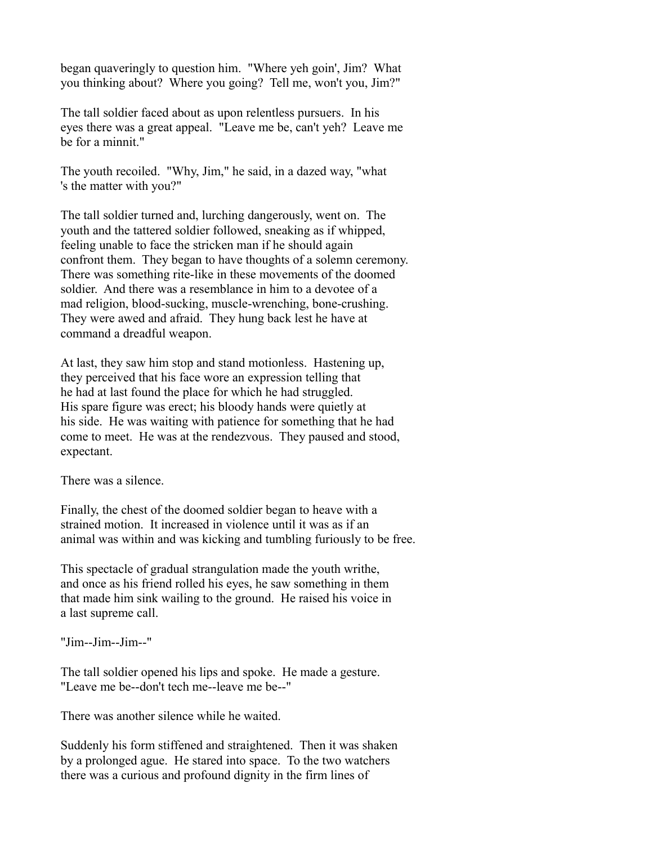began quaveringly to question him. "Where yeh goin', Jim? What you thinking about? Where you going? Tell me, won't you, Jim?"

The tall soldier faced about as upon relentless pursuers. In his eyes there was a great appeal. "Leave me be, can't yeh? Leave me be for a minnit."

The youth recoiled. "Why, Jim," he said, in a dazed way, "what 's the matter with you?"

The tall soldier turned and, lurching dangerously, went on. The youth and the tattered soldier followed, sneaking as if whipped, feeling unable to face the stricken man if he should again confront them. They began to have thoughts of a solemn ceremony. There was something rite-like in these movements of the doomed soldier. And there was a resemblance in him to a devotee of a mad religion, blood-sucking, muscle-wrenching, bone-crushing. They were awed and afraid. They hung back lest he have at command a dreadful weapon.

At last, they saw him stop and stand motionless. Hastening up, they perceived that his face wore an expression telling that he had at last found the place for which he had struggled. His spare figure was erect; his bloody hands were quietly at his side. He was waiting with patience for something that he had come to meet. He was at the rendezvous. They paused and stood, expectant.

There was a silence.

Finally, the chest of the doomed soldier began to heave with a strained motion. It increased in violence until it was as if an animal was within and was kicking and tumbling furiously to be free.

This spectacle of gradual strangulation made the youth writhe, and once as his friend rolled his eyes, he saw something in them that made him sink wailing to the ground. He raised his voice in a last supreme call.

"Jim--Jim--Jim--"

The tall soldier opened his lips and spoke. He made a gesture. "Leave me be--don't tech me--leave me be--"

There was another silence while he waited.

Suddenly his form stiffened and straightened. Then it was shaken by a prolonged ague. He stared into space. To the two watchers there was a curious and profound dignity in the firm lines of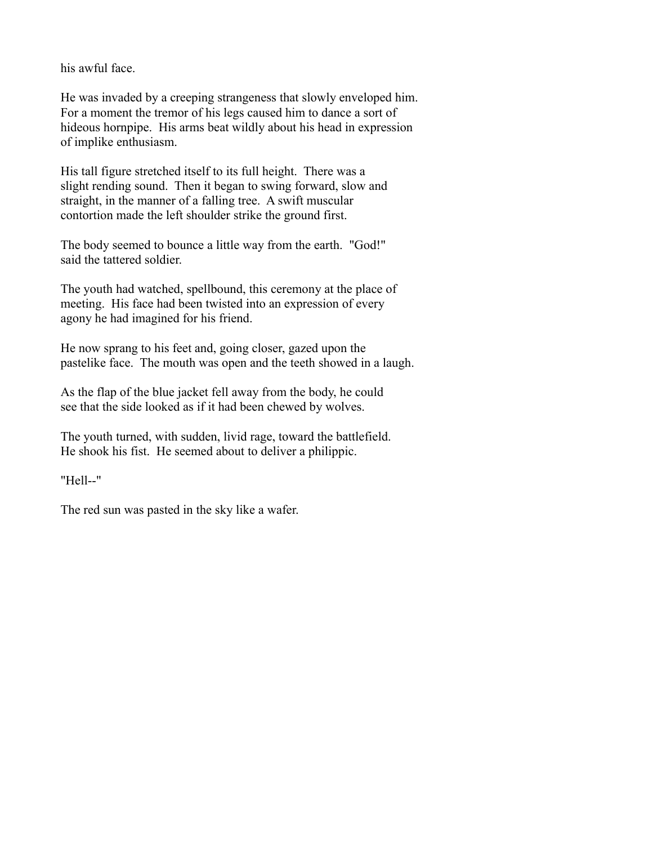his awful face.

He was invaded by a creeping strangeness that slowly enveloped him. For a moment the tremor of his legs caused him to dance a sort of hideous hornpipe. His arms beat wildly about his head in expression of implike enthusiasm.

His tall figure stretched itself to its full height. There was a slight rending sound. Then it began to swing forward, slow and straight, in the manner of a falling tree. A swift muscular contortion made the left shoulder strike the ground first.

The body seemed to bounce a little way from the earth. "God!" said the tattered soldier.

The youth had watched, spellbound, this ceremony at the place of meeting. His face had been twisted into an expression of every agony he had imagined for his friend.

He now sprang to his feet and, going closer, gazed upon the pastelike face. The mouth was open and the teeth showed in a laugh.

As the flap of the blue jacket fell away from the body, he could see that the side looked as if it had been chewed by wolves.

The youth turned, with sudden, livid rage, toward the battlefield. He shook his fist. He seemed about to deliver a philippic.

"Hell--"

The red sun was pasted in the sky like a wafer.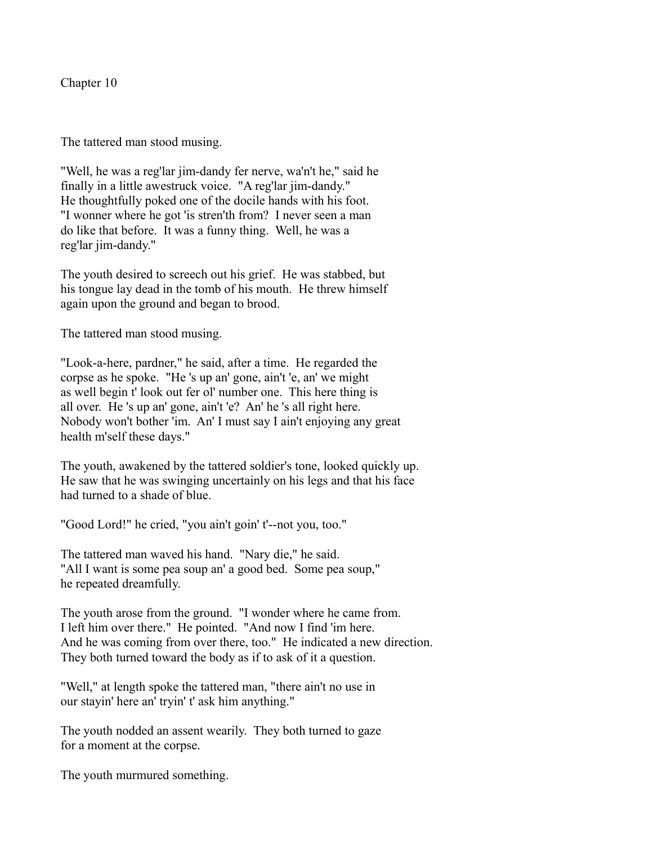Chapter 10

The tattered man stood musing.

"Well, he was a reg'lar jim-dandy fer nerve, wa'n't he," said he finally in a little awestruck voice. "A reg'lar jim-dandy." He thoughtfully poked one of the docile hands with his foot. "I wonner where he got 'is stren'th from? I never seen a man do like that before. It was a funny thing. Well, he was a reg'lar jim-dandy."

The youth desired to screech out his grief. He was stabbed, but his tongue lay dead in the tomb of his mouth. He threw himself again upon the ground and began to brood.

The tattered man stood musing.

"Look-a-here, pardner," he said, after a time. He regarded the corpse as he spoke. "He 's up an' gone, ain't 'e, an' we might as well begin t' look out fer ol' number one. This here thing is all over. He 's up an' gone, ain't 'e? An' he 's all right here. Nobody won't bother 'im. An' I must say I ain't enjoying any great health m'self these days."

The youth, awakened by the tattered soldier's tone, looked quickly up. He saw that he was swinging uncertainly on his legs and that his face had turned to a shade of blue.

"Good Lord!" he cried, "you ain't goin' t'--not you, too."

The tattered man waved his hand. "Nary die," he said. "All I want is some pea soup an' a good bed. Some pea soup," he repeated dreamfully.

The youth arose from the ground. "I wonder where he came from. I left him over there." He pointed. "And now I find 'im here. And he was coming from over there, too." He indicated a new direction. They both turned toward the body as if to ask of it a question.

"Well," at length spoke the tattered man, "there ain't no use in our stayin' here an' tryin' t' ask him anything."

The youth nodded an assent wearily. They both turned to gaze for a moment at the corpse.

The youth murmured something.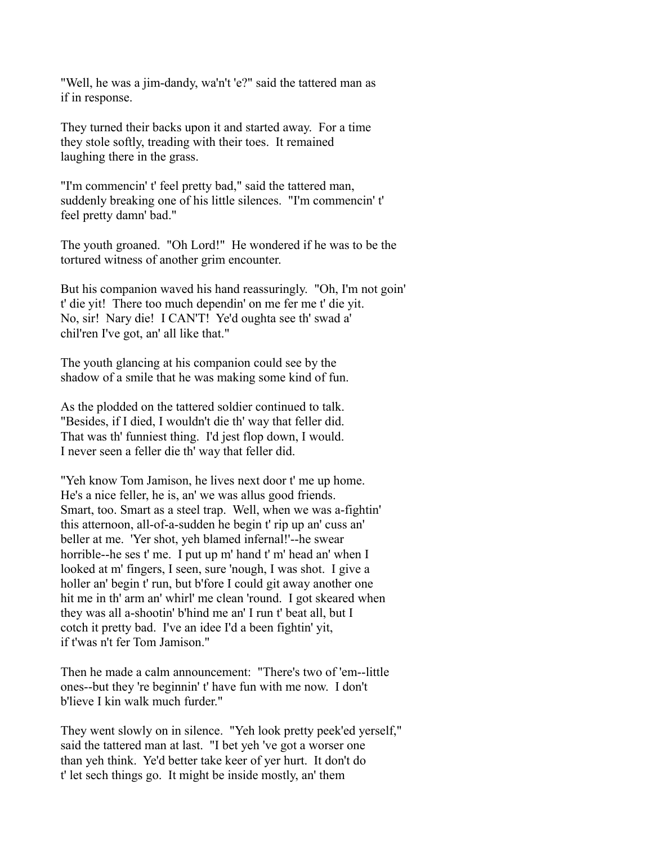"Well, he was a jim-dandy, wa'n't 'e?" said the tattered man as if in response.

They turned their backs upon it and started away. For a time they stole softly, treading with their toes. It remained laughing there in the grass.

"I'm commencin' t' feel pretty bad," said the tattered man, suddenly breaking one of his little silences. "I'm commencin' t' feel pretty damn' bad."

The youth groaned. "Oh Lord!" He wondered if he was to be the tortured witness of another grim encounter.

But his companion waved his hand reassuringly. "Oh, I'm not goin' t' die yit! There too much dependin' on me fer me t' die yit. No, sir! Nary die! I CAN'T! Ye'd oughta see th' swad a' chil'ren I've got, an' all like that."

The youth glancing at his companion could see by the shadow of a smile that he was making some kind of fun.

As the plodded on the tattered soldier continued to talk. "Besides, if I died, I wouldn't die th' way that feller did. That was th' funniest thing. I'd jest flop down, I would. I never seen a feller die th' way that feller did.

"Yeh know Tom Jamison, he lives next door t' me up home. He's a nice feller, he is, an' we was allus good friends. Smart, too. Smart as a steel trap. Well, when we was a-fightin' this atternoon, all-of-a-sudden he begin t' rip up an' cuss an' beller at me. 'Yer shot, yeh blamed infernal!'--he swear horrible--he ses t' me. I put up m' hand t' m' head an' when I looked at m' fingers, I seen, sure 'nough, I was shot. I give a holler an' begin t' run, but b'fore I could git away another one hit me in th' arm an' whirl' me clean 'round. I got skeared when they was all a-shootin' b'hind me an' I run t' beat all, but I cotch it pretty bad. I've an idee I'd a been fightin' yit, if t'was n't fer Tom Jamison."

Then he made a calm announcement: "There's two of 'em--little ones--but they 're beginnin' t' have fun with me now. I don't b'lieve I kin walk much furder."

They went slowly on in silence. "Yeh look pretty peek'ed yerself," said the tattered man at last. "I bet yeh 've got a worser one than yeh think. Ye'd better take keer of yer hurt. It don't do t' let sech things go. It might be inside mostly, an' them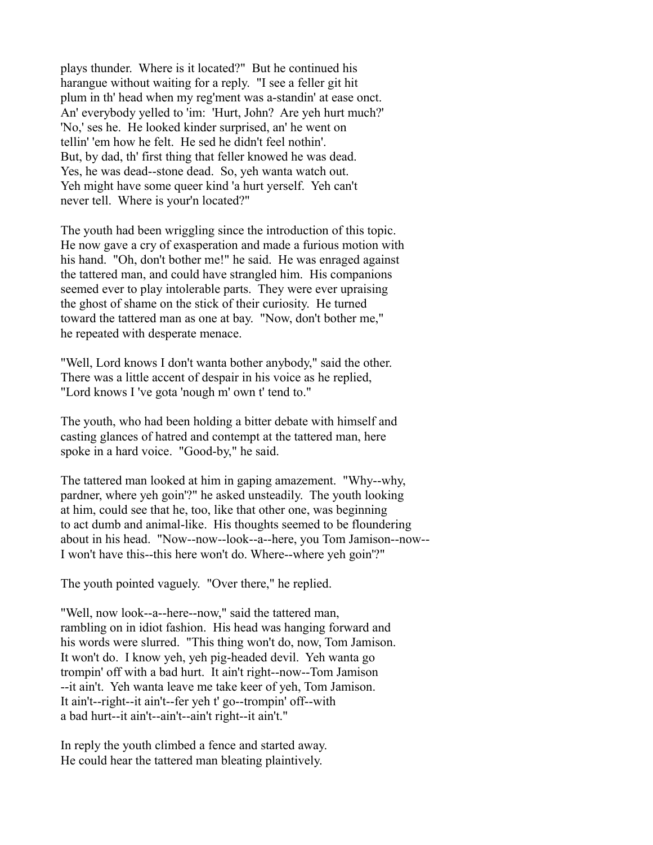plays thunder. Where is it located?" But he continued his harangue without waiting for a reply. "I see a feller git hit plum in th' head when my reg'ment was a-standin' at ease onct. An' everybody yelled to 'im: 'Hurt, John? Are yeh hurt much?' 'No,' ses he. He looked kinder surprised, an' he went on tellin' 'em how he felt. He sed he didn't feel nothin'. But, by dad, th' first thing that feller knowed he was dead. Yes, he was dead--stone dead. So, yeh wanta watch out. Yeh might have some queer kind 'a hurt yerself. Yeh can't never tell. Where is your'n located?"

The youth had been wriggling since the introduction of this topic. He now gave a cry of exasperation and made a furious motion with his hand. "Oh, don't bother me!" he said. He was enraged against the tattered man, and could have strangled him. His companions seemed ever to play intolerable parts. They were ever upraising the ghost of shame on the stick of their curiosity. He turned toward the tattered man as one at bay. "Now, don't bother me," he repeated with desperate menace.

"Well, Lord knows I don't wanta bother anybody," said the other. There was a little accent of despair in his voice as he replied, "Lord knows I 've gota 'nough m' own t' tend to."

The youth, who had been holding a bitter debate with himself and casting glances of hatred and contempt at the tattered man, here spoke in a hard voice. "Good-by," he said.

The tattered man looked at him in gaping amazement. "Why--why, pardner, where yeh goin'?" he asked unsteadily. The youth looking at him, could see that he, too, like that other one, was beginning to act dumb and animal-like. His thoughts seemed to be floundering about in his head. "Now--now--look--a--here, you Tom Jamison--now-- I won't have this--this here won't do. Where--where yeh goin'?"

The youth pointed vaguely. "Over there," he replied.

"Well, now look--a--here--now," said the tattered man, rambling on in idiot fashion. His head was hanging forward and his words were slurred. "This thing won't do, now, Tom Jamison. It won't do. I know yeh, yeh pig-headed devil. Yeh wanta go trompin' off with a bad hurt. It ain't right--now--Tom Jamison --it ain't. Yeh wanta leave me take keer of yeh, Tom Jamison. It ain't--right--it ain't--fer yeh t' go--trompin' off--with a bad hurt--it ain't--ain't--ain't right--it ain't."

In reply the youth climbed a fence and started away. He could hear the tattered man bleating plaintively.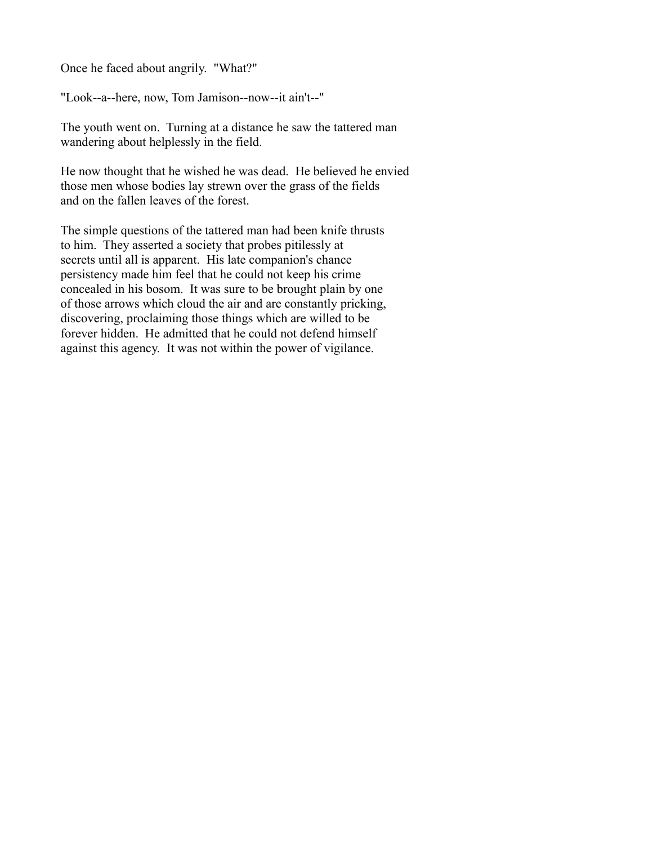Once he faced about angrily. "What?"

"Look--a--here, now, Tom Jamison--now--it ain't--"

The youth went on. Turning at a distance he saw the tattered man wandering about helplessly in the field.

He now thought that he wished he was dead. He believed he envied those men whose bodies lay strewn over the grass of the fields and on the fallen leaves of the forest.

The simple questions of the tattered man had been knife thrusts to him. They asserted a society that probes pitilessly at secrets until all is apparent. His late companion's chance persistency made him feel that he could not keep his crime concealed in his bosom. It was sure to be brought plain by one of those arrows which cloud the air and are constantly pricking, discovering, proclaiming those things which are willed to be forever hidden. He admitted that he could not defend himself against this agency. It was not within the power of vigilance.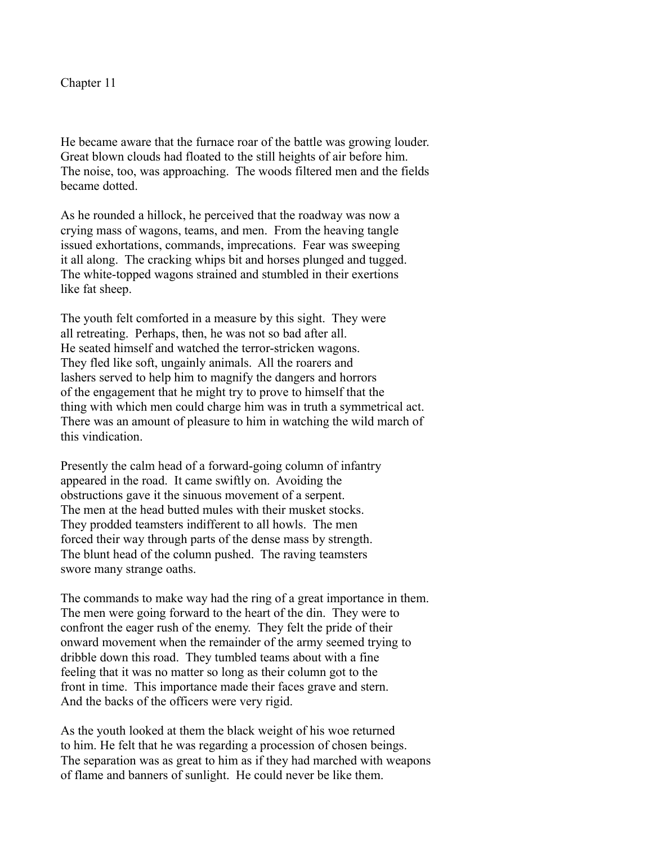Chapter 11

He became aware that the furnace roar of the battle was growing louder. Great blown clouds had floated to the still heights of air before him. The noise, too, was approaching. The woods filtered men and the fields became dotted.

As he rounded a hillock, he perceived that the roadway was now a crying mass of wagons, teams, and men. From the heaving tangle issued exhortations, commands, imprecations. Fear was sweeping it all along. The cracking whips bit and horses plunged and tugged. The white-topped wagons strained and stumbled in their exertions like fat sheep.

The youth felt comforted in a measure by this sight. They were all retreating. Perhaps, then, he was not so bad after all. He seated himself and watched the terror-stricken wagons. They fled like soft, ungainly animals. All the roarers and lashers served to help him to magnify the dangers and horrors of the engagement that he might try to prove to himself that the thing with which men could charge him was in truth a symmetrical act. There was an amount of pleasure to him in watching the wild march of this vindication.

Presently the calm head of a forward-going column of infantry appeared in the road. It came swiftly on. Avoiding the obstructions gave it the sinuous movement of a serpent. The men at the head butted mules with their musket stocks. They prodded teamsters indifferent to all howls. The men forced their way through parts of the dense mass by strength. The blunt head of the column pushed. The raving teamsters swore many strange oaths.

The commands to make way had the ring of a great importance in them. The men were going forward to the heart of the din. They were to confront the eager rush of the enemy. They felt the pride of their onward movement when the remainder of the army seemed trying to dribble down this road. They tumbled teams about with a fine feeling that it was no matter so long as their column got to the front in time. This importance made their faces grave and stern. And the backs of the officers were very rigid.

As the youth looked at them the black weight of his woe returned to him. He felt that he was regarding a procession of chosen beings. The separation was as great to him as if they had marched with weapons of flame and banners of sunlight. He could never be like them.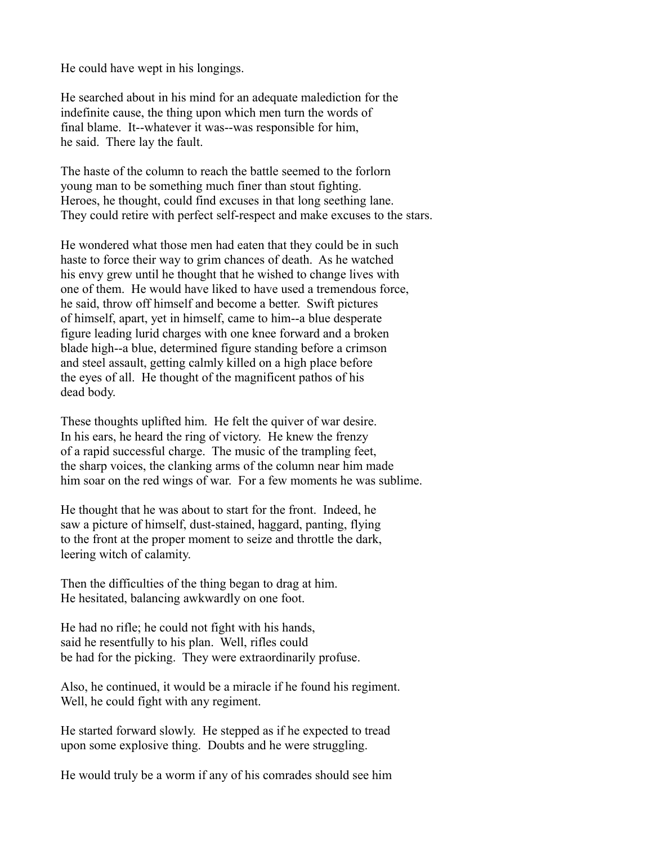He could have wept in his longings.

He searched about in his mind for an adequate malediction for the indefinite cause, the thing upon which men turn the words of final blame. It--whatever it was--was responsible for him, he said. There lay the fault.

The haste of the column to reach the battle seemed to the forlorn young man to be something much finer than stout fighting. Heroes, he thought, could find excuses in that long seething lane. They could retire with perfect self-respect and make excuses to the stars.

He wondered what those men had eaten that they could be in such haste to force their way to grim chances of death. As he watched his envy grew until he thought that he wished to change lives with one of them. He would have liked to have used a tremendous force, he said, throw off himself and become a better. Swift pictures of himself, apart, yet in himself, came to him--a blue desperate figure leading lurid charges with one knee forward and a broken blade high--a blue, determined figure standing before a crimson and steel assault, getting calmly killed on a high place before the eyes of all. He thought of the magnificent pathos of his dead body.

These thoughts uplifted him. He felt the quiver of war desire. In his ears, he heard the ring of victory. He knew the frenzy of a rapid successful charge. The music of the trampling feet, the sharp voices, the clanking arms of the column near him made him soar on the red wings of war. For a few moments he was sublime.

He thought that he was about to start for the front. Indeed, he saw a picture of himself, dust-stained, haggard, panting, flying to the front at the proper moment to seize and throttle the dark, leering witch of calamity.

Then the difficulties of the thing began to drag at him. He hesitated, balancing awkwardly on one foot.

He had no rifle; he could not fight with his hands, said he resentfully to his plan. Well, rifles could be had for the picking. They were extraordinarily profuse.

Also, he continued, it would be a miracle if he found his regiment. Well, he could fight with any regiment.

He started forward slowly. He stepped as if he expected to tread upon some explosive thing. Doubts and he were struggling.

He would truly be a worm if any of his comrades should see him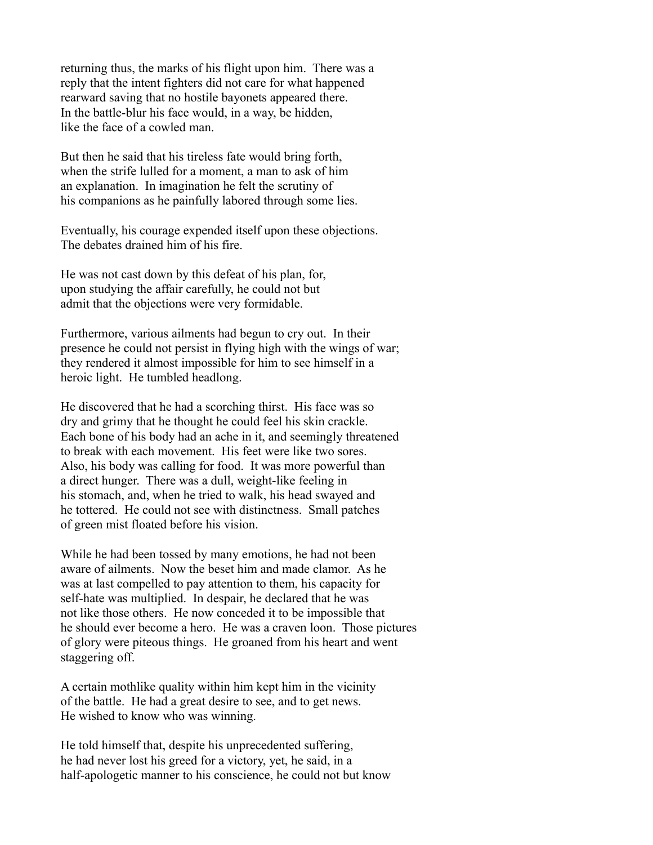returning thus, the marks of his flight upon him. There was a reply that the intent fighters did not care for what happened rearward saving that no hostile bayonets appeared there. In the battle-blur his face would, in a way, be hidden, like the face of a cowled man.

But then he said that his tireless fate would bring forth, when the strife lulled for a moment, a man to ask of him an explanation. In imagination he felt the scrutiny of his companions as he painfully labored through some lies.

Eventually, his courage expended itself upon these objections. The debates drained him of his fire.

He was not cast down by this defeat of his plan, for, upon studying the affair carefully, he could not but admit that the objections were very formidable.

Furthermore, various ailments had begun to cry out. In their presence he could not persist in flying high with the wings of war; they rendered it almost impossible for him to see himself in a heroic light. He tumbled headlong.

He discovered that he had a scorching thirst. His face was so dry and grimy that he thought he could feel his skin crackle. Each bone of his body had an ache in it, and seemingly threatened to break with each movement. His feet were like two sores. Also, his body was calling for food. It was more powerful than a direct hunger. There was a dull, weight-like feeling in his stomach, and, when he tried to walk, his head swayed and he tottered. He could not see with distinctness. Small patches of green mist floated before his vision.

While he had been tossed by many emotions, he had not been aware of ailments. Now the beset him and made clamor. As he was at last compelled to pay attention to them, his capacity for self-hate was multiplied. In despair, he declared that he was not like those others. He now conceded it to be impossible that he should ever become a hero. He was a craven loon. Those pictures of glory were piteous things. He groaned from his heart and went staggering off.

A certain mothlike quality within him kept him in the vicinity of the battle. He had a great desire to see, and to get news. He wished to know who was winning.

He told himself that, despite his unprecedented suffering, he had never lost his greed for a victory, yet, he said, in a half-apologetic manner to his conscience, he could not but know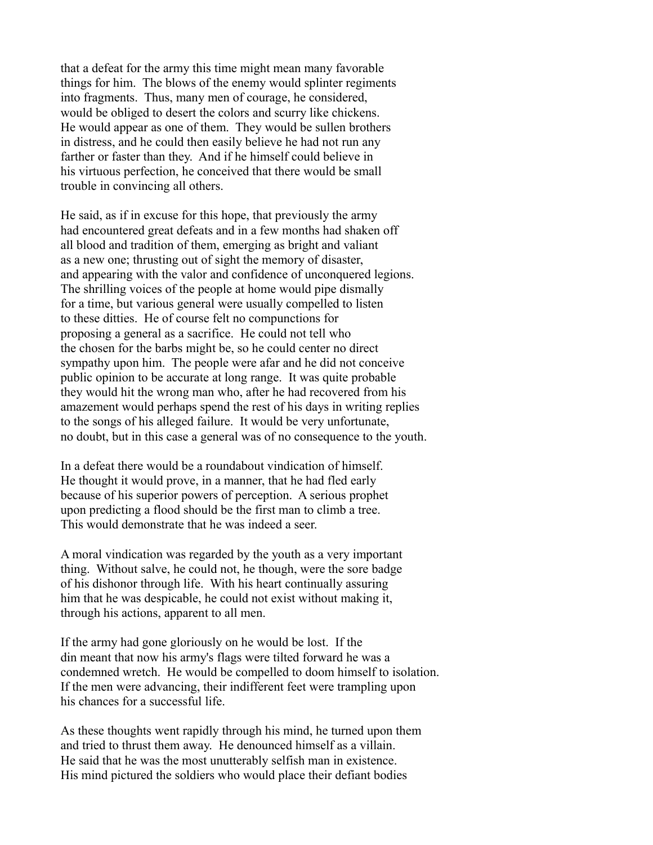that a defeat for the army this time might mean many favorable things for him. The blows of the enemy would splinter regiments into fragments. Thus, many men of courage, he considered, would be obliged to desert the colors and scurry like chickens. He would appear as one of them. They would be sullen brothers in distress, and he could then easily believe he had not run any farther or faster than they. And if he himself could believe in his virtuous perfection, he conceived that there would be small trouble in convincing all others.

He said, as if in excuse for this hope, that previously the army had encountered great defeats and in a few months had shaken off all blood and tradition of them, emerging as bright and valiant as a new one; thrusting out of sight the memory of disaster, and appearing with the valor and confidence of unconquered legions. The shrilling voices of the people at home would pipe dismally for a time, but various general were usually compelled to listen to these ditties. He of course felt no compunctions for proposing a general as a sacrifice. He could not tell who the chosen for the barbs might be, so he could center no direct sympathy upon him. The people were afar and he did not conceive public opinion to be accurate at long range. It was quite probable they would hit the wrong man who, after he had recovered from his amazement would perhaps spend the rest of his days in writing replies to the songs of his alleged failure. It would be very unfortunate, no doubt, but in this case a general was of no consequence to the youth.

In a defeat there would be a roundabout vindication of himself. He thought it would prove, in a manner, that he had fled early because of his superior powers of perception. A serious prophet upon predicting a flood should be the first man to climb a tree. This would demonstrate that he was indeed a seer.

A moral vindication was regarded by the youth as a very important thing. Without salve, he could not, he though, were the sore badge of his dishonor through life. With his heart continually assuring him that he was despicable, he could not exist without making it, through his actions, apparent to all men.

If the army had gone gloriously on he would be lost. If the din meant that now his army's flags were tilted forward he was a condemned wretch. He would be compelled to doom himself to isolation. If the men were advancing, their indifferent feet were trampling upon his chances for a successful life.

As these thoughts went rapidly through his mind, he turned upon them and tried to thrust them away. He denounced himself as a villain. He said that he was the most unutterably selfish man in existence. His mind pictured the soldiers who would place their defiant bodies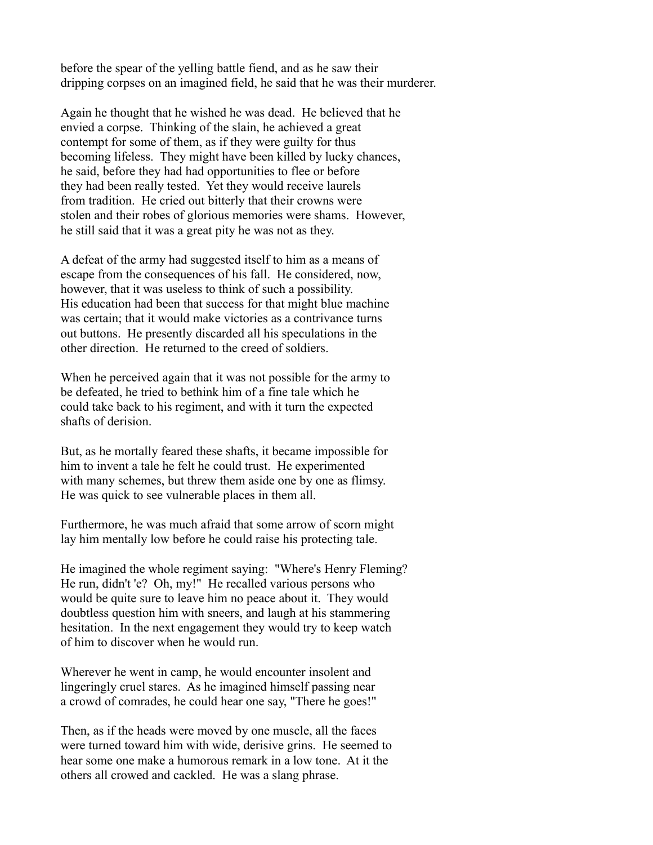before the spear of the yelling battle fiend, and as he saw their dripping corpses on an imagined field, he said that he was their murderer.

Again he thought that he wished he was dead. He believed that he envied a corpse. Thinking of the slain, he achieved a great contempt for some of them, as if they were guilty for thus becoming lifeless. They might have been killed by lucky chances, he said, before they had had opportunities to flee or before they had been really tested. Yet they would receive laurels from tradition. He cried out bitterly that their crowns were stolen and their robes of glorious memories were shams. However, he still said that it was a great pity he was not as they.

A defeat of the army had suggested itself to him as a means of escape from the consequences of his fall. He considered, now, however, that it was useless to think of such a possibility. His education had been that success for that might blue machine was certain; that it would make victories as a contrivance turns out buttons. He presently discarded all his speculations in the other direction. He returned to the creed of soldiers.

When he perceived again that it was not possible for the army to be defeated, he tried to bethink him of a fine tale which he could take back to his regiment, and with it turn the expected shafts of derision.

But, as he mortally feared these shafts, it became impossible for him to invent a tale he felt he could trust. He experimented with many schemes, but threw them aside one by one as flimsy. He was quick to see vulnerable places in them all.

Furthermore, he was much afraid that some arrow of scorn might lay him mentally low before he could raise his protecting tale.

He imagined the whole regiment saying: "Where's Henry Fleming? He run, didn't 'e? Oh, my!" He recalled various persons who would be quite sure to leave him no peace about it. They would doubtless question him with sneers, and laugh at his stammering hesitation. In the next engagement they would try to keep watch of him to discover when he would run.

Wherever he went in camp, he would encounter insolent and lingeringly cruel stares. As he imagined himself passing near a crowd of comrades, he could hear one say, "There he goes!"

Then, as if the heads were moved by one muscle, all the faces were turned toward him with wide, derisive grins. He seemed to hear some one make a humorous remark in a low tone. At it the others all crowed and cackled. He was a slang phrase.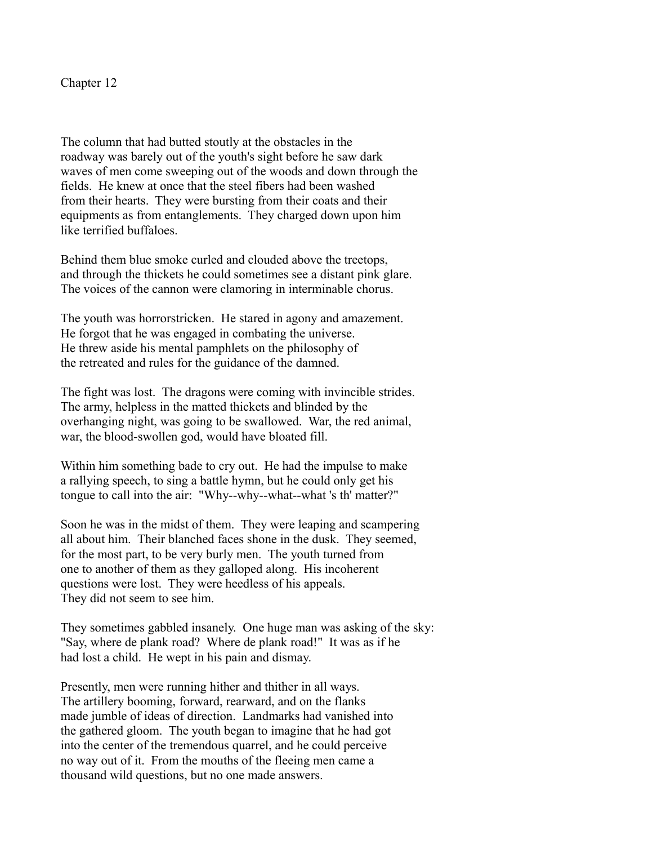Chapter 12

The column that had butted stoutly at the obstacles in the roadway was barely out of the youth's sight before he saw dark waves of men come sweeping out of the woods and down through the fields. He knew at once that the steel fibers had been washed from their hearts. They were bursting from their coats and their equipments as from entanglements. They charged down upon him like terrified buffaloes.

Behind them blue smoke curled and clouded above the treetops, and through the thickets he could sometimes see a distant pink glare. The voices of the cannon were clamoring in interminable chorus.

The youth was horrorstricken. He stared in agony and amazement. He forgot that he was engaged in combating the universe. He threw aside his mental pamphlets on the philosophy of the retreated and rules for the guidance of the damned.

The fight was lost. The dragons were coming with invincible strides. The army, helpless in the matted thickets and blinded by the overhanging night, was going to be swallowed. War, the red animal, war, the blood-swollen god, would have bloated fill.

Within him something bade to cry out. He had the impulse to make a rallying speech, to sing a battle hymn, but he could only get his tongue to call into the air: "Why--why--what--what 's th' matter?"

Soon he was in the midst of them. They were leaping and scampering all about him. Their blanched faces shone in the dusk. They seemed, for the most part, to be very burly men. The youth turned from one to another of them as they galloped along. His incoherent questions were lost. They were heedless of his appeals. They did not seem to see him.

They sometimes gabbled insanely. One huge man was asking of the sky: "Say, where de plank road? Where de plank road!" It was as if he had lost a child. He wept in his pain and dismay.

Presently, men were running hither and thither in all ways. The artillery booming, forward, rearward, and on the flanks made jumble of ideas of direction. Landmarks had vanished into the gathered gloom. The youth began to imagine that he had got into the center of the tremendous quarrel, and he could perceive no way out of it. From the mouths of the fleeing men came a thousand wild questions, but no one made answers.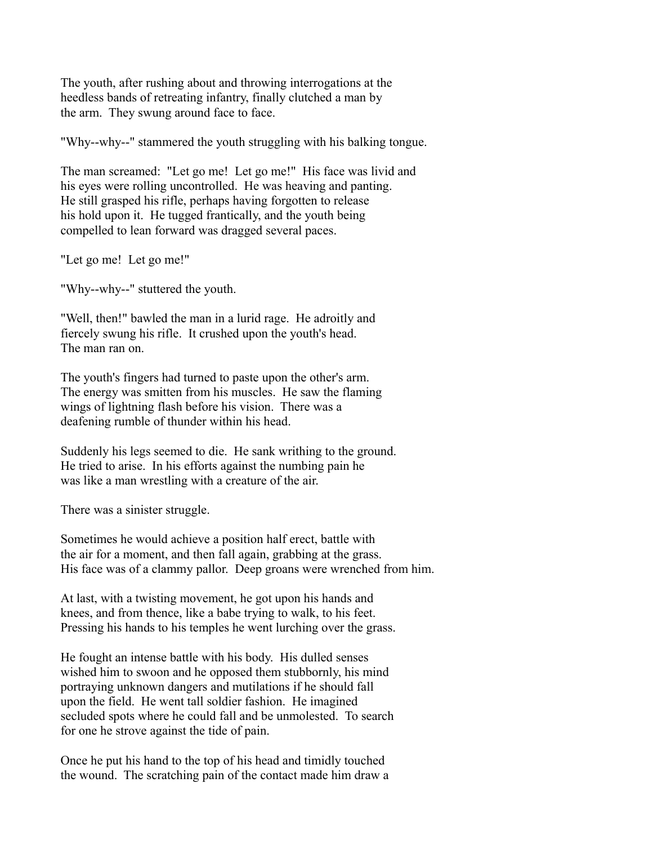The youth, after rushing about and throwing interrogations at the heedless bands of retreating infantry, finally clutched a man by the arm. They swung around face to face.

"Why--why--" stammered the youth struggling with his balking tongue.

The man screamed: "Let go me! Let go me!" His face was livid and his eyes were rolling uncontrolled. He was heaving and panting. He still grasped his rifle, perhaps having forgotten to release his hold upon it. He tugged frantically, and the youth being compelled to lean forward was dragged several paces.

"Let go me! Let go me!"

"Why--why--" stuttered the youth.

"Well, then!" bawled the man in a lurid rage. He adroitly and fiercely swung his rifle. It crushed upon the youth's head. The man ran on.

The youth's fingers had turned to paste upon the other's arm. The energy was smitten from his muscles. He saw the flaming wings of lightning flash before his vision. There was a deafening rumble of thunder within his head.

Suddenly his legs seemed to die. He sank writhing to the ground. He tried to arise. In his efforts against the numbing pain he was like a man wrestling with a creature of the air.

There was a sinister struggle.

Sometimes he would achieve a position half erect, battle with the air for a moment, and then fall again, grabbing at the grass. His face was of a clammy pallor. Deep groans were wrenched from him.

At last, with a twisting movement, he got upon his hands and knees, and from thence, like a babe trying to walk, to his feet. Pressing his hands to his temples he went lurching over the grass.

He fought an intense battle with his body. His dulled senses wished him to swoon and he opposed them stubbornly, his mind portraying unknown dangers and mutilations if he should fall upon the field. He went tall soldier fashion. He imagined secluded spots where he could fall and be unmolested. To search for one he strove against the tide of pain.

Once he put his hand to the top of his head and timidly touched the wound. The scratching pain of the contact made him draw a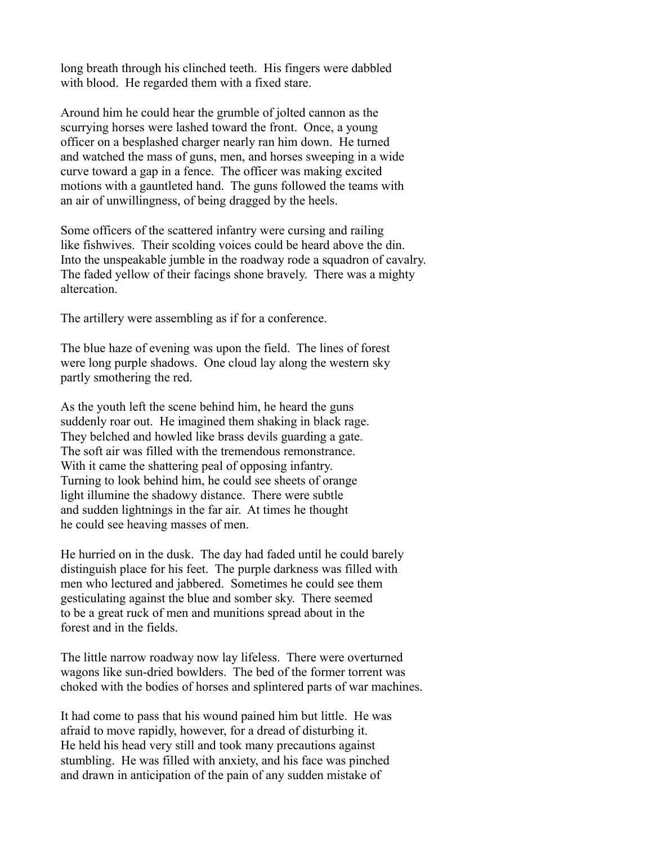long breath through his clinched teeth. His fingers were dabbled with blood. He regarded them with a fixed stare.

Around him he could hear the grumble of jolted cannon as the scurrying horses were lashed toward the front. Once, a young officer on a besplashed charger nearly ran him down. He turned and watched the mass of guns, men, and horses sweeping in a wide curve toward a gap in a fence. The officer was making excited motions with a gauntleted hand. The guns followed the teams with an air of unwillingness, of being dragged by the heels.

Some officers of the scattered infantry were cursing and railing like fishwives. Their scolding voices could be heard above the din. Into the unspeakable jumble in the roadway rode a squadron of cavalry. The faded yellow of their facings shone bravely. There was a mighty altercation.

The artillery were assembling as if for a conference.

The blue haze of evening was upon the field. The lines of forest were long purple shadows. One cloud lay along the western sky partly smothering the red.

As the youth left the scene behind him, he heard the guns suddenly roar out. He imagined them shaking in black rage. They belched and howled like brass devils guarding a gate. The soft air was filled with the tremendous remonstrance. With it came the shattering peal of opposing infantry. Turning to look behind him, he could see sheets of orange light illumine the shadowy distance. There were subtle and sudden lightnings in the far air. At times he thought he could see heaving masses of men.

He hurried on in the dusk. The day had faded until he could barely distinguish place for his feet. The purple darkness was filled with men who lectured and jabbered. Sometimes he could see them gesticulating against the blue and somber sky. There seemed to be a great ruck of men and munitions spread about in the forest and in the fields.

The little narrow roadway now lay lifeless. There were overturned wagons like sun-dried bowlders. The bed of the former torrent was choked with the bodies of horses and splintered parts of war machines.

It had come to pass that his wound pained him but little. He was afraid to move rapidly, however, for a dread of disturbing it. He held his head very still and took many precautions against stumbling. He was filled with anxiety, and his face was pinched and drawn in anticipation of the pain of any sudden mistake of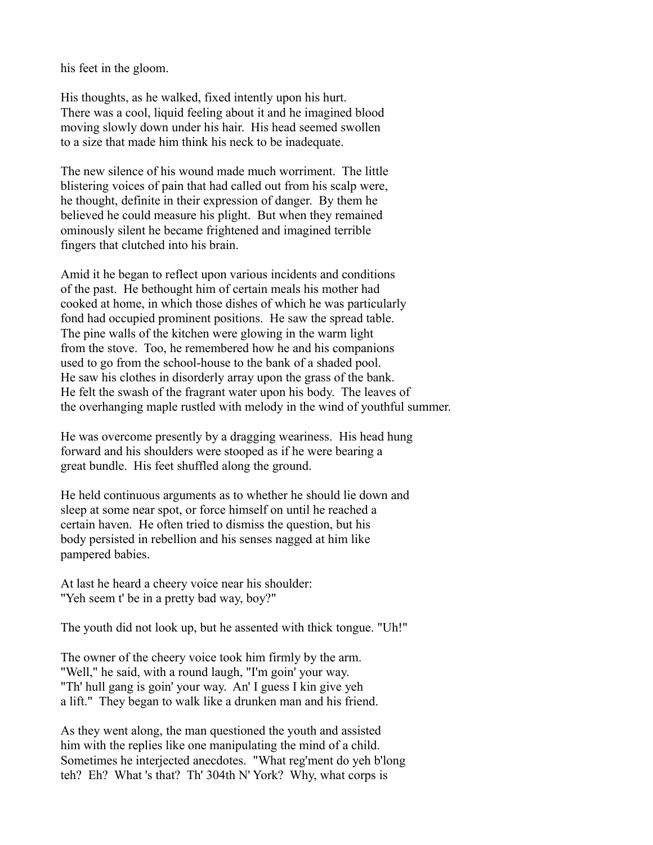his feet in the gloom.

His thoughts, as he walked, fixed intently upon his hurt. There was a cool, liquid feeling about it and he imagined blood moving slowly down under his hair. His head seemed swollen to a size that made him think his neck to be inadequate.

The new silence of his wound made much worriment. The little blistering voices of pain that had called out from his scalp were, he thought, definite in their expression of danger. By them he believed he could measure his plight. But when they remained ominously silent he became frightened and imagined terrible fingers that clutched into his brain.

Amid it he began to reflect upon various incidents and conditions of the past. He bethought him of certain meals his mother had cooked at home, in which those dishes of which he was particularly fond had occupied prominent positions. He saw the spread table. The pine walls of the kitchen were glowing in the warm light from the stove. Too, he remembered how he and his companions used to go from the school-house to the bank of a shaded pool. He saw his clothes in disorderly array upon the grass of the bank. He felt the swash of the fragrant water upon his body. The leaves of the overhanging maple rustled with melody in the wind of youthful summer.

He was overcome presently by a dragging weariness. His head hung forward and his shoulders were stooped as if he were bearing a great bundle. His feet shuffled along the ground.

He held continuous arguments as to whether he should lie down and sleep at some near spot, or force himself on until he reached a certain haven. He often tried to dismiss the question, but his body persisted in rebellion and his senses nagged at him like pampered babies.

At last he heard a cheery voice near his shoulder: "Yeh seem t' be in a pretty bad way, boy?"

The youth did not look up, but he assented with thick tongue. "Uh!"

The owner of the cheery voice took him firmly by the arm. "Well," he said, with a round laugh, "I'm goin' your way. "Th' hull gang is goin' your way. An' I guess I kin give yeh a lift." They began to walk like a drunken man and his friend.

As they went along, the man questioned the youth and assisted him with the replies like one manipulating the mind of a child. Sometimes he interjected anecdotes. "What reg'ment do yeh b'long teh? Eh? What 's that? Th' 304th N' York? Why, what corps is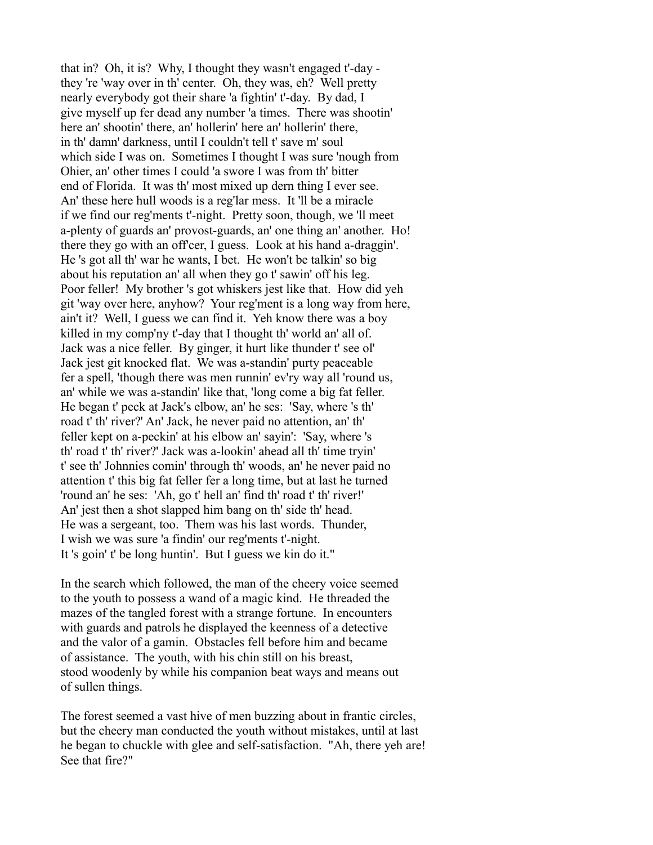that in? Oh, it is? Why, I thought they wasn't engaged t'-day they 're 'way over in th' center. Oh, they was, eh? Well pretty nearly everybody got their share 'a fightin' t'-day. By dad, I give myself up fer dead any number 'a times. There was shootin' here an' shootin' there, an' hollerin' here an' hollerin' there, in th' damn' darkness, until I couldn't tell t' save m' soul which side I was on. Sometimes I thought I was sure 'nough from Ohier, an' other times I could 'a swore I was from th' bitter end of Florida. It was th' most mixed up dern thing I ever see. An' these here hull woods is a reg'lar mess. It 'll be a miracle if we find our reg'ments t'-night. Pretty soon, though, we 'll meet a-plenty of guards an' provost-guards, an' one thing an' another. Ho! there they go with an off'cer, I guess. Look at his hand a-draggin'. He 's got all th' war he wants, I bet. He won't be talkin' so big about his reputation an' all when they go t' sawin' off his leg. Poor feller! My brother 's got whiskers jest like that. How did yeh git 'way over here, anyhow? Your reg'ment is a long way from here, ain't it? Well, I guess we can find it. Yeh know there was a boy killed in my comp'ny t'-day that I thought th' world an' all of. Jack was a nice feller. By ginger, it hurt like thunder t' see ol' Jack jest git knocked flat. We was a-standin' purty peaceable fer a spell, 'though there was men runnin' ev'ry way all 'round us, an' while we was a-standin' like that, 'long come a big fat feller. He began t' peck at Jack's elbow, an' he ses: 'Say, where 's th' road t' th' river?' An' Jack, he never paid no attention, an' th' feller kept on a-peckin' at his elbow an' sayin': 'Say, where 's th' road t' th' river?' Jack was a-lookin' ahead all th' time tryin' t' see th' Johnnies comin' through th' woods, an' he never paid no attention t' this big fat feller fer a long time, but at last he turned 'round an' he ses: 'Ah, go t' hell an' find th' road t' th' river!' An' jest then a shot slapped him bang on th' side th' head. He was a sergeant, too. Them was his last words. Thunder, I wish we was sure 'a findin' our reg'ments t'-night. It 's goin' t' be long huntin'. But I guess we kin do it."

In the search which followed, the man of the cheery voice seemed to the youth to possess a wand of a magic kind. He threaded the mazes of the tangled forest with a strange fortune. In encounters with guards and patrols he displayed the keenness of a detective and the valor of a gamin. Obstacles fell before him and became of assistance. The youth, with his chin still on his breast, stood woodenly by while his companion beat ways and means out of sullen things.

The forest seemed a vast hive of men buzzing about in frantic circles, but the cheery man conducted the youth without mistakes, until at last he began to chuckle with glee and self-satisfaction. "Ah, there yeh are! See that fire?"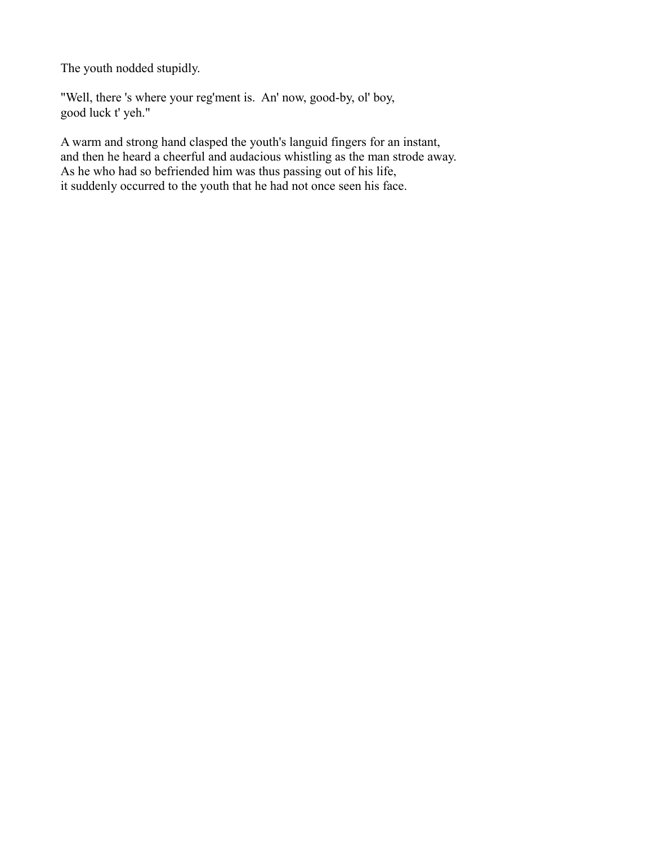The youth nodded stupidly.

"Well, there 's where your reg'ment is. An' now, good-by, ol' boy, good luck t' yeh."

A warm and strong hand clasped the youth's languid fingers for an instant, and then he heard a cheerful and audacious whistling as the man strode away. As he who had so befriended him was thus passing out of his life, it suddenly occurred to the youth that he had not once seen his face.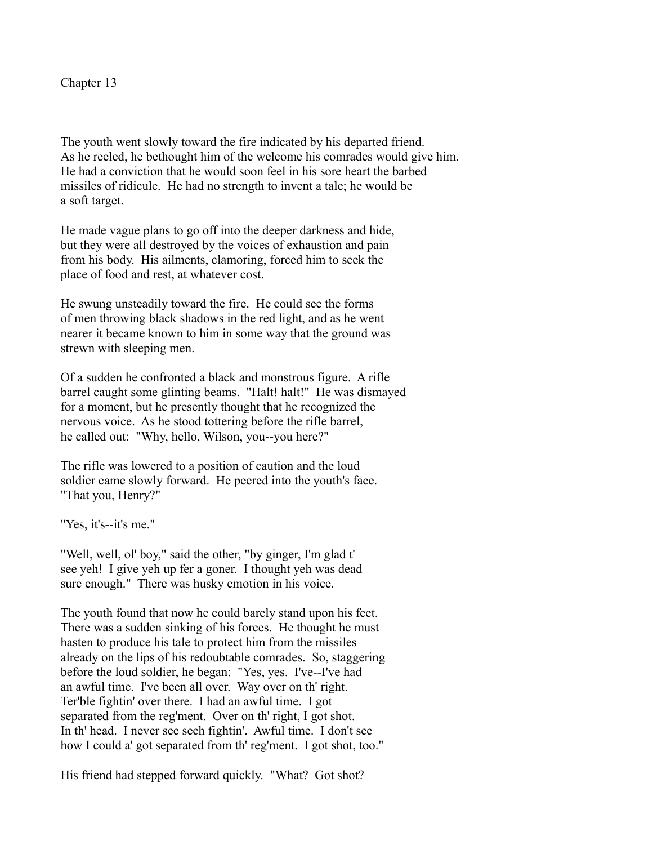Chapter 13

The youth went slowly toward the fire indicated by his departed friend. As he reeled, he bethought him of the welcome his comrades would give him. He had a conviction that he would soon feel in his sore heart the barbed missiles of ridicule. He had no strength to invent a tale; he would be a soft target.

He made vague plans to go off into the deeper darkness and hide, but they were all destroyed by the voices of exhaustion and pain from his body. His ailments, clamoring, forced him to seek the place of food and rest, at whatever cost.

He swung unsteadily toward the fire. He could see the forms of men throwing black shadows in the red light, and as he went nearer it became known to him in some way that the ground was strewn with sleeping men.

Of a sudden he confronted a black and monstrous figure. A rifle barrel caught some glinting beams. "Halt! halt!" He was dismayed for a moment, but he presently thought that he recognized the nervous voice. As he stood tottering before the rifle barrel, he called out: "Why, hello, Wilson, you--you here?"

The rifle was lowered to a position of caution and the loud soldier came slowly forward. He peered into the youth's face. "That you, Henry?"

"Yes, it's--it's me."

"Well, well, ol' boy," said the other, "by ginger, I'm glad t' see yeh! I give yeh up fer a goner. I thought yeh was dead sure enough." There was husky emotion in his voice.

The youth found that now he could barely stand upon his feet. There was a sudden sinking of his forces. He thought he must hasten to produce his tale to protect him from the missiles already on the lips of his redoubtable comrades. So, staggering before the loud soldier, he began: "Yes, yes. I've--I've had an awful time. I've been all over. Way over on th' right. Ter'ble fightin' over there. I had an awful time. I got separated from the reg'ment. Over on th' right, I got shot. In th' head. I never see sech fightin'. Awful time. I don't see how I could a' got separated from th' reg'ment. I got shot, too."

His friend had stepped forward quickly. "What? Got shot?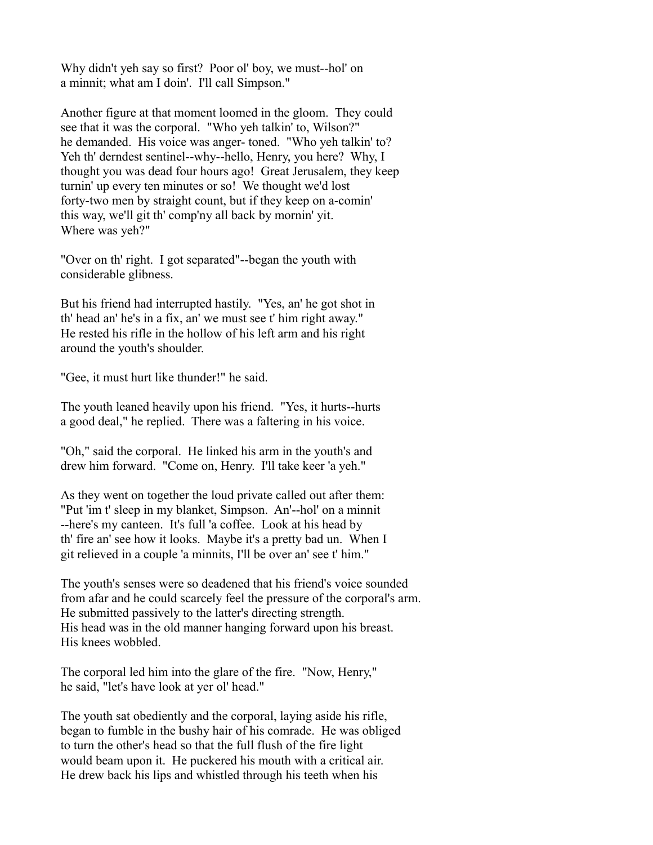Why didn't yeh say so first? Poor ol' boy, we must--hol' on a minnit; what am I doin'. I'll call Simpson."

Another figure at that moment loomed in the gloom. They could see that it was the corporal. "Who yeh talkin' to, Wilson?" he demanded. His voice was anger- toned. "Who yeh talkin' to? Yeh th' derndest sentinel--why--hello, Henry, you here? Why, I thought you was dead four hours ago! Great Jerusalem, they keep turnin' up every ten minutes or so! We thought we'd lost forty-two men by straight count, but if they keep on a-comin' this way, we'll git th' comp'ny all back by mornin' yit. Where was yeh?"

"Over on th' right. I got separated"--began the youth with considerable glibness.

But his friend had interrupted hastily. "Yes, an' he got shot in th' head an' he's in a fix, an' we must see t' him right away." He rested his rifle in the hollow of his left arm and his right around the youth's shoulder.

"Gee, it must hurt like thunder!" he said.

The youth leaned heavily upon his friend. "Yes, it hurts--hurts a good deal," he replied. There was a faltering in his voice.

"Oh," said the corporal. He linked his arm in the youth's and drew him forward. "Come on, Henry. I'll take keer 'a yeh."

As they went on together the loud private called out after them: "Put 'im t' sleep in my blanket, Simpson. An'--hol' on a minnit --here's my canteen. It's full 'a coffee. Look at his head by th' fire an' see how it looks. Maybe it's a pretty bad un. When I git relieved in a couple 'a minnits, I'll be over an' see t' him."

The youth's senses were so deadened that his friend's voice sounded from afar and he could scarcely feel the pressure of the corporal's arm. He submitted passively to the latter's directing strength. His head was in the old manner hanging forward upon his breast. His knees wobbled.

The corporal led him into the glare of the fire. "Now, Henry," he said, "let's have look at yer ol' head."

The youth sat obediently and the corporal, laying aside his rifle, began to fumble in the bushy hair of his comrade. He was obliged to turn the other's head so that the full flush of the fire light would beam upon it. He puckered his mouth with a critical air. He drew back his lips and whistled through his teeth when his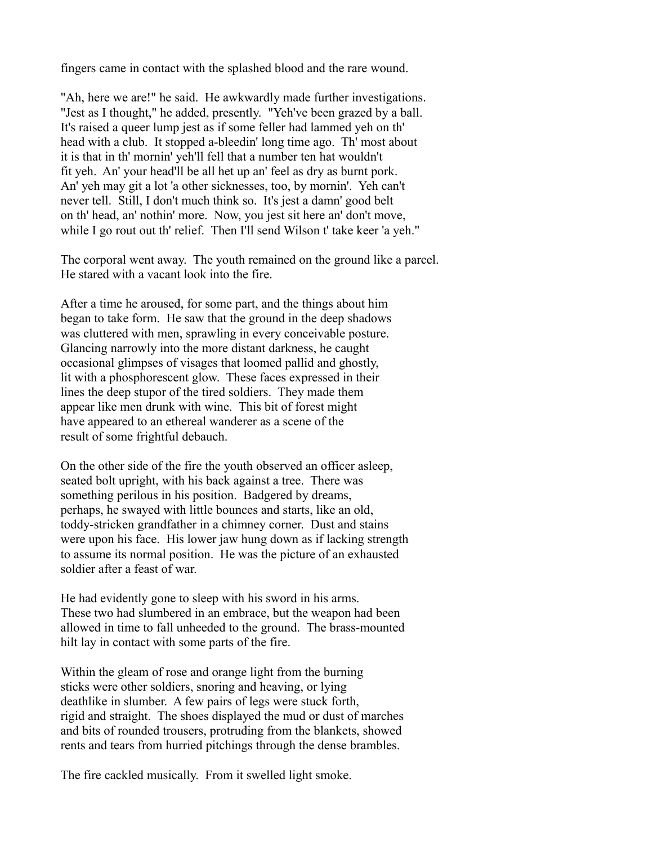fingers came in contact with the splashed blood and the rare wound.

"Ah, here we are!" he said. He awkwardly made further investigations. "Jest as I thought," he added, presently. "Yeh've been grazed by a ball. It's raised a queer lump jest as if some feller had lammed yeh on th' head with a club. It stopped a-bleedin' long time ago. Th' most about it is that in th' mornin' yeh'll fell that a number ten hat wouldn't fit yeh. An' your head'll be all het up an' feel as dry as burnt pork. An' yeh may git a lot 'a other sicknesses, too, by mornin'. Yeh can't never tell. Still, I don't much think so. It's jest a damn' good belt on th' head, an' nothin' more. Now, you jest sit here an' don't move, while I go rout out th' relief. Then I'll send Wilson t' take keer 'a yeh."

The corporal went away. The youth remained on the ground like a parcel. He stared with a vacant look into the fire.

After a time he aroused, for some part, and the things about him began to take form. He saw that the ground in the deep shadows was cluttered with men, sprawling in every conceivable posture. Glancing narrowly into the more distant darkness, he caught occasional glimpses of visages that loomed pallid and ghostly, lit with a phosphorescent glow. These faces expressed in their lines the deep stupor of the tired soldiers. They made them appear like men drunk with wine. This bit of forest might have appeared to an ethereal wanderer as a scene of the result of some frightful debauch.

On the other side of the fire the youth observed an officer asleep, seated bolt upright, with his back against a tree. There was something perilous in his position. Badgered by dreams, perhaps, he swayed with little bounces and starts, like an old, toddy-stricken grandfather in a chimney corner. Dust and stains were upon his face. His lower jaw hung down as if lacking strength to assume its normal position. He was the picture of an exhausted soldier after a feast of war.

He had evidently gone to sleep with his sword in his arms. These two had slumbered in an embrace, but the weapon had been allowed in time to fall unheeded to the ground. The brass-mounted hilt lay in contact with some parts of the fire.

Within the gleam of rose and orange light from the burning sticks were other soldiers, snoring and heaving, or lying deathlike in slumber. A few pairs of legs were stuck forth, rigid and straight. The shoes displayed the mud or dust of marches and bits of rounded trousers, protruding from the blankets, showed rents and tears from hurried pitchings through the dense brambles.

The fire cackled musically. From it swelled light smoke.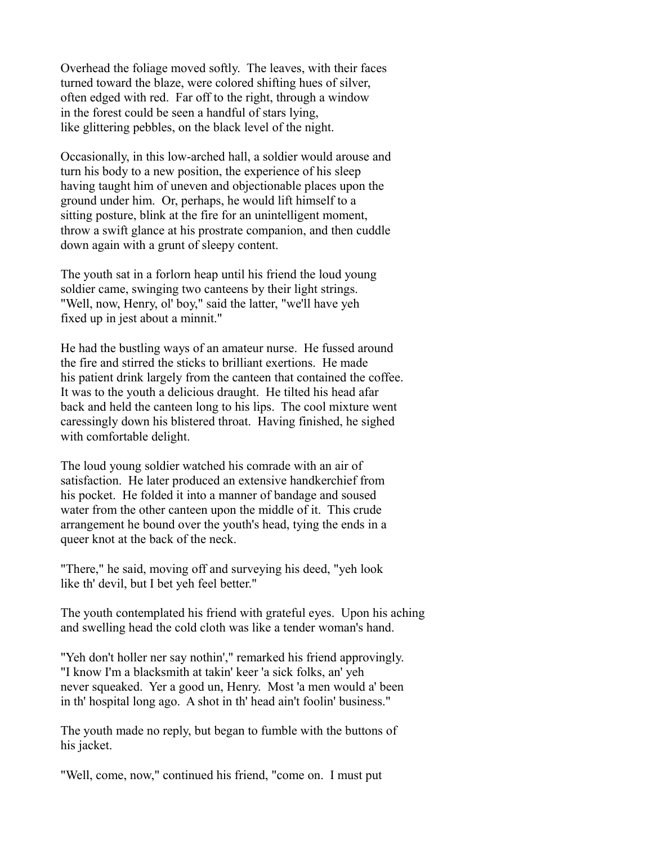Overhead the foliage moved softly. The leaves, with their faces turned toward the blaze, were colored shifting hues of silver, often edged with red. Far off to the right, through a window in the forest could be seen a handful of stars lying, like glittering pebbles, on the black level of the night.

Occasionally, in this low-arched hall, a soldier would arouse and turn his body to a new position, the experience of his sleep having taught him of uneven and objectionable places upon the ground under him. Or, perhaps, he would lift himself to a sitting posture, blink at the fire for an unintelligent moment, throw a swift glance at his prostrate companion, and then cuddle down again with a grunt of sleepy content.

The youth sat in a forlorn heap until his friend the loud young soldier came, swinging two canteens by their light strings. "Well, now, Henry, ol' boy," said the latter, "we'll have yeh fixed up in jest about a minnit."

He had the bustling ways of an amateur nurse. He fussed around the fire and stirred the sticks to brilliant exertions. He made his patient drink largely from the canteen that contained the coffee. It was to the youth a delicious draught. He tilted his head afar back and held the canteen long to his lips. The cool mixture went caressingly down his blistered throat. Having finished, he sighed with comfortable delight.

The loud young soldier watched his comrade with an air of satisfaction. He later produced an extensive handkerchief from his pocket. He folded it into a manner of bandage and soused water from the other canteen upon the middle of it. This crude arrangement he bound over the youth's head, tying the ends in a queer knot at the back of the neck.

"There," he said, moving off and surveying his deed, "yeh look like th' devil, but I bet yeh feel better."

The youth contemplated his friend with grateful eyes. Upon his aching and swelling head the cold cloth was like a tender woman's hand.

"Yeh don't holler ner say nothin'," remarked his friend approvingly. "I know I'm a blacksmith at takin' keer 'a sick folks, an' yeh never squeaked. Yer a good un, Henry. Most 'a men would a' been in th' hospital long ago. A shot in th' head ain't foolin' business."

The youth made no reply, but began to fumble with the buttons of his jacket.

"Well, come, now," continued his friend, "come on. I must put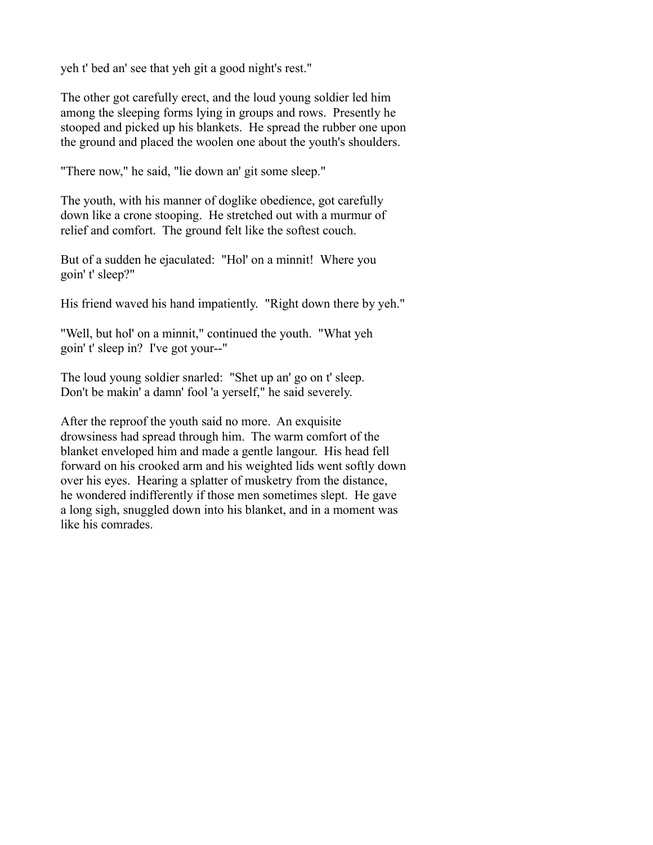yeh t' bed an' see that yeh git a good night's rest."

The other got carefully erect, and the loud young soldier led him among the sleeping forms lying in groups and rows. Presently he stooped and picked up his blankets. He spread the rubber one upon the ground and placed the woolen one about the youth's shoulders.

"There now," he said, "lie down an' git some sleep."

The youth, with his manner of doglike obedience, got carefully down like a crone stooping. He stretched out with a murmur of relief and comfort. The ground felt like the softest couch.

But of a sudden he ejaculated: "Hol' on a minnit! Where you goin' t' sleep?"

His friend waved his hand impatiently. "Right down there by yeh."

"Well, but hol' on a minnit," continued the youth. "What yeh goin' t' sleep in? I've got your--"

The loud young soldier snarled: "Shet up an' go on t' sleep. Don't be makin' a damn' fool 'a yerself," he said severely.

After the reproof the youth said no more. An exquisite drowsiness had spread through him. The warm comfort of the blanket enveloped him and made a gentle langour. His head fell forward on his crooked arm and his weighted lids went softly down over his eyes. Hearing a splatter of musketry from the distance, he wondered indifferently if those men sometimes slept. He gave a long sigh, snuggled down into his blanket, and in a moment was like his comrades.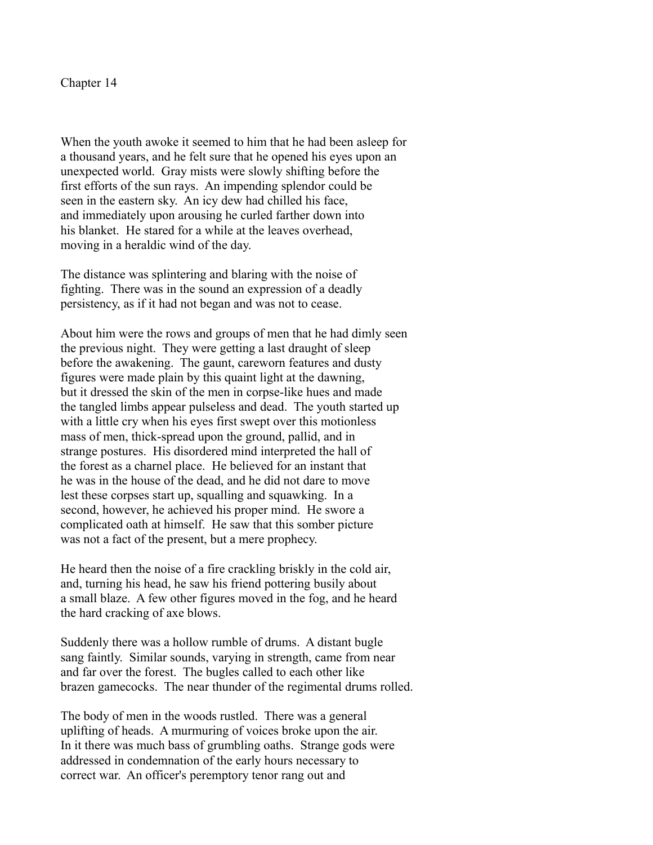When the youth awoke it seemed to him that he had been asleep for a thousand years, and he felt sure that he opened his eyes upon an unexpected world. Gray mists were slowly shifting before the first efforts of the sun rays. An impending splendor could be seen in the eastern sky. An icy dew had chilled his face, and immediately upon arousing he curled farther down into his blanket. He stared for a while at the leaves overhead, moving in a heraldic wind of the day.

The distance was splintering and blaring with the noise of fighting. There was in the sound an expression of a deadly persistency, as if it had not began and was not to cease.

About him were the rows and groups of men that he had dimly seen the previous night. They were getting a last draught of sleep before the awakening. The gaunt, careworn features and dusty figures were made plain by this quaint light at the dawning, but it dressed the skin of the men in corpse-like hues and made the tangled limbs appear pulseless and dead. The youth started up with a little cry when his eyes first swept over this motionless mass of men, thick-spread upon the ground, pallid, and in strange postures. His disordered mind interpreted the hall of the forest as a charnel place. He believed for an instant that he was in the house of the dead, and he did not dare to move lest these corpses start up, squalling and squawking. In a second, however, he achieved his proper mind. He swore a complicated oath at himself. He saw that this somber picture was not a fact of the present, but a mere prophecy.

He heard then the noise of a fire crackling briskly in the cold air, and, turning his head, he saw his friend pottering busily about a small blaze. A few other figures moved in the fog, and he heard the hard cracking of axe blows.

Suddenly there was a hollow rumble of drums. A distant bugle sang faintly. Similar sounds, varying in strength, came from near and far over the forest. The bugles called to each other like brazen gamecocks. The near thunder of the regimental drums rolled.

The body of men in the woods rustled. There was a general uplifting of heads. A murmuring of voices broke upon the air. In it there was much bass of grumbling oaths. Strange gods were addressed in condemnation of the early hours necessary to correct war. An officer's peremptory tenor rang out and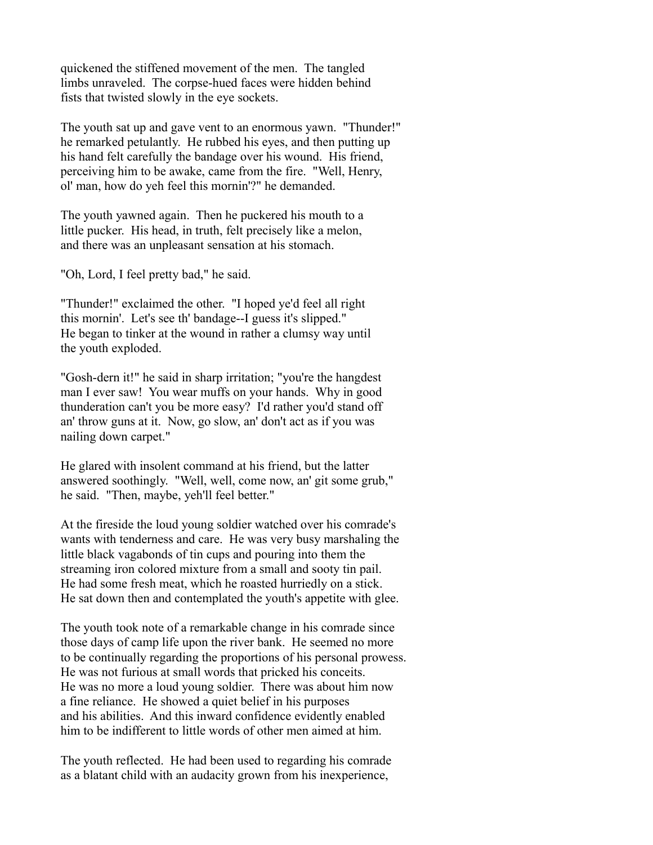quickened the stiffened movement of the men. The tangled limbs unraveled. The corpse-hued faces were hidden behind fists that twisted slowly in the eye sockets.

The youth sat up and gave vent to an enormous yawn. "Thunder!" he remarked petulantly. He rubbed his eyes, and then putting up his hand felt carefully the bandage over his wound. His friend, perceiving him to be awake, came from the fire. "Well, Henry, ol' man, how do yeh feel this mornin'?" he demanded.

The youth yawned again. Then he puckered his mouth to a little pucker. His head, in truth, felt precisely like a melon, and there was an unpleasant sensation at his stomach.

"Oh, Lord, I feel pretty bad," he said.

"Thunder!" exclaimed the other. "I hoped ye'd feel all right this mornin'. Let's see th' bandage--I guess it's slipped." He began to tinker at the wound in rather a clumsy way until the youth exploded.

"Gosh-dern it!" he said in sharp irritation; "you're the hangdest man I ever saw! You wear muffs on your hands. Why in good thunderation can't you be more easy? I'd rather you'd stand off an' throw guns at it. Now, go slow, an' don't act as if you was nailing down carpet."

He glared with insolent command at his friend, but the latter answered soothingly. "Well, well, come now, an' git some grub," he said. "Then, maybe, yeh'll feel better."

At the fireside the loud young soldier watched over his comrade's wants with tenderness and care. He was very busy marshaling the little black vagabonds of tin cups and pouring into them the streaming iron colored mixture from a small and sooty tin pail. He had some fresh meat, which he roasted hurriedly on a stick. He sat down then and contemplated the youth's appetite with glee.

The youth took note of a remarkable change in his comrade since those days of camp life upon the river bank. He seemed no more to be continually regarding the proportions of his personal prowess. He was not furious at small words that pricked his conceits. He was no more a loud young soldier. There was about him now a fine reliance. He showed a quiet belief in his purposes and his abilities. And this inward confidence evidently enabled him to be indifferent to little words of other men aimed at him.

The youth reflected. He had been used to regarding his comrade as a blatant child with an audacity grown from his inexperience,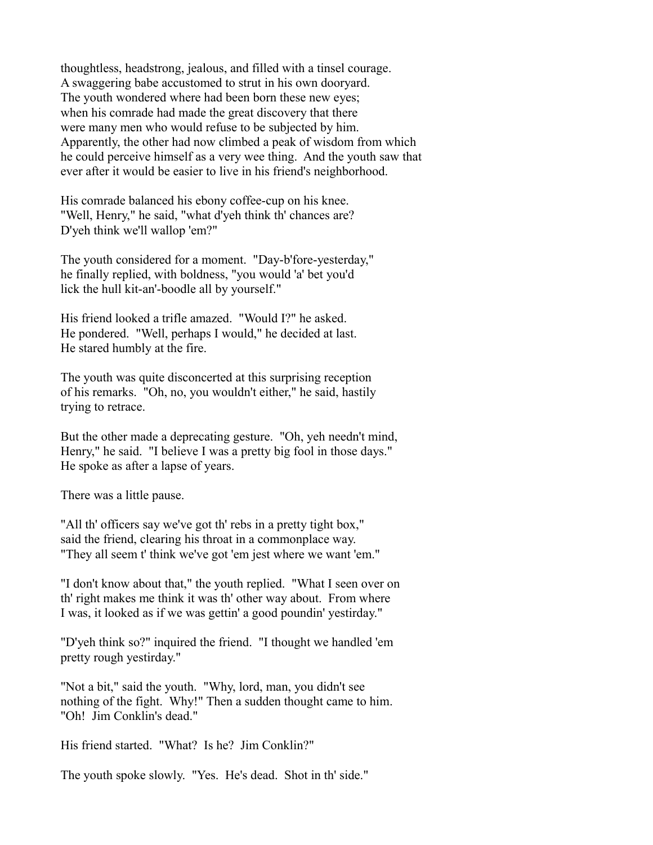thoughtless, headstrong, jealous, and filled with a tinsel courage. A swaggering babe accustomed to strut in his own dooryard. The youth wondered where had been born these new eyes; when his comrade had made the great discovery that there were many men who would refuse to be subjected by him. Apparently, the other had now climbed a peak of wisdom from which he could perceive himself as a very wee thing. And the youth saw that ever after it would be easier to live in his friend's neighborhood.

His comrade balanced his ebony coffee-cup on his knee. "Well, Henry," he said, "what d'yeh think th' chances are? D'yeh think we'll wallop 'em?"

The youth considered for a moment. "Day-b'fore-yesterday," he finally replied, with boldness, "you would 'a' bet you'd lick the hull kit-an'-boodle all by yourself."

His friend looked a trifle amazed. "Would I?" he asked. He pondered. "Well, perhaps I would," he decided at last. He stared humbly at the fire.

The youth was quite disconcerted at this surprising reception of his remarks. "Oh, no, you wouldn't either," he said, hastily trying to retrace.

But the other made a deprecating gesture. "Oh, yeh needn't mind, Henry," he said. "I believe I was a pretty big fool in those days." He spoke as after a lapse of years.

There was a little pause.

"All th' officers say we've got th' rebs in a pretty tight box," said the friend, clearing his throat in a commonplace way. "They all seem t' think we've got 'em jest where we want 'em."

"I don't know about that," the youth replied. "What I seen over on th' right makes me think it was th' other way about. From where I was, it looked as if we was gettin' a good poundin' yestirday."

"D'yeh think so?" inquired the friend. "I thought we handled 'em pretty rough yestirday."

"Not a bit," said the youth. "Why, lord, man, you didn't see nothing of the fight. Why!" Then a sudden thought came to him. "Oh! Jim Conklin's dead."

His friend started. "What? Is he? Jim Conklin?"

The youth spoke slowly. "Yes. He's dead. Shot in th' side."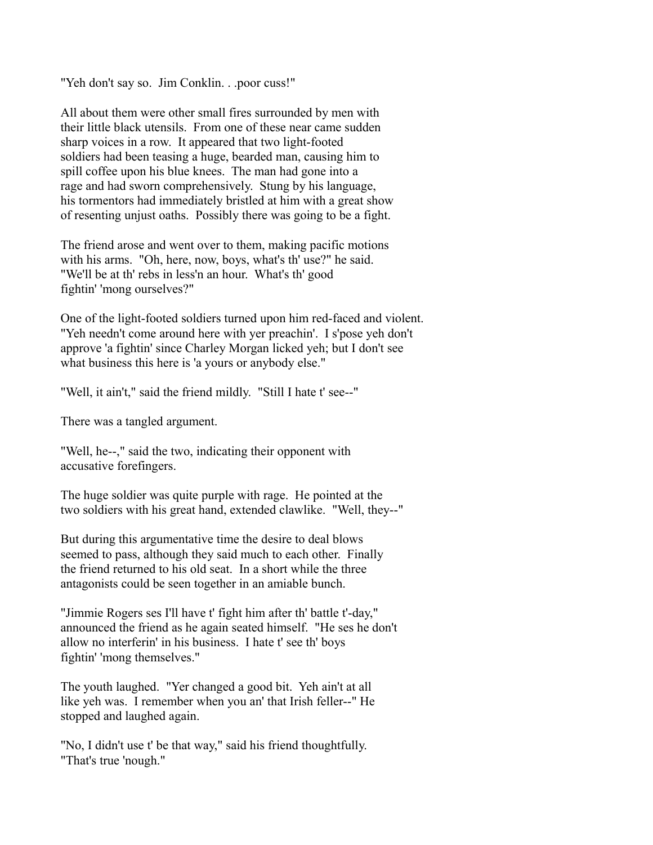"Yeh don't say so. Jim Conklin. . .poor cuss!"

All about them were other small fires surrounded by men with their little black utensils. From one of these near came sudden sharp voices in a row. It appeared that two light-footed soldiers had been teasing a huge, bearded man, causing him to spill coffee upon his blue knees. The man had gone into a rage and had sworn comprehensively. Stung by his language, his tormentors had immediately bristled at him with a great show of resenting unjust oaths. Possibly there was going to be a fight.

The friend arose and went over to them, making pacific motions with his arms. "Oh, here, now, boys, what's th' use?" he said. "We'll be at th' rebs in less'n an hour. What's th' good fightin' 'mong ourselves?"

One of the light-footed soldiers turned upon him red-faced and violent. "Yeh needn't come around here with yer preachin'. I s'pose yeh don't approve 'a fightin' since Charley Morgan licked yeh; but I don't see what business this here is 'a yours or anybody else."

"Well, it ain't," said the friend mildly. "Still I hate t' see--"

There was a tangled argument.

"Well, he--," said the two, indicating their opponent with accusative forefingers.

The huge soldier was quite purple with rage. He pointed at the two soldiers with his great hand, extended clawlike. "Well, they--"

But during this argumentative time the desire to deal blows seemed to pass, although they said much to each other. Finally the friend returned to his old seat. In a short while the three antagonists could be seen together in an amiable bunch.

"Jimmie Rogers ses I'll have t' fight him after th' battle t'-day," announced the friend as he again seated himself. "He ses he don't allow no interferin' in his business. I hate t' see th' boys fightin' 'mong themselves."

The youth laughed. "Yer changed a good bit. Yeh ain't at all like yeh was. I remember when you an' that Irish feller--" He stopped and laughed again.

"No, I didn't use t' be that way," said his friend thoughtfully. "That's true 'nough."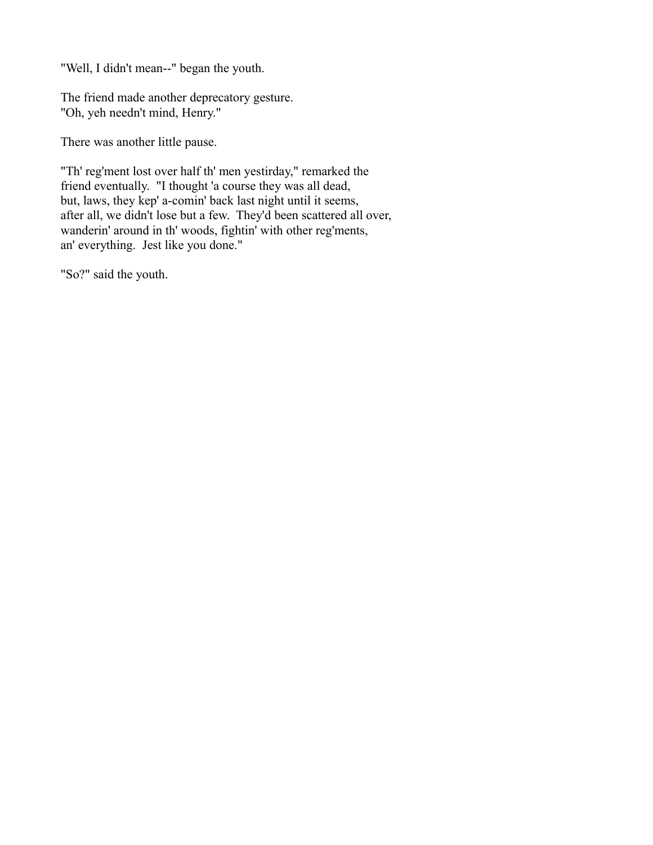"Well, I didn't mean--" began the youth.

The friend made another deprecatory gesture. "Oh, yeh needn't mind, Henry."

There was another little pause.

"Th' reg'ment lost over half th' men yestirday," remarked the friend eventually. "I thought 'a course they was all dead, but, laws, they kep' a-comin' back last night until it seems, after all, we didn't lose but a few. They'd been scattered all over, wanderin' around in th' woods, fightin' with other reg'ments, an' everything. Jest like you done."

"So?" said the youth.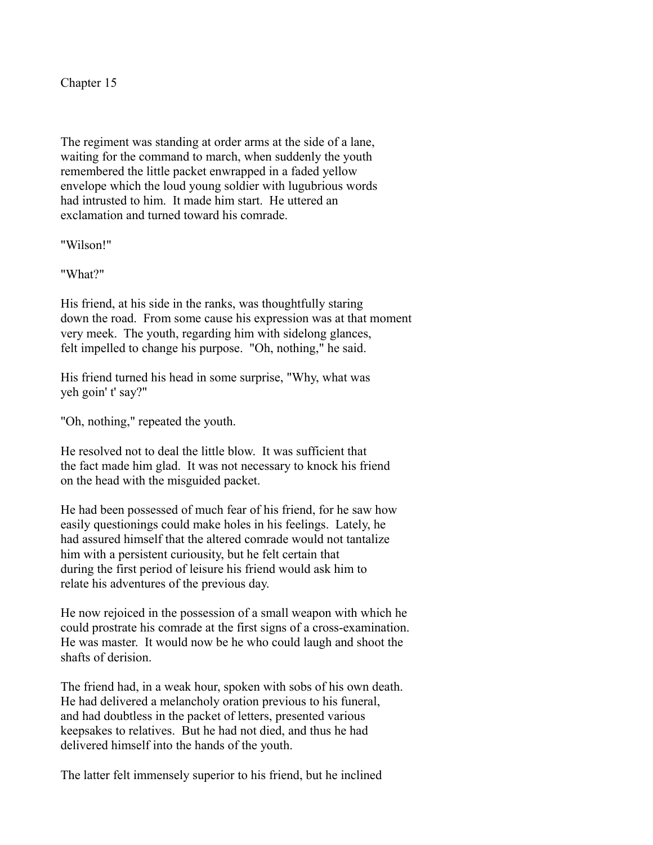The regiment was standing at order arms at the side of a lane, waiting for the command to march, when suddenly the youth remembered the little packet enwrapped in a faded yellow envelope which the loud young soldier with lugubrious words had intrusted to him. It made him start. He uttered an exclamation and turned toward his comrade.

"Wilson!"

"What?"

His friend, at his side in the ranks, was thoughtfully staring down the road. From some cause his expression was at that moment very meek. The youth, regarding him with sidelong glances, felt impelled to change his purpose. "Oh, nothing," he said.

His friend turned his head in some surprise, "Why, what was yeh goin' t' say?"

"Oh, nothing," repeated the youth.

He resolved not to deal the little blow. It was sufficient that the fact made him glad. It was not necessary to knock his friend on the head with the misguided packet.

He had been possessed of much fear of his friend, for he saw how easily questionings could make holes in his feelings. Lately, he had assured himself that the altered comrade would not tantalize him with a persistent curiousity, but he felt certain that during the first period of leisure his friend would ask him to relate his adventures of the previous day.

He now rejoiced in the possession of a small weapon with which he could prostrate his comrade at the first signs of a cross-examination. He was master. It would now be he who could laugh and shoot the shafts of derision.

The friend had, in a weak hour, spoken with sobs of his own death. He had delivered a melancholy oration previous to his funeral, and had doubtless in the packet of letters, presented various keepsakes to relatives. But he had not died, and thus he had delivered himself into the hands of the youth.

The latter felt immensely superior to his friend, but he inclined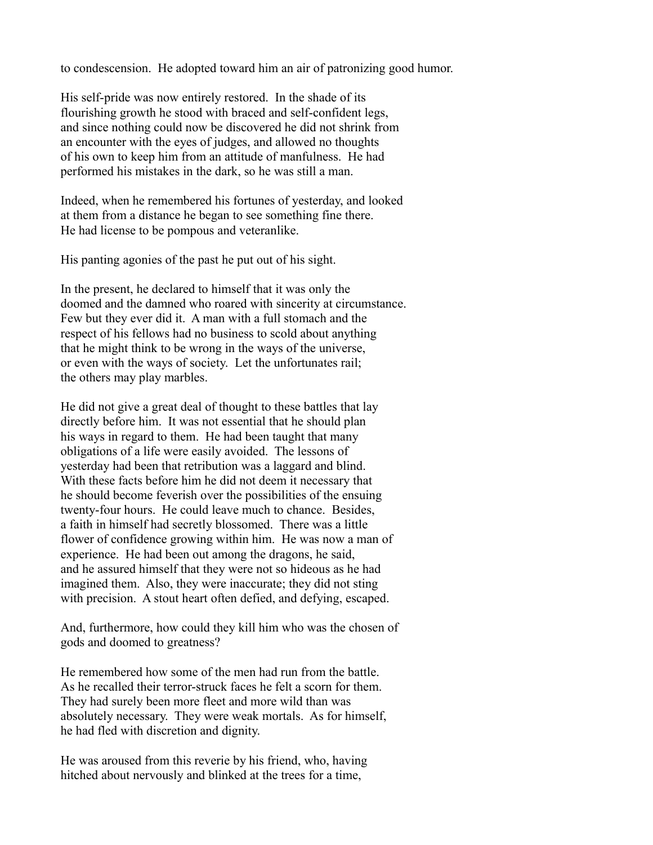to condescension. He adopted toward him an air of patronizing good humor.

His self-pride was now entirely restored. In the shade of its flourishing growth he stood with braced and self-confident legs, and since nothing could now be discovered he did not shrink from an encounter with the eyes of judges, and allowed no thoughts of his own to keep him from an attitude of manfulness. He had performed his mistakes in the dark, so he was still a man.

Indeed, when he remembered his fortunes of yesterday, and looked at them from a distance he began to see something fine there. He had license to be pompous and veteranlike.

His panting agonies of the past he put out of his sight.

In the present, he declared to himself that it was only the doomed and the damned who roared with sincerity at circumstance. Few but they ever did it. A man with a full stomach and the respect of his fellows had no business to scold about anything that he might think to be wrong in the ways of the universe, or even with the ways of society. Let the unfortunates rail; the others may play marbles.

He did not give a great deal of thought to these battles that lay directly before him. It was not essential that he should plan his ways in regard to them. He had been taught that many obligations of a life were easily avoided. The lessons of yesterday had been that retribution was a laggard and blind. With these facts before him he did not deem it necessary that he should become feverish over the possibilities of the ensuing twenty-four hours. He could leave much to chance. Besides, a faith in himself had secretly blossomed. There was a little flower of confidence growing within him. He was now a man of experience. He had been out among the dragons, he said, and he assured himself that they were not so hideous as he had imagined them. Also, they were inaccurate; they did not sting with precision. A stout heart often defied, and defying, escaped.

And, furthermore, how could they kill him who was the chosen of gods and doomed to greatness?

He remembered how some of the men had run from the battle. As he recalled their terror-struck faces he felt a scorn for them. They had surely been more fleet and more wild than was absolutely necessary. They were weak mortals. As for himself, he had fled with discretion and dignity.

He was aroused from this reverie by his friend, who, having hitched about nervously and blinked at the trees for a time,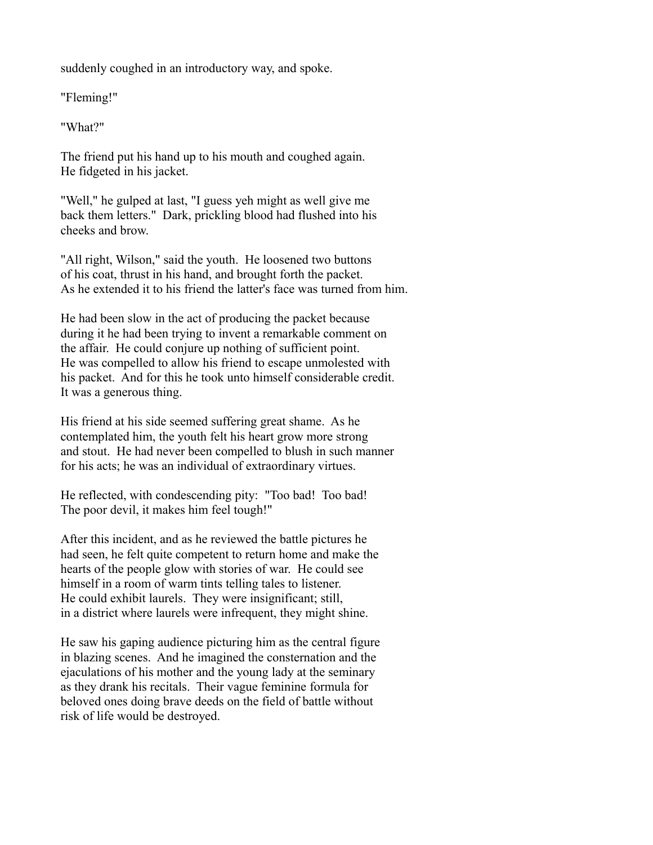suddenly coughed in an introductory way, and spoke.

"Fleming!"

"What?"

The friend put his hand up to his mouth and coughed again. He fidgeted in his jacket.

"Well," he gulped at last, "I guess yeh might as well give me back them letters." Dark, prickling blood had flushed into his cheeks and brow.

"All right, Wilson," said the youth. He loosened two buttons of his coat, thrust in his hand, and brought forth the packet. As he extended it to his friend the latter's face was turned from him.

He had been slow in the act of producing the packet because during it he had been trying to invent a remarkable comment on the affair. He could conjure up nothing of sufficient point. He was compelled to allow his friend to escape unmolested with his packet. And for this he took unto himself considerable credit. It was a generous thing.

His friend at his side seemed suffering great shame. As he contemplated him, the youth felt his heart grow more strong and stout. He had never been compelled to blush in such manner for his acts; he was an individual of extraordinary virtues.

He reflected, with condescending pity: "Too bad! Too bad! The poor devil, it makes him feel tough!"

After this incident, and as he reviewed the battle pictures he had seen, he felt quite competent to return home and make the hearts of the people glow with stories of war. He could see himself in a room of warm tints telling tales to listener. He could exhibit laurels. They were insignificant; still, in a district where laurels were infrequent, they might shine.

He saw his gaping audience picturing him as the central figure in blazing scenes. And he imagined the consternation and the ejaculations of his mother and the young lady at the seminary as they drank his recitals. Their vague feminine formula for beloved ones doing brave deeds on the field of battle without risk of life would be destroyed.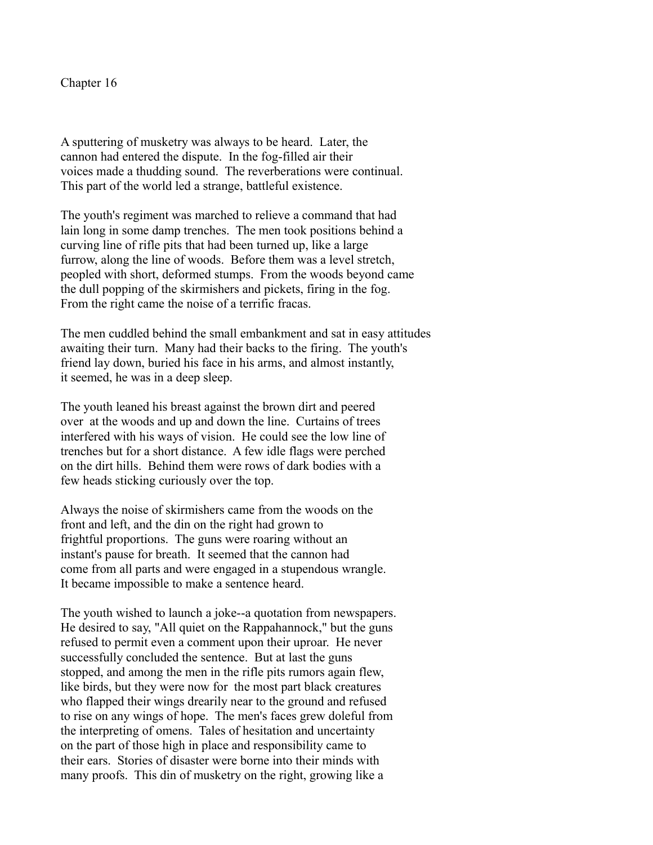A sputtering of musketry was always to be heard. Later, the cannon had entered the dispute. In the fog-filled air their voices made a thudding sound. The reverberations were continual. This part of the world led a strange, battleful existence.

The youth's regiment was marched to relieve a command that had lain long in some damp trenches. The men took positions behind a curving line of rifle pits that had been turned up, like a large furrow, along the line of woods. Before them was a level stretch, peopled with short, deformed stumps. From the woods beyond came the dull popping of the skirmishers and pickets, firing in the fog. From the right came the noise of a terrific fracas.

The men cuddled behind the small embankment and sat in easy attitudes awaiting their turn. Many had their backs to the firing. The youth's friend lay down, buried his face in his arms, and almost instantly, it seemed, he was in a deep sleep.

The youth leaned his breast against the brown dirt and peered over at the woods and up and down the line. Curtains of trees interfered with his ways of vision. He could see the low line of trenches but for a short distance. A few idle flags were perched on the dirt hills. Behind them were rows of dark bodies with a few heads sticking curiously over the top.

Always the noise of skirmishers came from the woods on the front and left, and the din on the right had grown to frightful proportions. The guns were roaring without an instant's pause for breath. It seemed that the cannon had come from all parts and were engaged in a stupendous wrangle. It became impossible to make a sentence heard.

The youth wished to launch a joke--a quotation from newspapers. He desired to say, "All quiet on the Rappahannock," but the guns refused to permit even a comment upon their uproar. He never successfully concluded the sentence. But at last the guns stopped, and among the men in the rifle pits rumors again flew, like birds, but they were now for the most part black creatures who flapped their wings drearily near to the ground and refused to rise on any wings of hope. The men's faces grew doleful from the interpreting of omens. Tales of hesitation and uncertainty on the part of those high in place and responsibility came to their ears. Stories of disaster were borne into their minds with many proofs. This din of musketry on the right, growing like a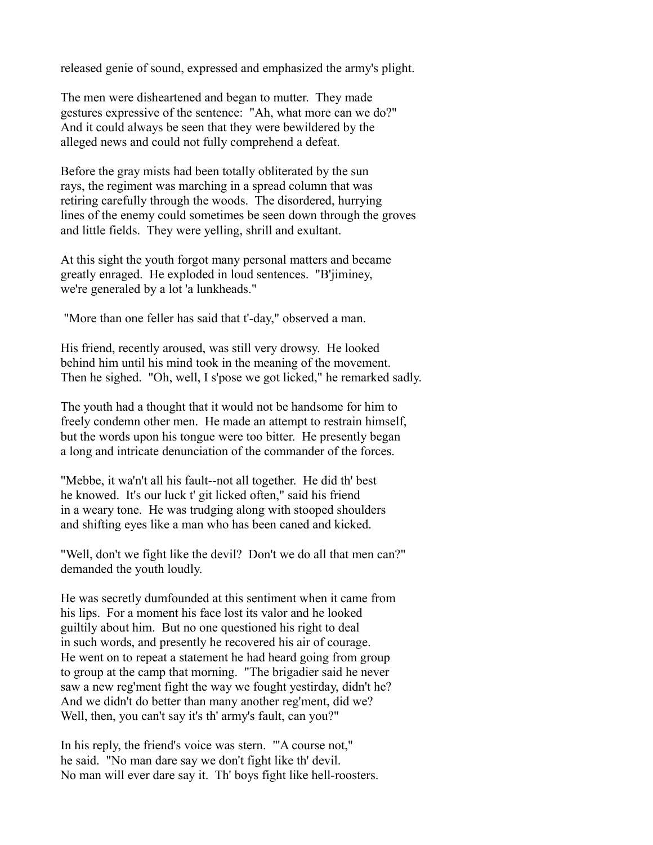released genie of sound, expressed and emphasized the army's plight.

The men were disheartened and began to mutter. They made gestures expressive of the sentence: "Ah, what more can we do?" And it could always be seen that they were bewildered by the alleged news and could not fully comprehend a defeat.

Before the gray mists had been totally obliterated by the sun rays, the regiment was marching in a spread column that was retiring carefully through the woods. The disordered, hurrying lines of the enemy could sometimes be seen down through the groves and little fields. They were yelling, shrill and exultant.

At this sight the youth forgot many personal matters and became greatly enraged. He exploded in loud sentences. "B'jiminey, we're generaled by a lot 'a lunkheads."

"More than one feller has said that t'-day," observed a man.

His friend, recently aroused, was still very drowsy. He looked behind him until his mind took in the meaning of the movement. Then he sighed. "Oh, well, I s'pose we got licked," he remarked sadly.

The youth had a thought that it would not be handsome for him to freely condemn other men. He made an attempt to restrain himself, but the words upon his tongue were too bitter. He presently began a long and intricate denunciation of the commander of the forces.

"Mebbe, it wa'n't all his fault--not all together. He did th' best he knowed. It's our luck t' git licked often," said his friend in a weary tone. He was trudging along with stooped shoulders and shifting eyes like a man who has been caned and kicked.

"Well, don't we fight like the devil? Don't we do all that men can?" demanded the youth loudly.

He was secretly dumfounded at this sentiment when it came from his lips. For a moment his face lost its valor and he looked guiltily about him. But no one questioned his right to deal in such words, and presently he recovered his air of courage. He went on to repeat a statement he had heard going from group to group at the camp that morning. "The brigadier said he never saw a new reg'ment fight the way we fought yestirday, didn't he? And we didn't do better than many another reg'ment, did we? Well, then, you can't say it's th' army's fault, can you?"

In his reply, the friend's voice was stern. "'A course not," he said. "No man dare say we don't fight like th' devil. No man will ever dare say it. Th' boys fight like hell-roosters.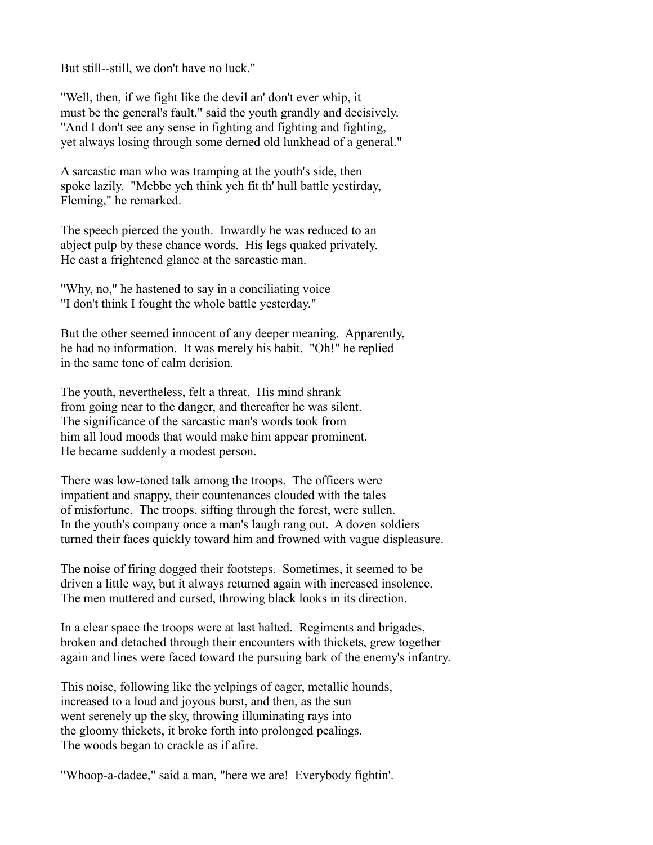But still--still, we don't have no luck."

"Well, then, if we fight like the devil an' don't ever whip, it must be the general's fault," said the youth grandly and decisively. "And I don't see any sense in fighting and fighting and fighting, yet always losing through some derned old lunkhead of a general."

A sarcastic man who was tramping at the youth's side, then spoke lazily. "Mebbe yeh think yeh fit th' hull battle yestirday, Fleming," he remarked.

The speech pierced the youth. Inwardly he was reduced to an abject pulp by these chance words. His legs quaked privately. He cast a frightened glance at the sarcastic man.

"Why, no," he hastened to say in a conciliating voice "I don't think I fought the whole battle yesterday."

But the other seemed innocent of any deeper meaning. Apparently, he had no information. It was merely his habit. "Oh!" he replied in the same tone of calm derision.

The youth, nevertheless, felt a threat. His mind shrank from going near to the danger, and thereafter he was silent. The significance of the sarcastic man's words took from him all loud moods that would make him appear prominent. He became suddenly a modest person.

There was low-toned talk among the troops. The officers were impatient and snappy, their countenances clouded with the tales of misfortune. The troops, sifting through the forest, were sullen. In the youth's company once a man's laugh rang out. A dozen soldiers turned their faces quickly toward him and frowned with vague displeasure.

The noise of firing dogged their footsteps. Sometimes, it seemed to be driven a little way, but it always returned again with increased insolence. The men muttered and cursed, throwing black looks in its direction.

In a clear space the troops were at last halted. Regiments and brigades, broken and detached through their encounters with thickets, grew together again and lines were faced toward the pursuing bark of the enemy's infantry.

This noise, following like the yelpings of eager, metallic hounds, increased to a loud and joyous burst, and then, as the sun went serenely up the sky, throwing illuminating rays into the gloomy thickets, it broke forth into prolonged pealings. The woods began to crackle as if afire.

"Whoop-a-dadee," said a man, "here we are! Everybody fightin'.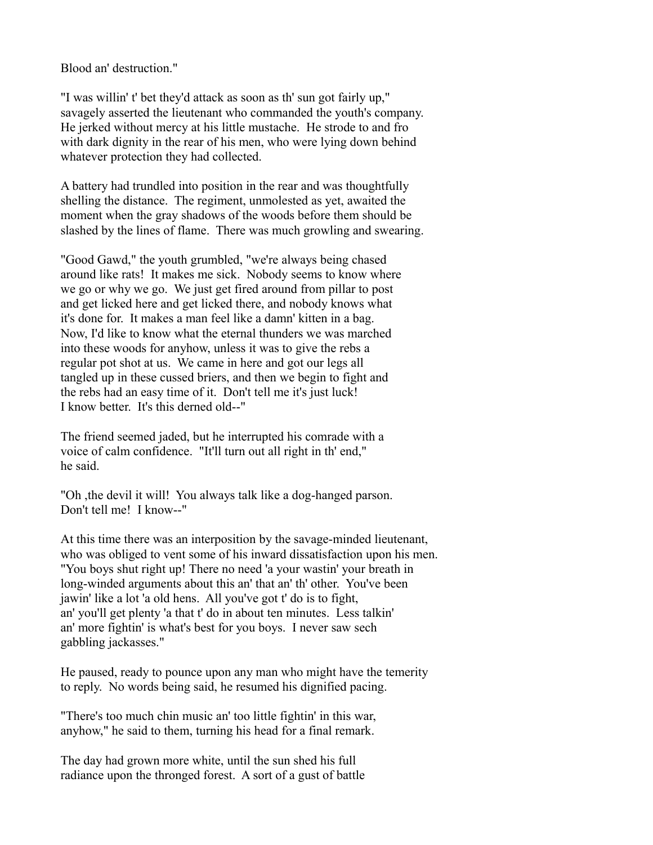Blood an' destruction."

"I was willin' t' bet they'd attack as soon as th' sun got fairly up," savagely asserted the lieutenant who commanded the youth's company. He jerked without mercy at his little mustache. He strode to and fro with dark dignity in the rear of his men, who were lying down behind whatever protection they had collected.

A battery had trundled into position in the rear and was thoughtfully shelling the distance. The regiment, unmolested as yet, awaited the moment when the gray shadows of the woods before them should be slashed by the lines of flame. There was much growling and swearing.

"Good Gawd," the youth grumbled, "we're always being chased around like rats! It makes me sick. Nobody seems to know where we go or why we go. We just get fired around from pillar to post and get licked here and get licked there, and nobody knows what it's done for. It makes a man feel like a damn' kitten in a bag. Now, I'd like to know what the eternal thunders we was marched into these woods for anyhow, unless it was to give the rebs a regular pot shot at us. We came in here and got our legs all tangled up in these cussed briers, and then we begin to fight and the rebs had an easy time of it. Don't tell me it's just luck! I know better. It's this derned old--"

The friend seemed jaded, but he interrupted his comrade with a voice of calm confidence. "It'll turn out all right in th' end," he said.

"Oh ,the devil it will! You always talk like a dog-hanged parson. Don't tell me! I know--"

At this time there was an interposition by the savage-minded lieutenant, who was obliged to vent some of his inward dissatisfaction upon his men. "You boys shut right up! There no need 'a your wastin' your breath in long-winded arguments about this an' that an' th' other. You've been jawin' like a lot 'a old hens. All you've got t' do is to fight, an' you'll get plenty 'a that t' do in about ten minutes. Less talkin' an' more fightin' is what's best for you boys. I never saw sech gabbling jackasses."

He paused, ready to pounce upon any man who might have the temerity to reply. No words being said, he resumed his dignified pacing.

"There's too much chin music an' too little fightin' in this war, anyhow," he said to them, turning his head for a final remark.

The day had grown more white, until the sun shed his full radiance upon the thronged forest. A sort of a gust of battle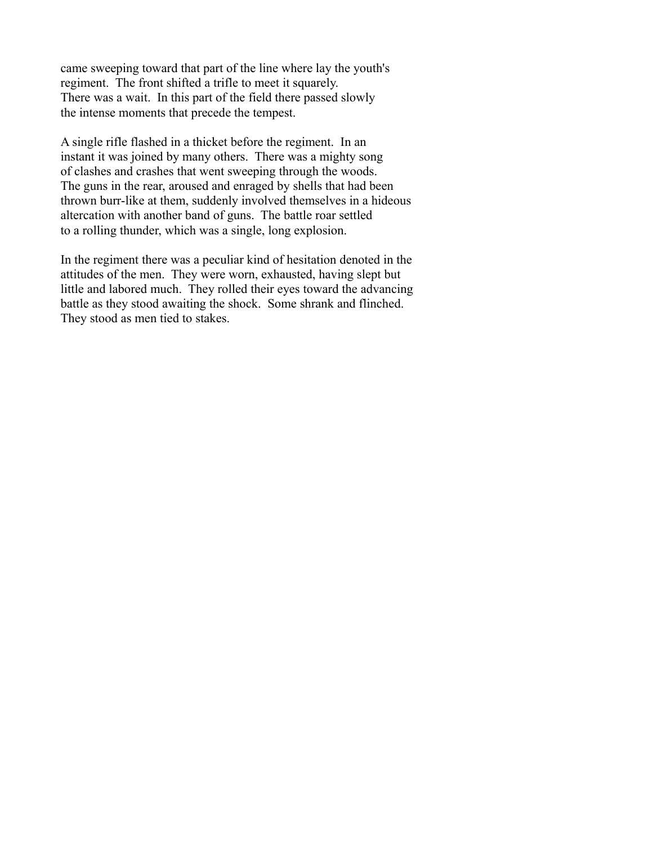came sweeping toward that part of the line where lay the youth's regiment. The front shifted a trifle to meet it squarely. There was a wait. In this part of the field there passed slowly the intense moments that precede the tempest.

A single rifle flashed in a thicket before the regiment. In an instant it was joined by many others. There was a mighty song of clashes and crashes that went sweeping through the woods. The guns in the rear, aroused and enraged by shells that had been thrown burr-like at them, suddenly involved themselves in a hideous altercation with another band of guns. The battle roar settled to a rolling thunder, which was a single, long explosion.

In the regiment there was a peculiar kind of hesitation denoted in the attitudes of the men. They were worn, exhausted, having slept but little and labored much. They rolled their eyes toward the advancing battle as they stood awaiting the shock. Some shrank and flinched. They stood as men tied to stakes.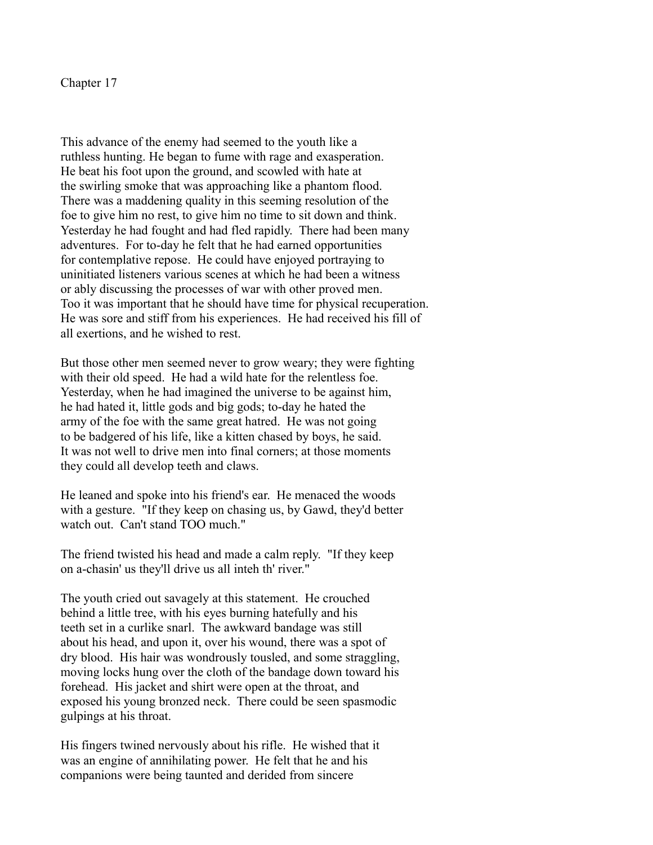This advance of the enemy had seemed to the youth like a ruthless hunting. He began to fume with rage and exasperation. He beat his foot upon the ground, and scowled with hate at the swirling smoke that was approaching like a phantom flood. There was a maddening quality in this seeming resolution of the foe to give him no rest, to give him no time to sit down and think. Yesterday he had fought and had fled rapidly. There had been many adventures. For to-day he felt that he had earned opportunities for contemplative repose. He could have enjoyed portraying to uninitiated listeners various scenes at which he had been a witness or ably discussing the processes of war with other proved men. Too it was important that he should have time for physical recuperation. He was sore and stiff from his experiences. He had received his fill of all exertions, and he wished to rest.

But those other men seemed never to grow weary; they were fighting with their old speed. He had a wild hate for the relentless foe. Yesterday, when he had imagined the universe to be against him, he had hated it, little gods and big gods; to-day he hated the army of the foe with the same great hatred. He was not going to be badgered of his life, like a kitten chased by boys, he said. It was not well to drive men into final corners; at those moments they could all develop teeth and claws.

He leaned and spoke into his friend's ear. He menaced the woods with a gesture. "If they keep on chasing us, by Gawd, they'd better watch out. Can't stand TOO much."

The friend twisted his head and made a calm reply. "If they keep on a-chasin' us they'll drive us all inteh th' river."

The youth cried out savagely at this statement. He crouched behind a little tree, with his eyes burning hatefully and his teeth set in a curlike snarl. The awkward bandage was still about his head, and upon it, over his wound, there was a spot of dry blood. His hair was wondrously tousled, and some straggling, moving locks hung over the cloth of the bandage down toward his forehead. His jacket and shirt were open at the throat, and exposed his young bronzed neck. There could be seen spasmodic gulpings at his throat.

His fingers twined nervously about his rifle. He wished that it was an engine of annihilating power. He felt that he and his companions were being taunted and derided from sincere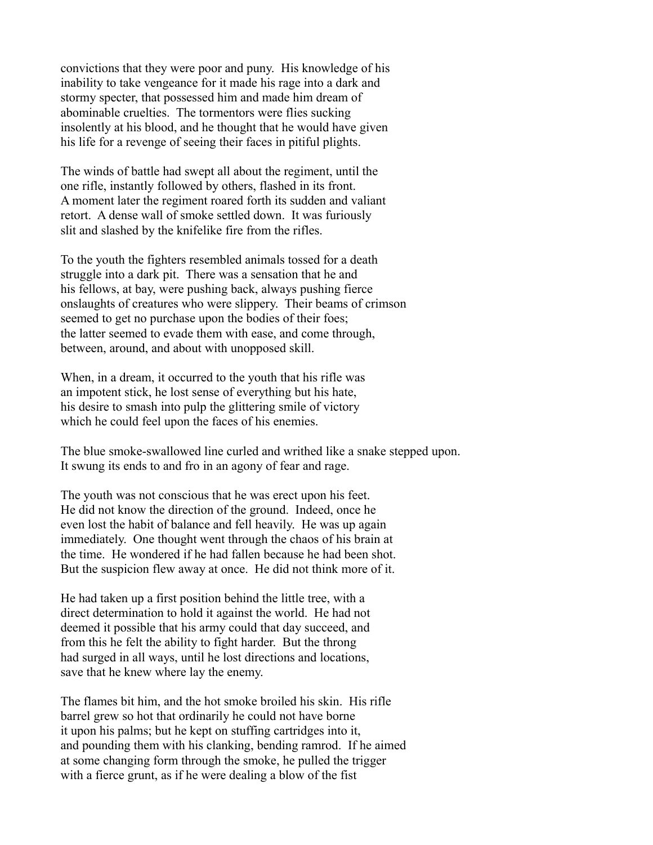convictions that they were poor and puny. His knowledge of his inability to take vengeance for it made his rage into a dark and stormy specter, that possessed him and made him dream of abominable cruelties. The tormentors were flies sucking insolently at his blood, and he thought that he would have given his life for a revenge of seeing their faces in pitiful plights.

The winds of battle had swept all about the regiment, until the one rifle, instantly followed by others, flashed in its front. A moment later the regiment roared forth its sudden and valiant retort. A dense wall of smoke settled down. It was furiously slit and slashed by the knifelike fire from the rifles.

To the youth the fighters resembled animals tossed for a death struggle into a dark pit. There was a sensation that he and his fellows, at bay, were pushing back, always pushing fierce onslaughts of creatures who were slippery. Their beams of crimson seemed to get no purchase upon the bodies of their foes; the latter seemed to evade them with ease, and come through, between, around, and about with unopposed skill.

When, in a dream, it occurred to the youth that his rifle was an impotent stick, he lost sense of everything but his hate, his desire to smash into pulp the glittering smile of victory which he could feel upon the faces of his enemies.

The blue smoke-swallowed line curled and writhed like a snake stepped upon. It swung its ends to and fro in an agony of fear and rage.

The youth was not conscious that he was erect upon his feet. He did not know the direction of the ground. Indeed, once he even lost the habit of balance and fell heavily. He was up again immediately. One thought went through the chaos of his brain at the time. He wondered if he had fallen because he had been shot. But the suspicion flew away at once. He did not think more of it.

He had taken up a first position behind the little tree, with a direct determination to hold it against the world. He had not deemed it possible that his army could that day succeed, and from this he felt the ability to fight harder. But the throng had surged in all ways, until he lost directions and locations, save that he knew where lay the enemy.

The flames bit him, and the hot smoke broiled his skin. His rifle barrel grew so hot that ordinarily he could not have borne it upon his palms; but he kept on stuffing cartridges into it, and pounding them with his clanking, bending ramrod. If he aimed at some changing form through the smoke, he pulled the trigger with a fierce grunt, as if he were dealing a blow of the fist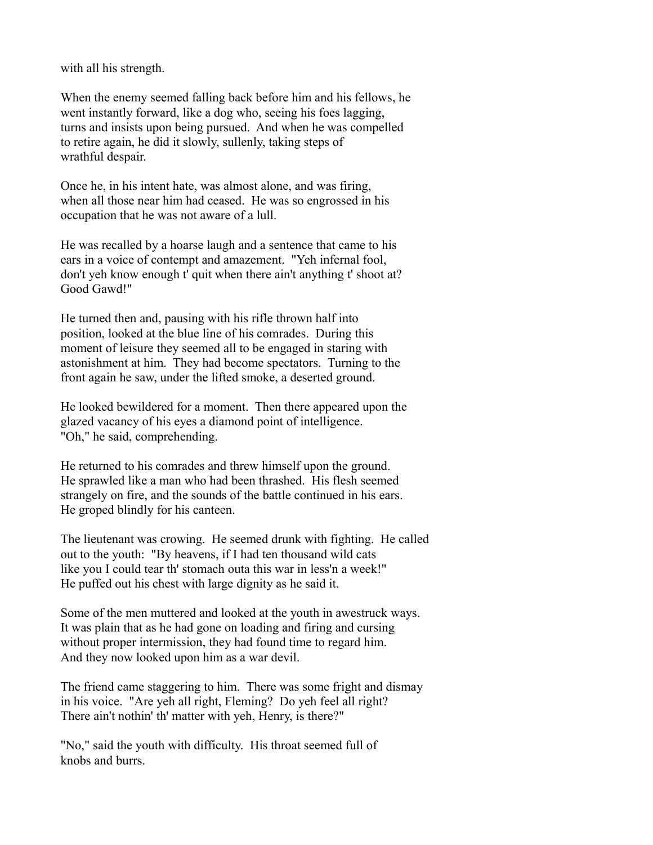with all his strength.

When the enemy seemed falling back before him and his fellows, he went instantly forward, like a dog who, seeing his foes lagging, turns and insists upon being pursued. And when he was compelled to retire again, he did it slowly, sullenly, taking steps of wrathful despair.

Once he, in his intent hate, was almost alone, and was firing, when all those near him had ceased. He was so engrossed in his occupation that he was not aware of a lull.

He was recalled by a hoarse laugh and a sentence that came to his ears in a voice of contempt and amazement. "Yeh infernal fool, don't yeh know enough t' quit when there ain't anything t' shoot at? Good Gawd!"

He turned then and, pausing with his rifle thrown half into position, looked at the blue line of his comrades. During this moment of leisure they seemed all to be engaged in staring with astonishment at him. They had become spectators. Turning to the front again he saw, under the lifted smoke, a deserted ground.

He looked bewildered for a moment. Then there appeared upon the glazed vacancy of his eyes a diamond point of intelligence. "Oh," he said, comprehending.

He returned to his comrades and threw himself upon the ground. He sprawled like a man who had been thrashed. His flesh seemed strangely on fire, and the sounds of the battle continued in his ears. He groped blindly for his canteen.

The lieutenant was crowing. He seemed drunk with fighting. He called out to the youth: "By heavens, if I had ten thousand wild cats like you I could tear th' stomach outa this war in less'n a week!" He puffed out his chest with large dignity as he said it.

Some of the men muttered and looked at the youth in awestruck ways. It was plain that as he had gone on loading and firing and cursing without proper intermission, they had found time to regard him. And they now looked upon him as a war devil.

The friend came staggering to him. There was some fright and dismay in his voice. "Are yeh all right, Fleming? Do yeh feel all right? There ain't nothin' th' matter with yeh, Henry, is there?"

"No," said the youth with difficulty. His throat seemed full of knobs and burrs.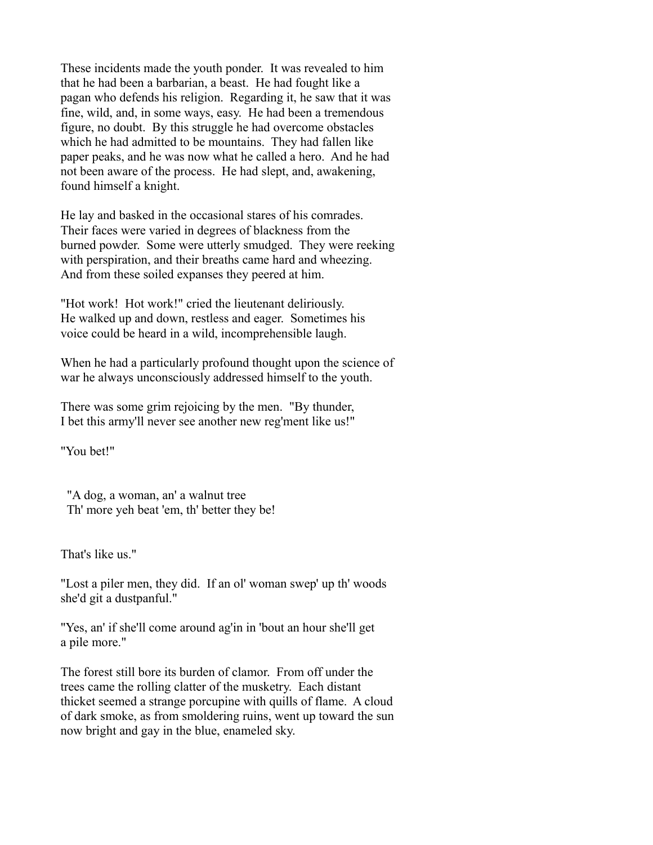These incidents made the youth ponder. It was revealed to him that he had been a barbarian, a beast. He had fought like a pagan who defends his religion. Regarding it, he saw that it was fine, wild, and, in some ways, easy. He had been a tremendous figure, no doubt. By this struggle he had overcome obstacles which he had admitted to be mountains. They had fallen like paper peaks, and he was now what he called a hero. And he had not been aware of the process. He had slept, and, awakening, found himself a knight.

He lay and basked in the occasional stares of his comrades. Their faces were varied in degrees of blackness from the burned powder. Some were utterly smudged. They were reeking with perspiration, and their breaths came hard and wheezing. And from these soiled expanses they peered at him.

"Hot work! Hot work!" cried the lieutenant deliriously. He walked up and down, restless and eager. Sometimes his voice could be heard in a wild, incomprehensible laugh.

When he had a particularly profound thought upon the science of war he always unconsciously addressed himself to the youth.

There was some grim rejoicing by the men. "By thunder, I bet this army'll never see another new reg'ment like us!"

"You bet!"

 "A dog, a woman, an' a walnut tree Th' more yeh beat 'em, th' better they be!

That's like us."

"Lost a piler men, they did. If an ol' woman swep' up th' woods she'd git a dustpanful."

"Yes, an' if she'll come around ag'in in 'bout an hour she'll get a pile more."

The forest still bore its burden of clamor. From off under the trees came the rolling clatter of the musketry. Each distant thicket seemed a strange porcupine with quills of flame. A cloud of dark smoke, as from smoldering ruins, went up toward the sun now bright and gay in the blue, enameled sky.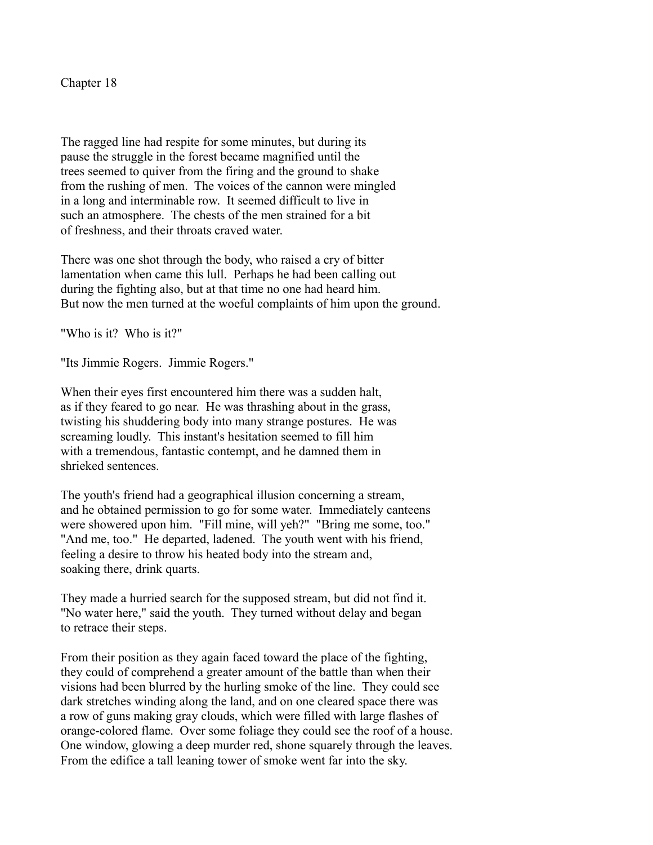The ragged line had respite for some minutes, but during its pause the struggle in the forest became magnified until the trees seemed to quiver from the firing and the ground to shake from the rushing of men. The voices of the cannon were mingled in a long and interminable row. It seemed difficult to live in such an atmosphere. The chests of the men strained for a bit of freshness, and their throats craved water.

There was one shot through the body, who raised a cry of bitter lamentation when came this lull. Perhaps he had been calling out during the fighting also, but at that time no one had heard him. But now the men turned at the woeful complaints of him upon the ground.

"Who is it? Who is it?"

"Its Jimmie Rogers. Jimmie Rogers."

When their eyes first encountered him there was a sudden halt, as if they feared to go near. He was thrashing about in the grass, twisting his shuddering body into many strange postures. He was screaming loudly. This instant's hesitation seemed to fill him with a tremendous, fantastic contempt, and he damned them in shrieked sentences.

The youth's friend had a geographical illusion concerning a stream, and he obtained permission to go for some water. Immediately canteens were showered upon him. "Fill mine, will yeh?" "Bring me some, too." "And me, too." He departed, ladened. The youth went with his friend, feeling a desire to throw his heated body into the stream and, soaking there, drink quarts.

They made a hurried search for the supposed stream, but did not find it. "No water here," said the youth. They turned without delay and began to retrace their steps.

From their position as they again faced toward the place of the fighting, they could of comprehend a greater amount of the battle than when their visions had been blurred by the hurling smoke of the line. They could see dark stretches winding along the land, and on one cleared space there was a row of guns making gray clouds, which were filled with large flashes of orange-colored flame. Over some foliage they could see the roof of a house. One window, glowing a deep murder red, shone squarely through the leaves. From the edifice a tall leaning tower of smoke went far into the sky.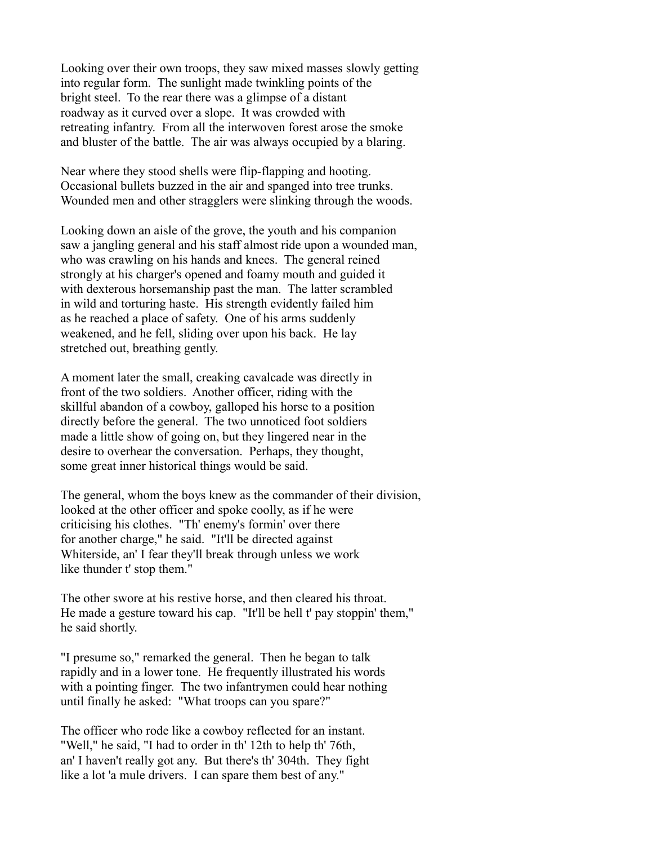Looking over their own troops, they saw mixed masses slowly getting into regular form. The sunlight made twinkling points of the bright steel. To the rear there was a glimpse of a distant roadway as it curved over a slope. It was crowded with retreating infantry. From all the interwoven forest arose the smoke and bluster of the battle. The air was always occupied by a blaring.

Near where they stood shells were flip-flapping and hooting. Occasional bullets buzzed in the air and spanged into tree trunks. Wounded men and other stragglers were slinking through the woods.

Looking down an aisle of the grove, the youth and his companion saw a jangling general and his staff almost ride upon a wounded man, who was crawling on his hands and knees. The general reined strongly at his charger's opened and foamy mouth and guided it with dexterous horsemanship past the man. The latter scrambled in wild and torturing haste. His strength evidently failed him as he reached a place of safety. One of his arms suddenly weakened, and he fell, sliding over upon his back. He lay stretched out, breathing gently.

A moment later the small, creaking cavalcade was directly in front of the two soldiers. Another officer, riding with the skillful abandon of a cowboy, galloped his horse to a position directly before the general. The two unnoticed foot soldiers made a little show of going on, but they lingered near in the desire to overhear the conversation. Perhaps, they thought, some great inner historical things would be said.

The general, whom the boys knew as the commander of their division, looked at the other officer and spoke coolly, as if he were criticising his clothes. "Th' enemy's formin' over there for another charge," he said. "It'll be directed against Whiterside, an' I fear they'll break through unless we work like thunder t' stop them."

The other swore at his restive horse, and then cleared his throat. He made a gesture toward his cap. "It'll be hell t' pay stoppin' them," he said shortly.

"I presume so," remarked the general. Then he began to talk rapidly and in a lower tone. He frequently illustrated his words with a pointing finger. The two infantrymen could hear nothing until finally he asked: "What troops can you spare?"

The officer who rode like a cowboy reflected for an instant. "Well," he said, "I had to order in th' 12th to help th' 76th, an' I haven't really got any. But there's th' 304th. They fight like a lot 'a mule drivers. I can spare them best of any."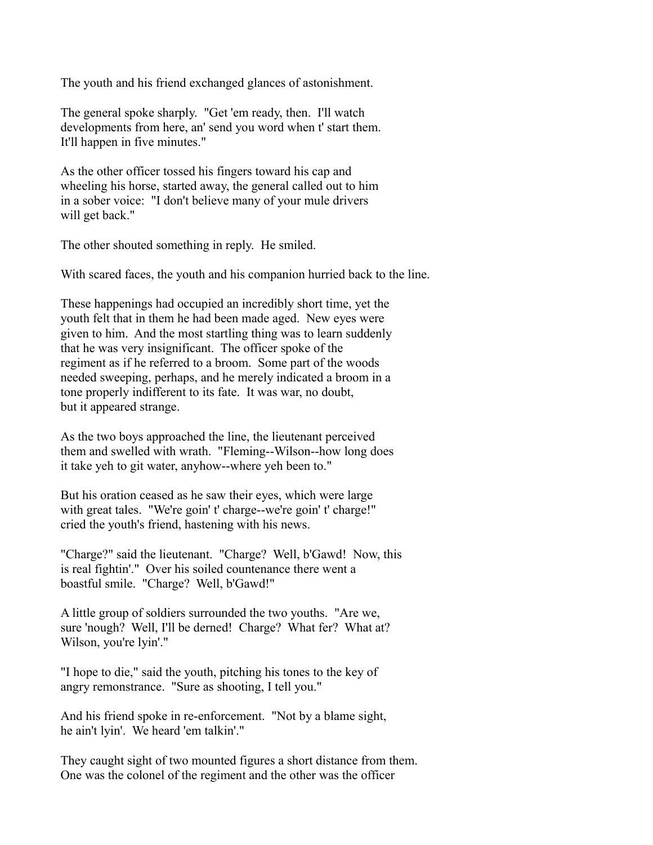The youth and his friend exchanged glances of astonishment.

The general spoke sharply. "Get 'em ready, then. I'll watch developments from here, an' send you word when t' start them. It'll happen in five minutes."

As the other officer tossed his fingers toward his cap and wheeling his horse, started away, the general called out to him in a sober voice: "I don't believe many of your mule drivers will get back."

The other shouted something in reply. He smiled.

With scared faces, the youth and his companion hurried back to the line.

These happenings had occupied an incredibly short time, yet the youth felt that in them he had been made aged. New eyes were given to him. And the most startling thing was to learn suddenly that he was very insignificant. The officer spoke of the regiment as if he referred to a broom. Some part of the woods needed sweeping, perhaps, and he merely indicated a broom in a tone properly indifferent to its fate. It was war, no doubt, but it appeared strange.

As the two boys approached the line, the lieutenant perceived them and swelled with wrath. "Fleming--Wilson--how long does it take yeh to git water, anyhow--where yeh been to."

But his oration ceased as he saw their eyes, which were large with great tales. "We're goin' t' charge--we're goin' t' charge!" cried the youth's friend, hastening with his news.

"Charge?" said the lieutenant. "Charge? Well, b'Gawd! Now, this is real fightin'." Over his soiled countenance there went a boastful smile. "Charge? Well, b'Gawd!"

A little group of soldiers surrounded the two youths. "Are we, sure 'nough? Well, I'll be derned! Charge? What fer? What at? Wilson, you're lyin'."

"I hope to die," said the youth, pitching his tones to the key of angry remonstrance. "Sure as shooting, I tell you."

And his friend spoke in re-enforcement. "Not by a blame sight, he ain't lyin'. We heard 'em talkin'."

They caught sight of two mounted figures a short distance from them. One was the colonel of the regiment and the other was the officer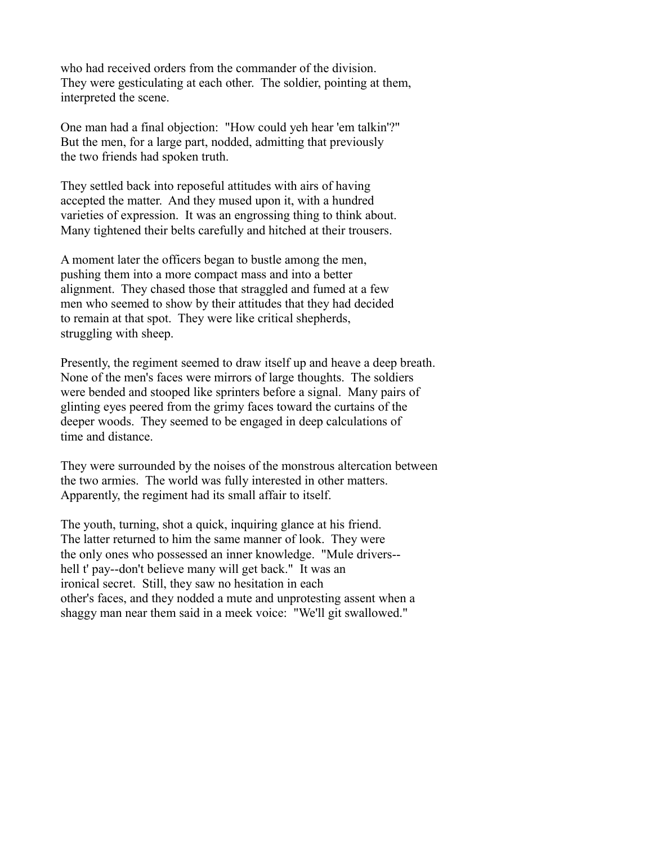who had received orders from the commander of the division. They were gesticulating at each other. The soldier, pointing at them, interpreted the scene.

One man had a final objection: "How could yeh hear 'em talkin'?" But the men, for a large part, nodded, admitting that previously the two friends had spoken truth.

They settled back into reposeful attitudes with airs of having accepted the matter. And they mused upon it, with a hundred varieties of expression. It was an engrossing thing to think about. Many tightened their belts carefully and hitched at their trousers.

A moment later the officers began to bustle among the men, pushing them into a more compact mass and into a better alignment. They chased those that straggled and fumed at a few men who seemed to show by their attitudes that they had decided to remain at that spot. They were like critical shepherds, struggling with sheep.

Presently, the regiment seemed to draw itself up and heave a deep breath. None of the men's faces were mirrors of large thoughts. The soldiers were bended and stooped like sprinters before a signal. Many pairs of glinting eyes peered from the grimy faces toward the curtains of the deeper woods. They seemed to be engaged in deep calculations of time and distance.

They were surrounded by the noises of the monstrous altercation between the two armies. The world was fully interested in other matters. Apparently, the regiment had its small affair to itself.

The youth, turning, shot a quick, inquiring glance at his friend. The latter returned to him the same manner of look. They were the only ones who possessed an inner knowledge. "Mule drivers- hell t' pay--don't believe many will get back." It was an ironical secret. Still, they saw no hesitation in each other's faces, and they nodded a mute and unprotesting assent when a shaggy man near them said in a meek voice: "We'll git swallowed."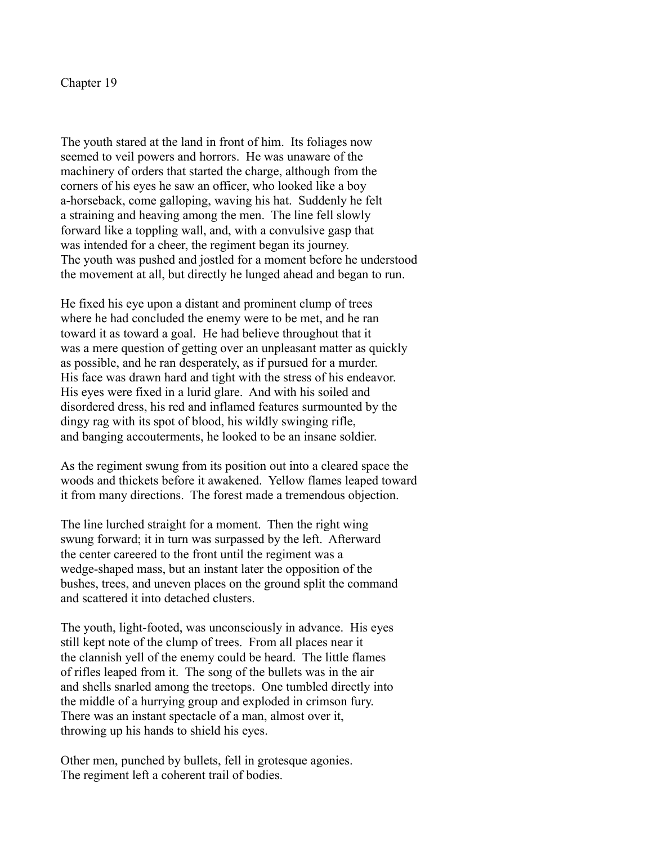The youth stared at the land in front of him. Its foliages now seemed to veil powers and horrors. He was unaware of the machinery of orders that started the charge, although from the corners of his eyes he saw an officer, who looked like a boy a-horseback, come galloping, waving his hat. Suddenly he felt a straining and heaving among the men. The line fell slowly forward like a toppling wall, and, with a convulsive gasp that was intended for a cheer, the regiment began its journey. The youth was pushed and jostled for a moment before he understood the movement at all, but directly he lunged ahead and began to run.

He fixed his eye upon a distant and prominent clump of trees where he had concluded the enemy were to be met, and he ran toward it as toward a goal. He had believe throughout that it was a mere question of getting over an unpleasant matter as quickly as possible, and he ran desperately, as if pursued for a murder. His face was drawn hard and tight with the stress of his endeavor. His eyes were fixed in a lurid glare. And with his soiled and disordered dress, his red and inflamed features surmounted by the dingy rag with its spot of blood, his wildly swinging rifle, and banging accouterments, he looked to be an insane soldier.

As the regiment swung from its position out into a cleared space the woods and thickets before it awakened. Yellow flames leaped toward it from many directions. The forest made a tremendous objection.

The line lurched straight for a moment. Then the right wing swung forward; it in turn was surpassed by the left. Afterward the center careered to the front until the regiment was a wedge-shaped mass, but an instant later the opposition of the bushes, trees, and uneven places on the ground split the command and scattered it into detached clusters.

The youth, light-footed, was unconsciously in advance. His eyes still kept note of the clump of trees. From all places near it the clannish yell of the enemy could be heard. The little flames of rifles leaped from it. The song of the bullets was in the air and shells snarled among the treetops. One tumbled directly into the middle of a hurrying group and exploded in crimson fury. There was an instant spectacle of a man, almost over it, throwing up his hands to shield his eyes.

Other men, punched by bullets, fell in grotesque agonies. The regiment left a coherent trail of bodies.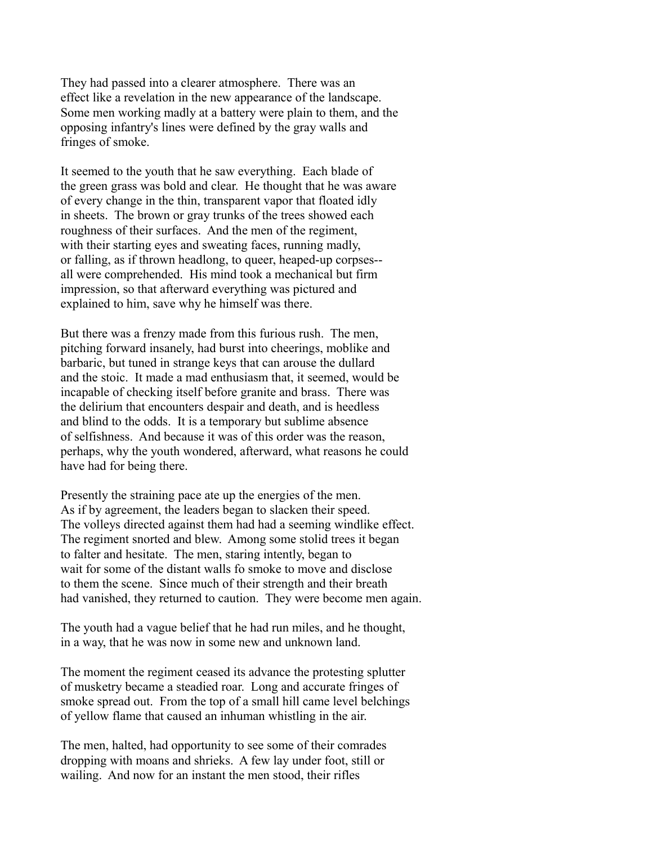They had passed into a clearer atmosphere. There was an effect like a revelation in the new appearance of the landscape. Some men working madly at a battery were plain to them, and the opposing infantry's lines were defined by the gray walls and fringes of smoke.

It seemed to the youth that he saw everything. Each blade of the green grass was bold and clear. He thought that he was aware of every change in the thin, transparent vapor that floated idly in sheets. The brown or gray trunks of the trees showed each roughness of their surfaces. And the men of the regiment, with their starting eyes and sweating faces, running madly, or falling, as if thrown headlong, to queer, heaped-up corpses- all were comprehended. His mind took a mechanical but firm impression, so that afterward everything was pictured and explained to him, save why he himself was there.

But there was a frenzy made from this furious rush. The men, pitching forward insanely, had burst into cheerings, moblike and barbaric, but tuned in strange keys that can arouse the dullard and the stoic. It made a mad enthusiasm that, it seemed, would be incapable of checking itself before granite and brass. There was the delirium that encounters despair and death, and is heedless and blind to the odds. It is a temporary but sublime absence of selfishness. And because it was of this order was the reason, perhaps, why the youth wondered, afterward, what reasons he could have had for being there.

Presently the straining pace ate up the energies of the men. As if by agreement, the leaders began to slacken their speed. The volleys directed against them had had a seeming windlike effect. The regiment snorted and blew. Among some stolid trees it began to falter and hesitate. The men, staring intently, began to wait for some of the distant walls fo smoke to move and disclose to them the scene. Since much of their strength and their breath had vanished, they returned to caution. They were become men again.

The youth had a vague belief that he had run miles, and he thought, in a way, that he was now in some new and unknown land.

The moment the regiment ceased its advance the protesting splutter of musketry became a steadied roar. Long and accurate fringes of smoke spread out. From the top of a small hill came level belchings of yellow flame that caused an inhuman whistling in the air.

The men, halted, had opportunity to see some of their comrades dropping with moans and shrieks. A few lay under foot, still or wailing. And now for an instant the men stood, their rifles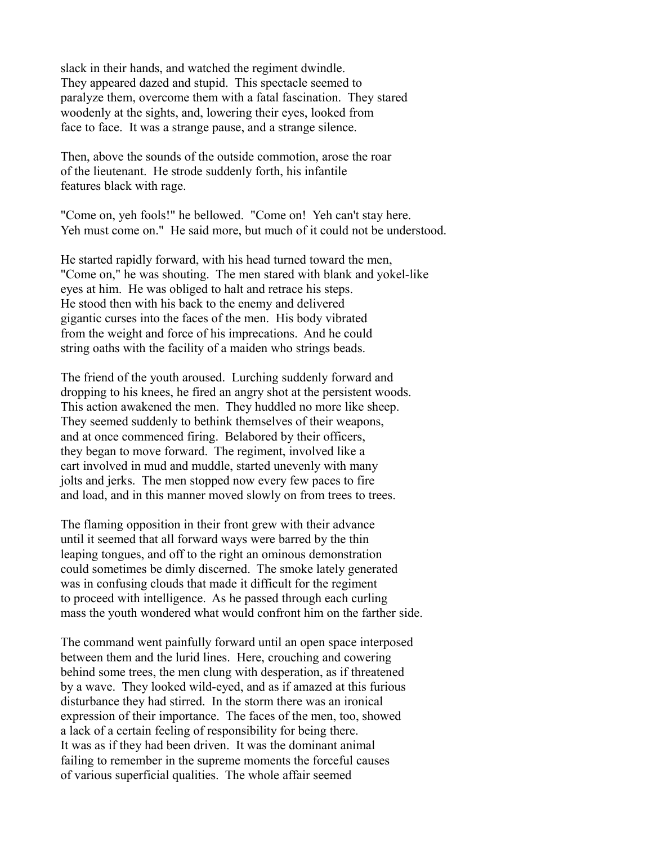slack in their hands, and watched the regiment dwindle. They appeared dazed and stupid. This spectacle seemed to paralyze them, overcome them with a fatal fascination. They stared woodenly at the sights, and, lowering their eyes, looked from face to face. It was a strange pause, and a strange silence.

Then, above the sounds of the outside commotion, arose the roar of the lieutenant. He strode suddenly forth, his infantile features black with rage.

"Come on, yeh fools!" he bellowed. "Come on! Yeh can't stay here. Yeh must come on." He said more, but much of it could not be understood.

He started rapidly forward, with his head turned toward the men, "Come on," he was shouting. The men stared with blank and yokel-like eyes at him. He was obliged to halt and retrace his steps. He stood then with his back to the enemy and delivered gigantic curses into the faces of the men. His body vibrated from the weight and force of his imprecations. And he could string oaths with the facility of a maiden who strings beads.

The friend of the youth aroused. Lurching suddenly forward and dropping to his knees, he fired an angry shot at the persistent woods. This action awakened the men. They huddled no more like sheep. They seemed suddenly to bethink themselves of their weapons, and at once commenced firing. Belabored by their officers, they began to move forward. The regiment, involved like a cart involved in mud and muddle, started unevenly with many jolts and jerks. The men stopped now every few paces to fire and load, and in this manner moved slowly on from trees to trees.

The flaming opposition in their front grew with their advance until it seemed that all forward ways were barred by the thin leaping tongues, and off to the right an ominous demonstration could sometimes be dimly discerned. The smoke lately generated was in confusing clouds that made it difficult for the regiment to proceed with intelligence. As he passed through each curling mass the youth wondered what would confront him on the farther side.

The command went painfully forward until an open space interposed between them and the lurid lines. Here, crouching and cowering behind some trees, the men clung with desperation, as if threatened by a wave. They looked wild-eyed, and as if amazed at this furious disturbance they had stirred. In the storm there was an ironical expression of their importance. The faces of the men, too, showed a lack of a certain feeling of responsibility for being there. It was as if they had been driven. It was the dominant animal failing to remember in the supreme moments the forceful causes of various superficial qualities. The whole affair seemed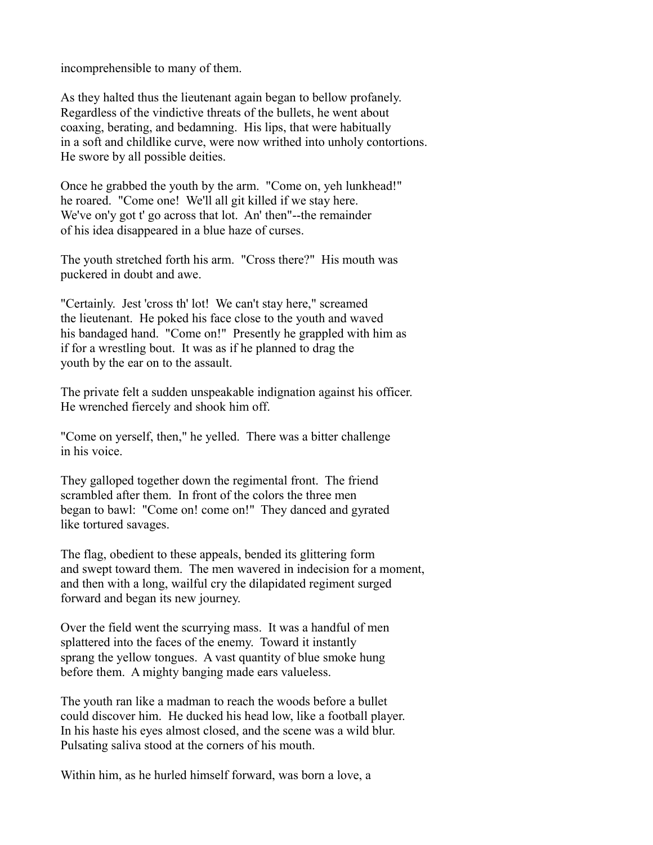incomprehensible to many of them.

As they halted thus the lieutenant again began to bellow profanely. Regardless of the vindictive threats of the bullets, he went about coaxing, berating, and bedamning. His lips, that were habitually in a soft and childlike curve, were now writhed into unholy contortions. He swore by all possible deities.

Once he grabbed the youth by the arm. "Come on, yeh lunkhead!" he roared. "Come one! We'll all git killed if we stay here. We've on'y got t' go across that lot. An' then"--the remainder of his idea disappeared in a blue haze of curses.

The youth stretched forth his arm. "Cross there?" His mouth was puckered in doubt and awe.

"Certainly. Jest 'cross th' lot! We can't stay here," screamed the lieutenant. He poked his face close to the youth and waved his bandaged hand. "Come on!" Presently he grappled with him as if for a wrestling bout. It was as if he planned to drag the youth by the ear on to the assault.

The private felt a sudden unspeakable indignation against his officer. He wrenched fiercely and shook him off.

"Come on yerself, then," he yelled. There was a bitter challenge in his voice.

They galloped together down the regimental front. The friend scrambled after them. In front of the colors the three men began to bawl: "Come on! come on!" They danced and gyrated like tortured savages.

The flag, obedient to these appeals, bended its glittering form and swept toward them. The men wavered in indecision for a moment, and then with a long, wailful cry the dilapidated regiment surged forward and began its new journey.

Over the field went the scurrying mass. It was a handful of men splattered into the faces of the enemy. Toward it instantly sprang the yellow tongues. A vast quantity of blue smoke hung before them. A mighty banging made ears valueless.

The youth ran like a madman to reach the woods before a bullet could discover him. He ducked his head low, like a football player. In his haste his eyes almost closed, and the scene was a wild blur. Pulsating saliva stood at the corners of his mouth.

Within him, as he hurled himself forward, was born a love, a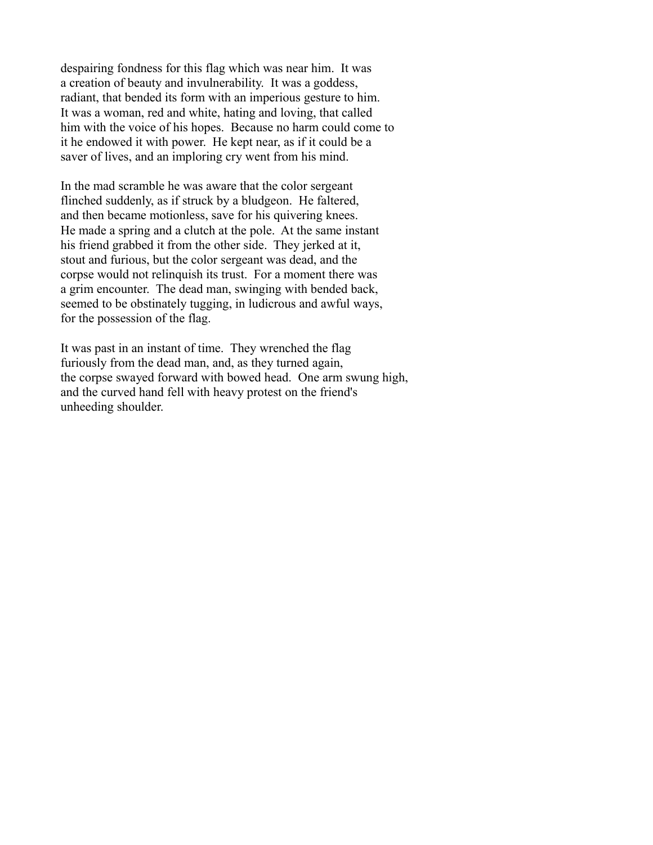despairing fondness for this flag which was near him. It was a creation of beauty and invulnerability. It was a goddess, radiant, that bended its form with an imperious gesture to him. It was a woman, red and white, hating and loving, that called him with the voice of his hopes. Because no harm could come to it he endowed it with power. He kept near, as if it could be a saver of lives, and an imploring cry went from his mind.

In the mad scramble he was aware that the color sergeant flinched suddenly, as if struck by a bludgeon. He faltered, and then became motionless, save for his quivering knees. He made a spring and a clutch at the pole. At the same instant his friend grabbed it from the other side. They jerked at it, stout and furious, but the color sergeant was dead, and the corpse would not relinquish its trust. For a moment there was a grim encounter. The dead man, swinging with bended back, seemed to be obstinately tugging, in ludicrous and awful ways, for the possession of the flag.

It was past in an instant of time. They wrenched the flag furiously from the dead man, and, as they turned again, the corpse swayed forward with bowed head. One arm swung high, and the curved hand fell with heavy protest on the friend's unheeding shoulder.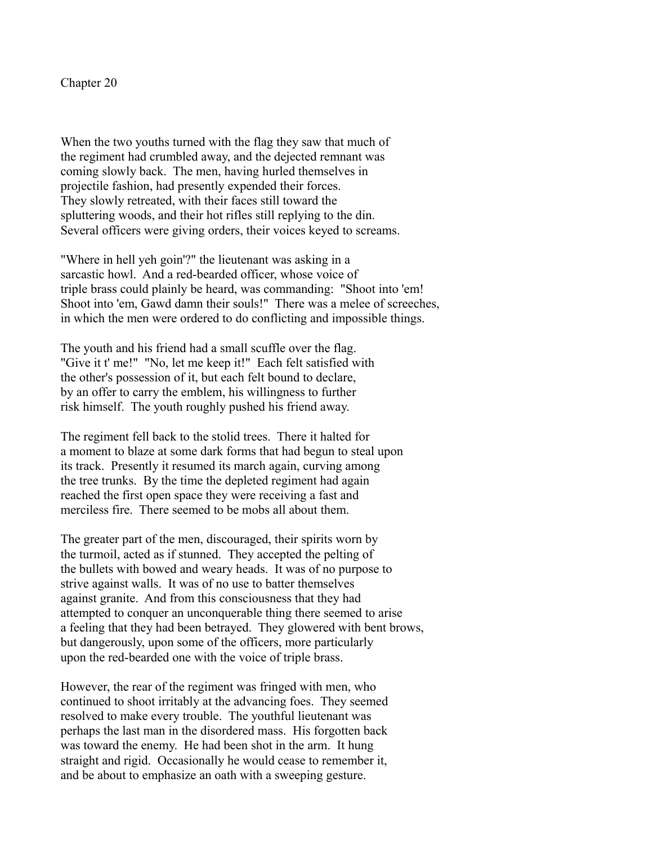When the two youths turned with the flag they saw that much of the regiment had crumbled away, and the dejected remnant was coming slowly back. The men, having hurled themselves in projectile fashion, had presently expended their forces. They slowly retreated, with their faces still toward the spluttering woods, and their hot rifles still replying to the din. Several officers were giving orders, their voices keyed to screams.

"Where in hell yeh goin'?" the lieutenant was asking in a sarcastic howl. And a red-bearded officer, whose voice of triple brass could plainly be heard, was commanding: "Shoot into 'em! Shoot into 'em, Gawd damn their souls!" There was a melee of screeches, in which the men were ordered to do conflicting and impossible things.

The youth and his friend had a small scuffle over the flag. "Give it t' me!" "No, let me keep it!" Each felt satisfied with the other's possession of it, but each felt bound to declare, by an offer to carry the emblem, his willingness to further risk himself. The youth roughly pushed his friend away.

The regiment fell back to the stolid trees. There it halted for a moment to blaze at some dark forms that had begun to steal upon its track. Presently it resumed its march again, curving among the tree trunks. By the time the depleted regiment had again reached the first open space they were receiving a fast and merciless fire. There seemed to be mobs all about them.

The greater part of the men, discouraged, their spirits worn by the turmoil, acted as if stunned. They accepted the pelting of the bullets with bowed and weary heads. It was of no purpose to strive against walls. It was of no use to batter themselves against granite. And from this consciousness that they had attempted to conquer an unconquerable thing there seemed to arise a feeling that they had been betrayed. They glowered with bent brows, but dangerously, upon some of the officers, more particularly upon the red-bearded one with the voice of triple brass.

However, the rear of the regiment was fringed with men, who continued to shoot irritably at the advancing foes. They seemed resolved to make every trouble. The youthful lieutenant was perhaps the last man in the disordered mass. His forgotten back was toward the enemy. He had been shot in the arm. It hung straight and rigid. Occasionally he would cease to remember it, and be about to emphasize an oath with a sweeping gesture.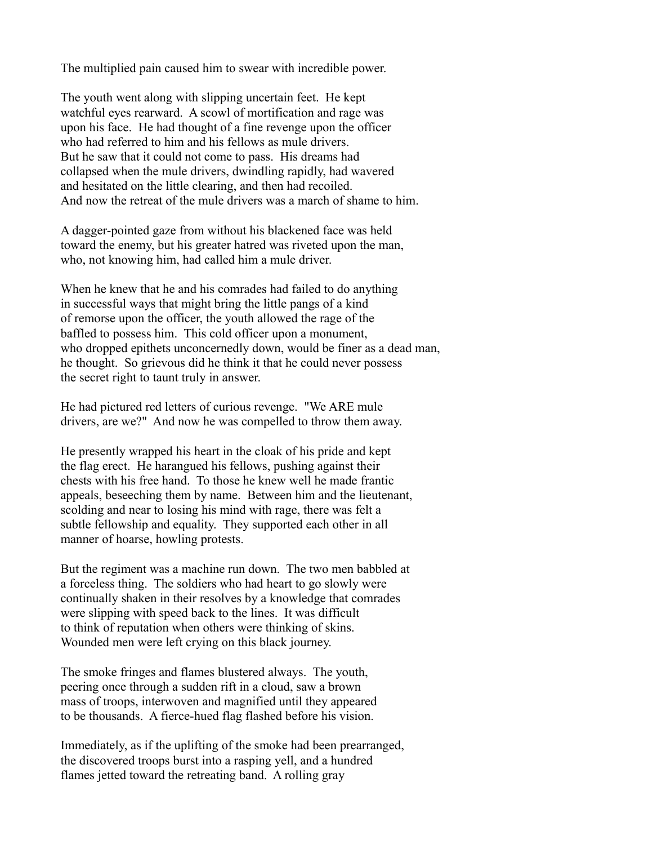The multiplied pain caused him to swear with incredible power.

The youth went along with slipping uncertain feet. He kept watchful eyes rearward. A scowl of mortification and rage was upon his face. He had thought of a fine revenge upon the officer who had referred to him and his fellows as mule drivers. But he saw that it could not come to pass. His dreams had collapsed when the mule drivers, dwindling rapidly, had wavered and hesitated on the little clearing, and then had recoiled. And now the retreat of the mule drivers was a march of shame to him.

A dagger-pointed gaze from without his blackened face was held toward the enemy, but his greater hatred was riveted upon the man, who, not knowing him, had called him a mule driver.

When he knew that he and his comrades had failed to do anything in successful ways that might bring the little pangs of a kind of remorse upon the officer, the youth allowed the rage of the baffled to possess him. This cold officer upon a monument, who dropped epithets unconcernedly down, would be finer as a dead man, he thought. So grievous did he think it that he could never possess the secret right to taunt truly in answer.

He had pictured red letters of curious revenge. "We ARE mule drivers, are we?" And now he was compelled to throw them away.

He presently wrapped his heart in the cloak of his pride and kept the flag erect. He harangued his fellows, pushing against their chests with his free hand. To those he knew well he made frantic appeals, beseeching them by name. Between him and the lieutenant, scolding and near to losing his mind with rage, there was felt a subtle fellowship and equality. They supported each other in all manner of hoarse, howling protests.

But the regiment was a machine run down. The two men babbled at a forceless thing. The soldiers who had heart to go slowly were continually shaken in their resolves by a knowledge that comrades were slipping with speed back to the lines. It was difficult to think of reputation when others were thinking of skins. Wounded men were left crying on this black journey.

The smoke fringes and flames blustered always. The youth, peering once through a sudden rift in a cloud, saw a brown mass of troops, interwoven and magnified until they appeared to be thousands. A fierce-hued flag flashed before his vision.

Immediately, as if the uplifting of the smoke had been prearranged, the discovered troops burst into a rasping yell, and a hundred flames jetted toward the retreating band. A rolling gray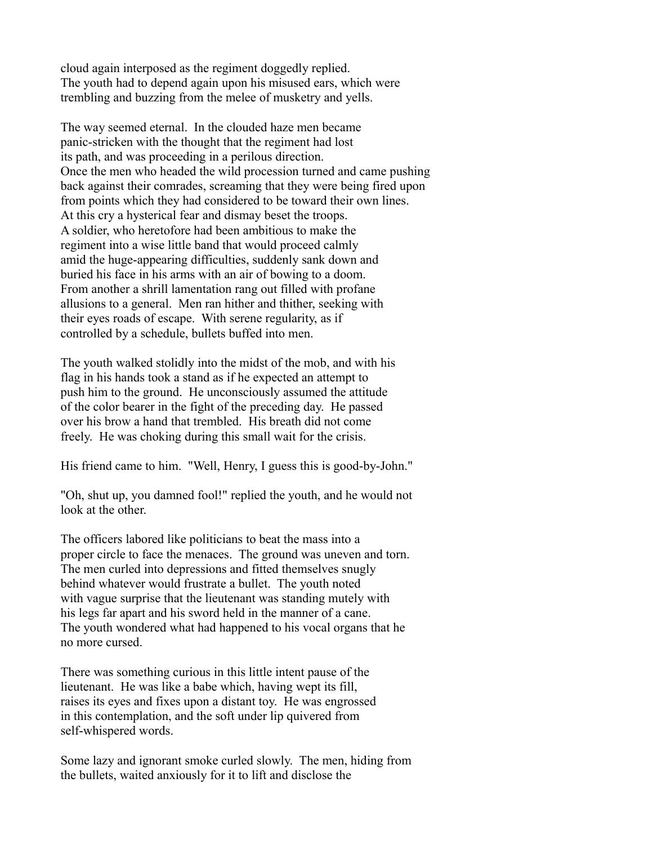cloud again interposed as the regiment doggedly replied. The youth had to depend again upon his misused ears, which were trembling and buzzing from the melee of musketry and yells.

The way seemed eternal. In the clouded haze men became panic-stricken with the thought that the regiment had lost its path, and was proceeding in a perilous direction. Once the men who headed the wild procession turned and came pushing back against their comrades, screaming that they were being fired upon from points which they had considered to be toward their own lines. At this cry a hysterical fear and dismay beset the troops. A soldier, who heretofore had been ambitious to make the regiment into a wise little band that would proceed calmly amid the huge-appearing difficulties, suddenly sank down and buried his face in his arms with an air of bowing to a doom. From another a shrill lamentation rang out filled with profane allusions to a general. Men ran hither and thither, seeking with their eyes roads of escape. With serene regularity, as if controlled by a schedule, bullets buffed into men.

The youth walked stolidly into the midst of the mob, and with his flag in his hands took a stand as if he expected an attempt to push him to the ground. He unconsciously assumed the attitude of the color bearer in the fight of the preceding day. He passed over his brow a hand that trembled. His breath did not come freely. He was choking during this small wait for the crisis.

His friend came to him. "Well, Henry, I guess this is good-by-John."

"Oh, shut up, you damned fool!" replied the youth, and he would not look at the other.

The officers labored like politicians to beat the mass into a proper circle to face the menaces. The ground was uneven and torn. The men curled into depressions and fitted themselves snugly behind whatever would frustrate a bullet. The youth noted with vague surprise that the lieutenant was standing mutely with his legs far apart and his sword held in the manner of a cane. The youth wondered what had happened to his vocal organs that he no more cursed.

There was something curious in this little intent pause of the lieutenant. He was like a babe which, having wept its fill, raises its eyes and fixes upon a distant toy. He was engrossed in this contemplation, and the soft under lip quivered from self-whispered words.

Some lazy and ignorant smoke curled slowly. The men, hiding from the bullets, waited anxiously for it to lift and disclose the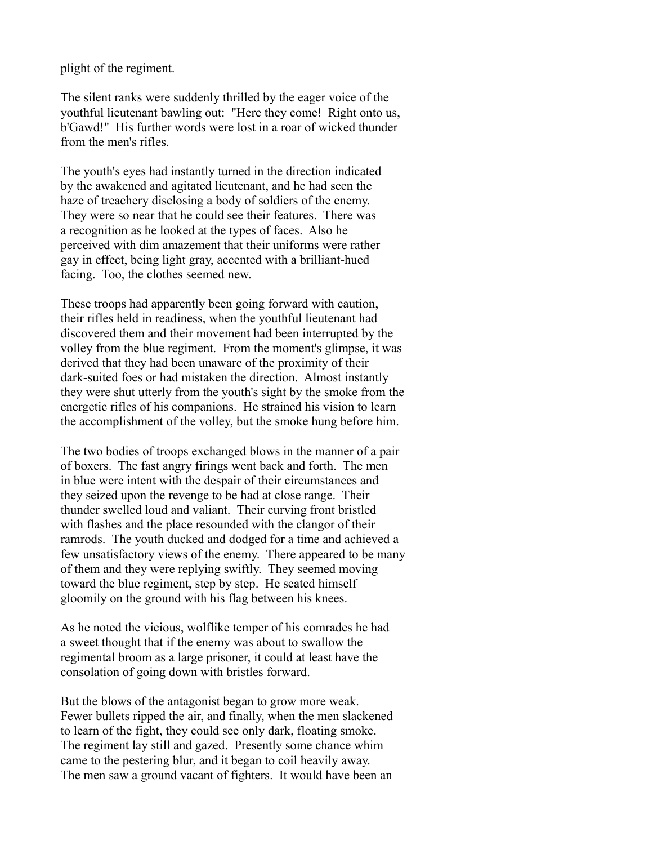plight of the regiment.

The silent ranks were suddenly thrilled by the eager voice of the youthful lieutenant bawling out: "Here they come! Right onto us, b'Gawd!" His further words were lost in a roar of wicked thunder from the men's rifles.

The youth's eyes had instantly turned in the direction indicated by the awakened and agitated lieutenant, and he had seen the haze of treachery disclosing a body of soldiers of the enemy. They were so near that he could see their features. There was a recognition as he looked at the types of faces. Also he perceived with dim amazement that their uniforms were rather gay in effect, being light gray, accented with a brilliant-hued facing. Too, the clothes seemed new.

These troops had apparently been going forward with caution, their rifles held in readiness, when the youthful lieutenant had discovered them and their movement had been interrupted by the volley from the blue regiment. From the moment's glimpse, it was derived that they had been unaware of the proximity of their dark-suited foes or had mistaken the direction. Almost instantly they were shut utterly from the youth's sight by the smoke from the energetic rifles of his companions. He strained his vision to learn the accomplishment of the volley, but the smoke hung before him.

The two bodies of troops exchanged blows in the manner of a pair of boxers. The fast angry firings went back and forth. The men in blue were intent with the despair of their circumstances and they seized upon the revenge to be had at close range. Their thunder swelled loud and valiant. Their curving front bristled with flashes and the place resounded with the clangor of their ramrods. The youth ducked and dodged for a time and achieved a few unsatisfactory views of the enemy. There appeared to be many of them and they were replying swiftly. They seemed moving toward the blue regiment, step by step. He seated himself gloomily on the ground with his flag between his knees.

As he noted the vicious, wolflike temper of his comrades he had a sweet thought that if the enemy was about to swallow the regimental broom as a large prisoner, it could at least have the consolation of going down with bristles forward.

But the blows of the antagonist began to grow more weak. Fewer bullets ripped the air, and finally, when the men slackened to learn of the fight, they could see only dark, floating smoke. The regiment lay still and gazed. Presently some chance whim came to the pestering blur, and it began to coil heavily away. The men saw a ground vacant of fighters. It would have been an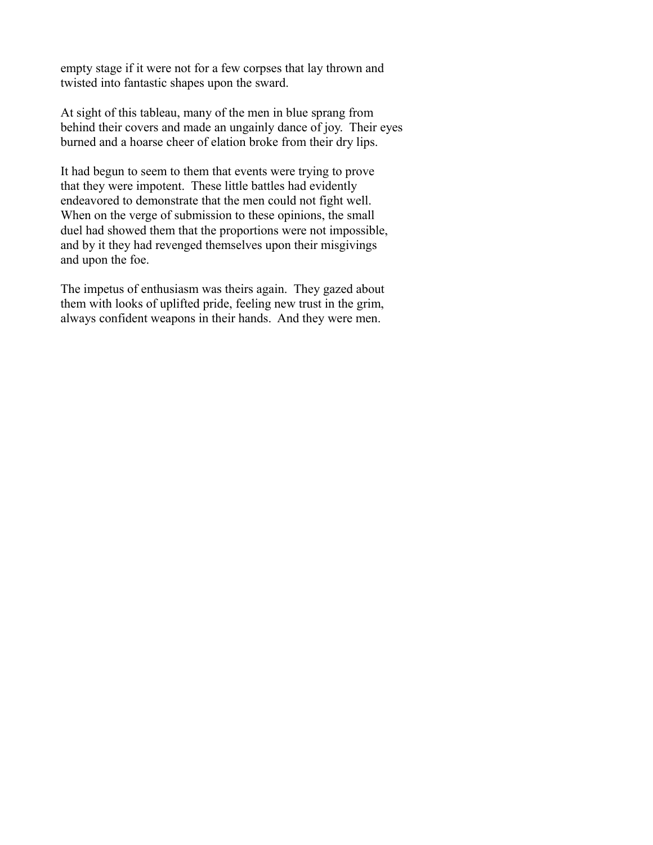empty stage if it were not for a few corpses that lay thrown and twisted into fantastic shapes upon the sward.

At sight of this tableau, many of the men in blue sprang from behind their covers and made an ungainly dance of joy. Their eyes burned and a hoarse cheer of elation broke from their dry lips.

It had begun to seem to them that events were trying to prove that they were impotent. These little battles had evidently endeavored to demonstrate that the men could not fight well. When on the verge of submission to these opinions, the small duel had showed them that the proportions were not impossible, and by it they had revenged themselves upon their misgivings and upon the foe.

The impetus of enthusiasm was theirs again. They gazed about them with looks of uplifted pride, feeling new trust in the grim, always confident weapons in their hands. And they were men.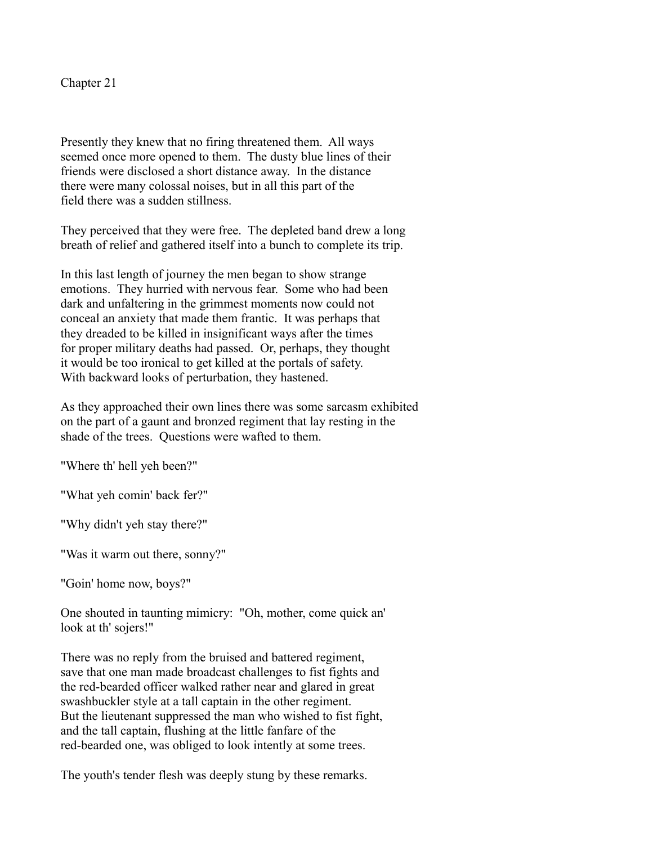Presently they knew that no firing threatened them. All ways seemed once more opened to them. The dusty blue lines of their friends were disclosed a short distance away. In the distance there were many colossal noises, but in all this part of the field there was a sudden stillness.

They perceived that they were free. The depleted band drew a long breath of relief and gathered itself into a bunch to complete its trip.

In this last length of journey the men began to show strange emotions. They hurried with nervous fear. Some who had been dark and unfaltering in the grimmest moments now could not conceal an anxiety that made them frantic. It was perhaps that they dreaded to be killed in insignificant ways after the times for proper military deaths had passed. Or, perhaps, they thought it would be too ironical to get killed at the portals of safety. With backward looks of perturbation, they hastened.

As they approached their own lines there was some sarcasm exhibited on the part of a gaunt and bronzed regiment that lay resting in the shade of the trees. Questions were wafted to them.

"Where th' hell yeh been?"

"What yeh comin' back fer?"

"Why didn't yeh stay there?"

"Was it warm out there, sonny?"

"Goin' home now, boys?"

One shouted in taunting mimicry: "Oh, mother, come quick an' look at th' sojers!"

There was no reply from the bruised and battered regiment, save that one man made broadcast challenges to fist fights and the red-bearded officer walked rather near and glared in great swashbuckler style at a tall captain in the other regiment. But the lieutenant suppressed the man who wished to fist fight, and the tall captain, flushing at the little fanfare of the red-bearded one, was obliged to look intently at some trees.

The youth's tender flesh was deeply stung by these remarks.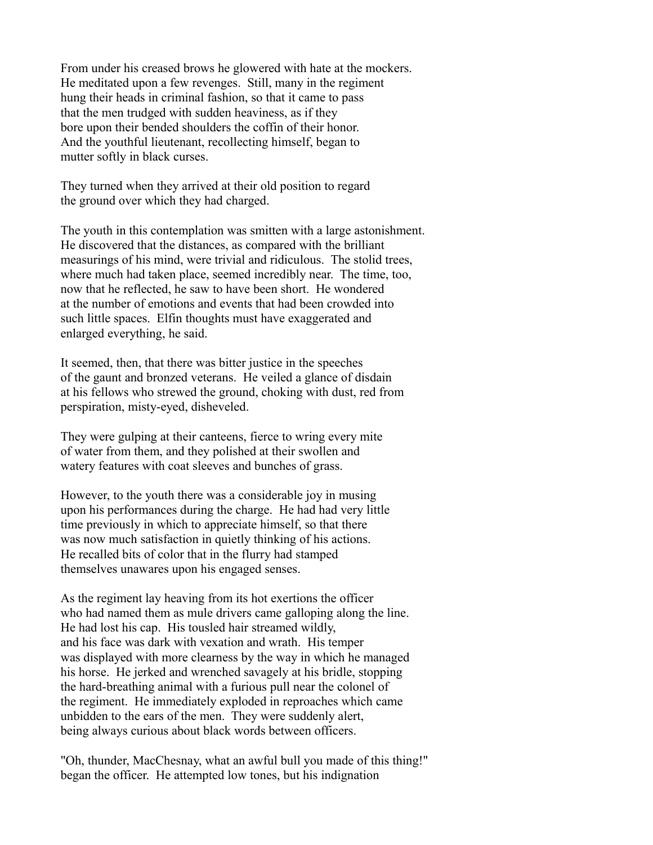From under his creased brows he glowered with hate at the mockers. He meditated upon a few revenges. Still, many in the regiment hung their heads in criminal fashion, so that it came to pass that the men trudged with sudden heaviness, as if they bore upon their bended shoulders the coffin of their honor. And the youthful lieutenant, recollecting himself, began to mutter softly in black curses.

They turned when they arrived at their old position to regard the ground over which they had charged.

The youth in this contemplation was smitten with a large astonishment. He discovered that the distances, as compared with the brilliant measurings of his mind, were trivial and ridiculous. The stolid trees, where much had taken place, seemed incredibly near. The time, too, now that he reflected, he saw to have been short. He wondered at the number of emotions and events that had been crowded into such little spaces. Elfin thoughts must have exaggerated and enlarged everything, he said.

It seemed, then, that there was bitter justice in the speeches of the gaunt and bronzed veterans. He veiled a glance of disdain at his fellows who strewed the ground, choking with dust, red from perspiration, misty-eyed, disheveled.

They were gulping at their canteens, fierce to wring every mite of water from them, and they polished at their swollen and watery features with coat sleeves and bunches of grass.

However, to the youth there was a considerable joy in musing upon his performances during the charge. He had had very little time previously in which to appreciate himself, so that there was now much satisfaction in quietly thinking of his actions. He recalled bits of color that in the flurry had stamped themselves unawares upon his engaged senses.

As the regiment lay heaving from its hot exertions the officer who had named them as mule drivers came galloping along the line. He had lost his cap. His tousled hair streamed wildly, and his face was dark with vexation and wrath. His temper was displayed with more clearness by the way in which he managed his horse. He jerked and wrenched savagely at his bridle, stopping the hard-breathing animal with a furious pull near the colonel of the regiment. He immediately exploded in reproaches which came unbidden to the ears of the men. They were suddenly alert, being always curious about black words between officers.

"Oh, thunder, MacChesnay, what an awful bull you made of this thing!" began the officer. He attempted low tones, but his indignation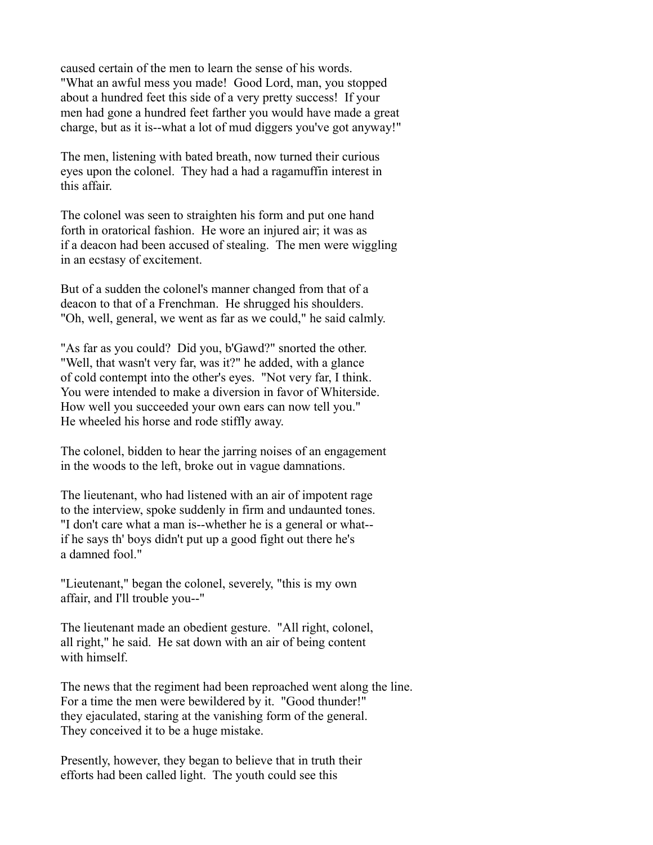caused certain of the men to learn the sense of his words. "What an awful mess you made! Good Lord, man, you stopped about a hundred feet this side of a very pretty success! If your men had gone a hundred feet farther you would have made a great charge, but as it is--what a lot of mud diggers you've got anyway!"

The men, listening with bated breath, now turned their curious eyes upon the colonel. They had a had a ragamuffin interest in this affair.

The colonel was seen to straighten his form and put one hand forth in oratorical fashion. He wore an injured air; it was as if a deacon had been accused of stealing. The men were wiggling in an ecstasy of excitement.

But of a sudden the colonel's manner changed from that of a deacon to that of a Frenchman. He shrugged his shoulders. "Oh, well, general, we went as far as we could," he said calmly.

"As far as you could? Did you, b'Gawd?" snorted the other. "Well, that wasn't very far, was it?" he added, with a glance of cold contempt into the other's eyes. "Not very far, I think. You were intended to make a diversion in favor of Whiterside. How well you succeeded your own ears can now tell you." He wheeled his horse and rode stiffly away.

The colonel, bidden to hear the jarring noises of an engagement in the woods to the left, broke out in vague damnations.

The lieutenant, who had listened with an air of impotent rage to the interview, spoke suddenly in firm and undaunted tones. "I don't care what a man is--whether he is a general or what- if he says th' boys didn't put up a good fight out there he's a damned fool."

"Lieutenant," began the colonel, severely, "this is my own affair, and I'll trouble you--"

The lieutenant made an obedient gesture. "All right, colonel, all right," he said. He sat down with an air of being content with himself.

The news that the regiment had been reproached went along the line. For a time the men were bewildered by it. "Good thunder!" they ejaculated, staring at the vanishing form of the general. They conceived it to be a huge mistake.

Presently, however, they began to believe that in truth their efforts had been called light. The youth could see this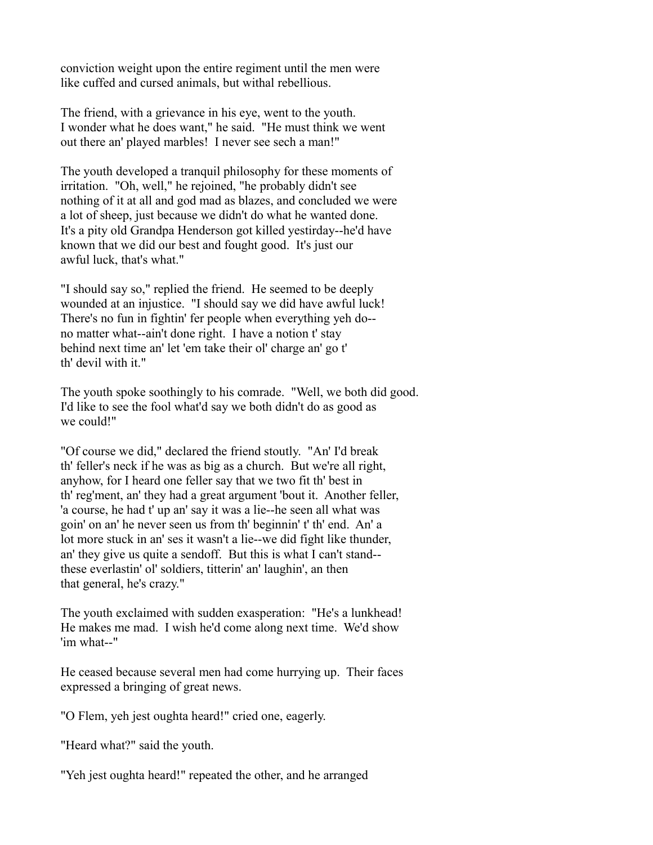conviction weight upon the entire regiment until the men were like cuffed and cursed animals, but withal rebellious.

The friend, with a grievance in his eye, went to the youth. I wonder what he does want," he said. "He must think we went out there an' played marbles! I never see sech a man!"

The youth developed a tranquil philosophy for these moments of irritation. "Oh, well," he rejoined, "he probably didn't see nothing of it at all and god mad as blazes, and concluded we were a lot of sheep, just because we didn't do what he wanted done. It's a pity old Grandpa Henderson got killed yestirday--he'd have known that we did our best and fought good. It's just our awful luck, that's what."

"I should say so," replied the friend. He seemed to be deeply wounded at an injustice. "I should say we did have awful luck! There's no fun in fightin' fer people when everything yeh do- no matter what--ain't done right. I have a notion t' stay behind next time an' let 'em take their ol' charge an' go t' th' devil with it."

The youth spoke soothingly to his comrade. "Well, we both did good. I'd like to see the fool what'd say we both didn't do as good as we could!"

"Of course we did," declared the friend stoutly. "An' I'd break th' feller's neck if he was as big as a church. But we're all right, anyhow, for I heard one feller say that we two fit th' best in th' reg'ment, an' they had a great argument 'bout it. Another feller, 'a course, he had t' up an' say it was a lie--he seen all what was goin' on an' he never seen us from th' beginnin' t' th' end. An' a lot more stuck in an' ses it wasn't a lie--we did fight like thunder, an' they give us quite a sendoff. But this is what I can't stand- these everlastin' ol' soldiers, titterin' an' laughin', an then that general, he's crazy."

The youth exclaimed with sudden exasperation: "He's a lunkhead! He makes me mad. I wish he'd come along next time. We'd show 'im what--"

He ceased because several men had come hurrying up. Their faces expressed a bringing of great news.

"O Flem, yeh jest oughta heard!" cried one, eagerly.

"Heard what?" said the youth.

"Yeh jest oughta heard!" repeated the other, and he arranged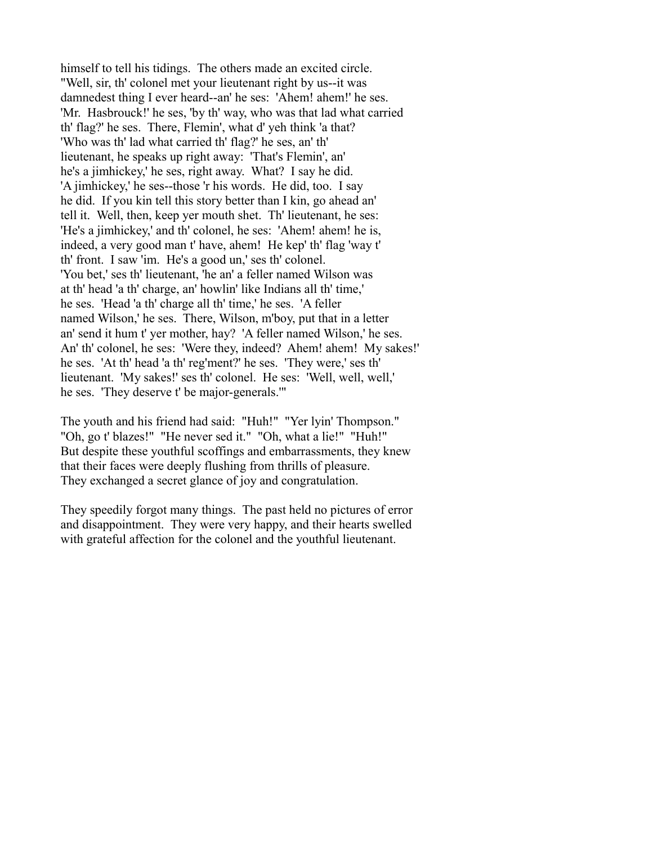himself to tell his tidings. The others made an excited circle. "Well, sir, th' colonel met your lieutenant right by us--it was damnedest thing I ever heard--an' he ses: 'Ahem! ahem!' he ses. 'Mr. Hasbrouck!' he ses, 'by th' way, who was that lad what carried th' flag?' he ses. There, Flemin', what d' yeh think 'a that? 'Who was th' lad what carried th' flag?' he ses, an' th' lieutenant, he speaks up right away: 'That's Flemin', an' he's a jimhickey,' he ses, right away. What? I say he did. 'A jimhickey,' he ses--those 'r his words. He did, too. I say he did. If you kin tell this story better than I kin, go ahead an' tell it. Well, then, keep yer mouth shet. Th' lieutenant, he ses: 'He's a jimhickey,' and th' colonel, he ses: 'Ahem! ahem! he is, indeed, a very good man t' have, ahem! He kep' th' flag 'way t' th' front. I saw 'im. He's a good un,' ses th' colonel. 'You bet,' ses th' lieutenant, 'he an' a feller named Wilson was at th' head 'a th' charge, an' howlin' like Indians all th' time,' he ses. 'Head 'a th' charge all th' time,' he ses. 'A feller named Wilson,' he ses. There, Wilson, m'boy, put that in a letter an' send it hum t' yer mother, hay? 'A feller named Wilson,' he ses. An' th' colonel, he ses: 'Were they, indeed? Ahem! ahem! My sakes!' he ses. 'At th' head 'a th' reg'ment?' he ses. 'They were,' ses th' lieutenant. 'My sakes!' ses th' colonel. He ses: 'Well, well, well,' he ses. 'They deserve t' be major-generals.'"

The youth and his friend had said: "Huh!" "Yer lyin' Thompson." "Oh, go t' blazes!" "He never sed it." "Oh, what a lie!" "Huh!" But despite these youthful scoffings and embarrassments, they knew that their faces were deeply flushing from thrills of pleasure. They exchanged a secret glance of joy and congratulation.

They speedily forgot many things. The past held no pictures of error and disappointment. They were very happy, and their hearts swelled with grateful affection for the colonel and the youthful lieutenant.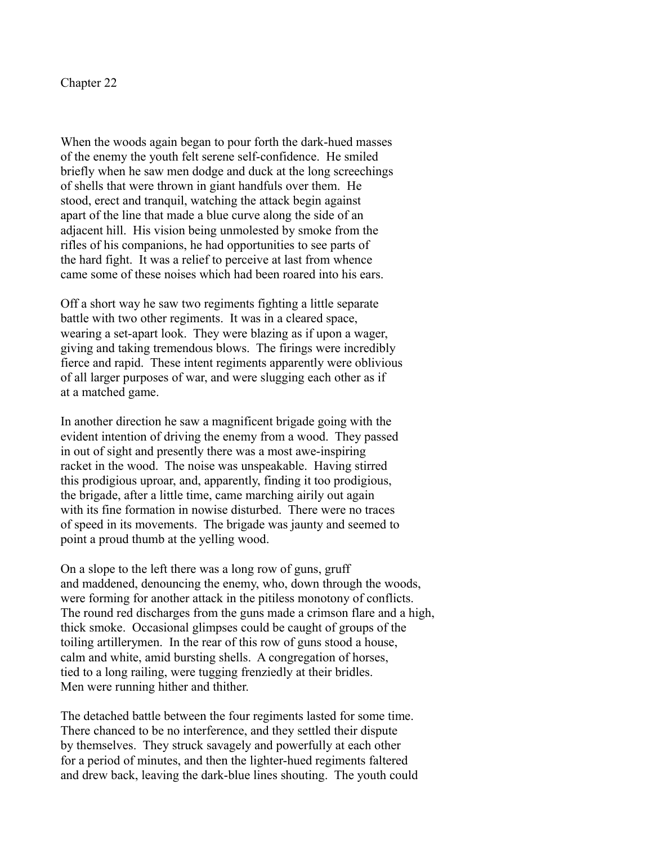Chapter 22

When the woods again began to pour forth the dark-hued masses of the enemy the youth felt serene self-confidence. He smiled briefly when he saw men dodge and duck at the long screechings of shells that were thrown in giant handfuls over them. He stood, erect and tranquil, watching the attack begin against apart of the line that made a blue curve along the side of an adjacent hill. His vision being unmolested by smoke from the rifles of his companions, he had opportunities to see parts of the hard fight. It was a relief to perceive at last from whence came some of these noises which had been roared into his ears.

Off a short way he saw two regiments fighting a little separate battle with two other regiments. It was in a cleared space, wearing a set-apart look. They were blazing as if upon a wager, giving and taking tremendous blows. The firings were incredibly fierce and rapid. These intent regiments apparently were oblivious of all larger purposes of war, and were slugging each other as if at a matched game.

In another direction he saw a magnificent brigade going with the evident intention of driving the enemy from a wood. They passed in out of sight and presently there was a most awe-inspiring racket in the wood. The noise was unspeakable. Having stirred this prodigious uproar, and, apparently, finding it too prodigious, the brigade, after a little time, came marching airily out again with its fine formation in nowise disturbed. There were no traces of speed in its movements. The brigade was jaunty and seemed to point a proud thumb at the yelling wood.

On a slope to the left there was a long row of guns, gruff and maddened, denouncing the enemy, who, down through the woods, were forming for another attack in the pitiless monotony of conflicts. The round red discharges from the guns made a crimson flare and a high, thick smoke. Occasional glimpses could be caught of groups of the toiling artillerymen. In the rear of this row of guns stood a house, calm and white, amid bursting shells. A congregation of horses, tied to a long railing, were tugging frenziedly at their bridles. Men were running hither and thither.

The detached battle between the four regiments lasted for some time. There chanced to be no interference, and they settled their dispute by themselves. They struck savagely and powerfully at each other for a period of minutes, and then the lighter-hued regiments faltered and drew back, leaving the dark-blue lines shouting. The youth could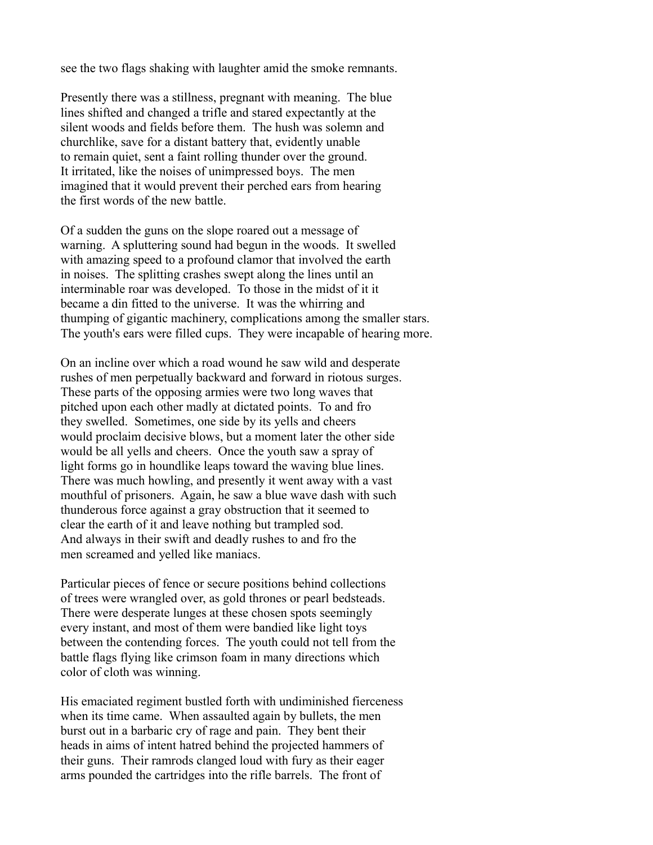see the two flags shaking with laughter amid the smoke remnants.

Presently there was a stillness, pregnant with meaning. The blue lines shifted and changed a trifle and stared expectantly at the silent woods and fields before them. The hush was solemn and churchlike, save for a distant battery that, evidently unable to remain quiet, sent a faint rolling thunder over the ground. It irritated, like the noises of unimpressed boys. The men imagined that it would prevent their perched ears from hearing the first words of the new battle.

Of a sudden the guns on the slope roared out a message of warning. A spluttering sound had begun in the woods. It swelled with amazing speed to a profound clamor that involved the earth in noises. The splitting crashes swept along the lines until an interminable roar was developed. To those in the midst of it it became a din fitted to the universe. It was the whirring and thumping of gigantic machinery, complications among the smaller stars. The youth's ears were filled cups. They were incapable of hearing more.

On an incline over which a road wound he saw wild and desperate rushes of men perpetually backward and forward in riotous surges. These parts of the opposing armies were two long waves that pitched upon each other madly at dictated points. To and fro they swelled. Sometimes, one side by its yells and cheers would proclaim decisive blows, but a moment later the other side would be all yells and cheers. Once the youth saw a spray of light forms go in houndlike leaps toward the waving blue lines. There was much howling, and presently it went away with a vast mouthful of prisoners. Again, he saw a blue wave dash with such thunderous force against a gray obstruction that it seemed to clear the earth of it and leave nothing but trampled sod. And always in their swift and deadly rushes to and fro the men screamed and yelled like maniacs.

Particular pieces of fence or secure positions behind collections of trees were wrangled over, as gold thrones or pearl bedsteads. There were desperate lunges at these chosen spots seemingly every instant, and most of them were bandied like light toys between the contending forces. The youth could not tell from the battle flags flying like crimson foam in many directions which color of cloth was winning.

His emaciated regiment bustled forth with undiminished fierceness when its time came. When assaulted again by bullets, the men burst out in a barbaric cry of rage and pain. They bent their heads in aims of intent hatred behind the projected hammers of their guns. Their ramrods clanged loud with fury as their eager arms pounded the cartridges into the rifle barrels. The front of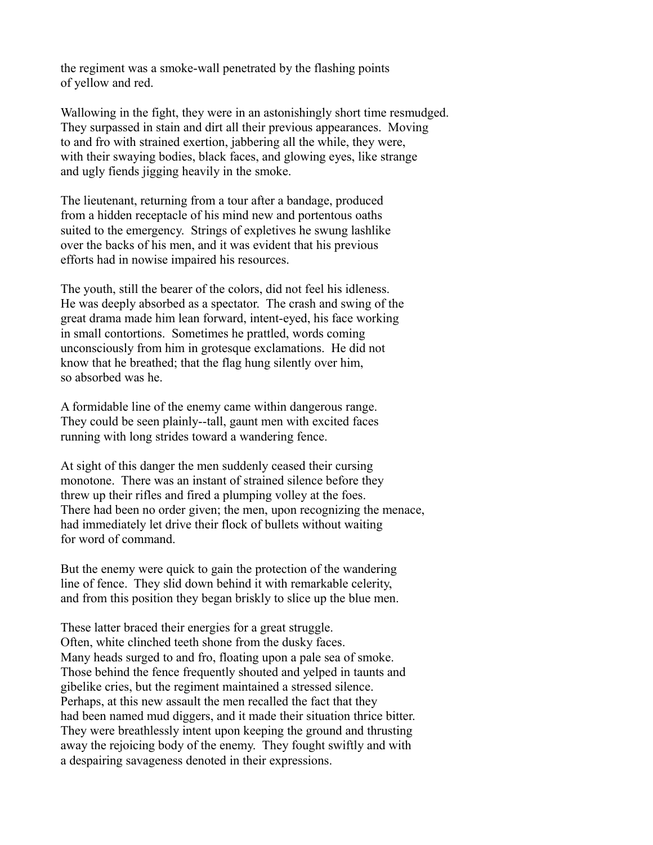the regiment was a smoke-wall penetrated by the flashing points of yellow and red.

Wallowing in the fight, they were in an astonishingly short time resmudged. They surpassed in stain and dirt all their previous appearances. Moving to and fro with strained exertion, jabbering all the while, they were, with their swaying bodies, black faces, and glowing eyes, like strange and ugly fiends jigging heavily in the smoke.

The lieutenant, returning from a tour after a bandage, produced from a hidden receptacle of his mind new and portentous oaths suited to the emergency. Strings of expletives he swung lashlike over the backs of his men, and it was evident that his previous efforts had in nowise impaired his resources.

The youth, still the bearer of the colors, did not feel his idleness. He was deeply absorbed as a spectator. The crash and swing of the great drama made him lean forward, intent-eyed, his face working in small contortions. Sometimes he prattled, words coming unconsciously from him in grotesque exclamations. He did not know that he breathed; that the flag hung silently over him, so absorbed was he.

A formidable line of the enemy came within dangerous range. They could be seen plainly--tall, gaunt men with excited faces running with long strides toward a wandering fence.

At sight of this danger the men suddenly ceased their cursing monotone. There was an instant of strained silence before they threw up their rifles and fired a plumping volley at the foes. There had been no order given; the men, upon recognizing the menace, had immediately let drive their flock of bullets without waiting for word of command.

But the enemy were quick to gain the protection of the wandering line of fence. They slid down behind it with remarkable celerity, and from this position they began briskly to slice up the blue men.

These latter braced their energies for a great struggle. Often, white clinched teeth shone from the dusky faces. Many heads surged to and fro, floating upon a pale sea of smoke. Those behind the fence frequently shouted and yelped in taunts and gibelike cries, but the regiment maintained a stressed silence. Perhaps, at this new assault the men recalled the fact that they had been named mud diggers, and it made their situation thrice bitter. They were breathlessly intent upon keeping the ground and thrusting away the rejoicing body of the enemy. They fought swiftly and with a despairing savageness denoted in their expressions.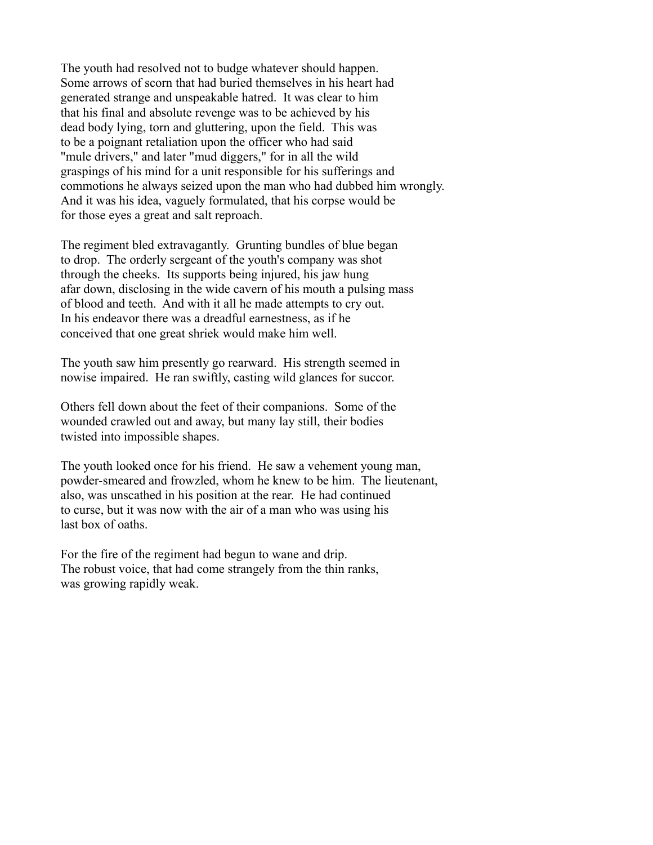The youth had resolved not to budge whatever should happen. Some arrows of scorn that had buried themselves in his heart had generated strange and unspeakable hatred. It was clear to him that his final and absolute revenge was to be achieved by his dead body lying, torn and gluttering, upon the field. This was to be a poignant retaliation upon the officer who had said "mule drivers," and later "mud diggers," for in all the wild graspings of his mind for a unit responsible for his sufferings and commotions he always seized upon the man who had dubbed him wrongly. And it was his idea, vaguely formulated, that his corpse would be for those eyes a great and salt reproach.

The regiment bled extravagantly. Grunting bundles of blue began to drop. The orderly sergeant of the youth's company was shot through the cheeks. Its supports being injured, his jaw hung afar down, disclosing in the wide cavern of his mouth a pulsing mass of blood and teeth. And with it all he made attempts to cry out. In his endeavor there was a dreadful earnestness, as if he conceived that one great shriek would make him well.

The youth saw him presently go rearward. His strength seemed in nowise impaired. He ran swiftly, casting wild glances for succor.

Others fell down about the feet of their companions. Some of the wounded crawled out and away, but many lay still, their bodies twisted into impossible shapes.

The youth looked once for his friend. He saw a vehement young man, powder-smeared and frowzled, whom he knew to be him. The lieutenant, also, was unscathed in his position at the rear. He had continued to curse, but it was now with the air of a man who was using his last box of oaths.

For the fire of the regiment had begun to wane and drip. The robust voice, that had come strangely from the thin ranks, was growing rapidly weak.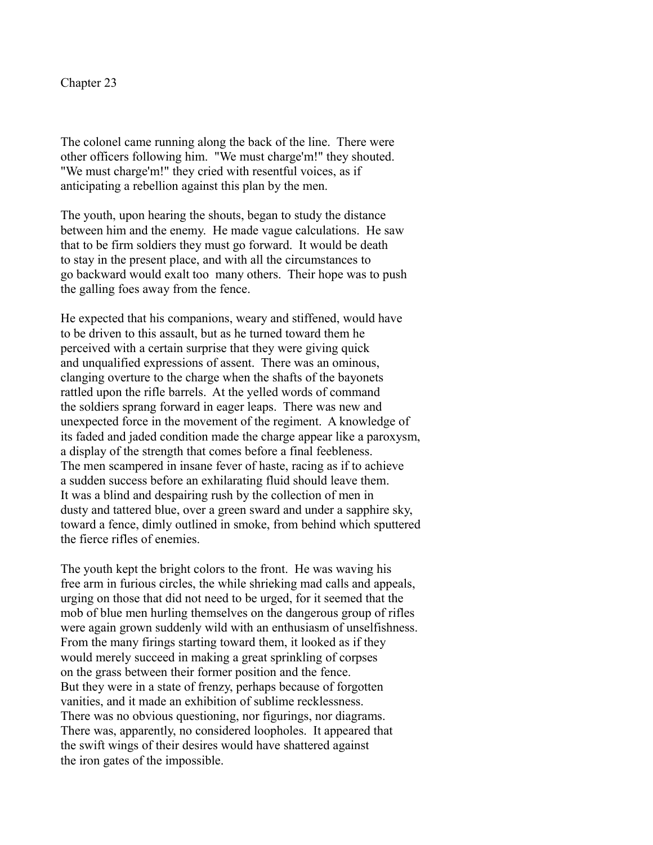Chapter 23

The colonel came running along the back of the line. There were other officers following him. "We must charge'm!" they shouted. "We must charge'm!" they cried with resentful voices, as if anticipating a rebellion against this plan by the men.

The youth, upon hearing the shouts, began to study the distance between him and the enemy. He made vague calculations. He saw that to be firm soldiers they must go forward. It would be death to stay in the present place, and with all the circumstances to go backward would exalt too many others. Their hope was to push the galling foes away from the fence.

He expected that his companions, weary and stiffened, would have to be driven to this assault, but as he turned toward them he perceived with a certain surprise that they were giving quick and unqualified expressions of assent. There was an ominous, clanging overture to the charge when the shafts of the bayonets rattled upon the rifle barrels. At the yelled words of command the soldiers sprang forward in eager leaps. There was new and unexpected force in the movement of the regiment. A knowledge of its faded and jaded condition made the charge appear like a paroxysm, a display of the strength that comes before a final feebleness. The men scampered in insane fever of haste, racing as if to achieve a sudden success before an exhilarating fluid should leave them. It was a blind and despairing rush by the collection of men in dusty and tattered blue, over a green sward and under a sapphire sky, toward a fence, dimly outlined in smoke, from behind which sputtered the fierce rifles of enemies.

The youth kept the bright colors to the front. He was waving his free arm in furious circles, the while shrieking mad calls and appeals, urging on those that did not need to be urged, for it seemed that the mob of blue men hurling themselves on the dangerous group of rifles were again grown suddenly wild with an enthusiasm of unselfishness. From the many firings starting toward them, it looked as if they would merely succeed in making a great sprinkling of corpses on the grass between their former position and the fence. But they were in a state of frenzy, perhaps because of forgotten vanities, and it made an exhibition of sublime recklessness. There was no obvious questioning, nor figurings, nor diagrams. There was, apparently, no considered loopholes. It appeared that the swift wings of their desires would have shattered against the iron gates of the impossible.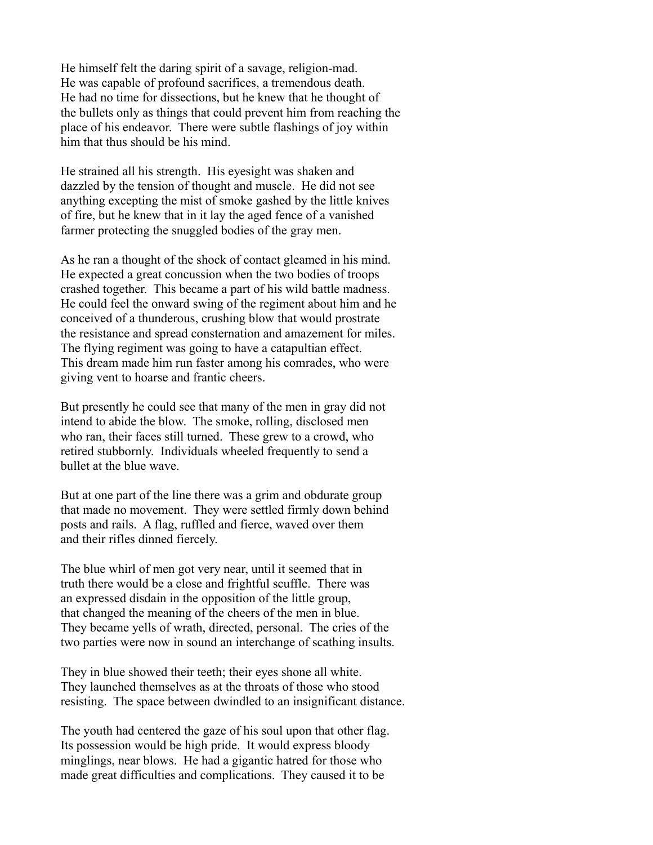He himself felt the daring spirit of a savage, religion-mad. He was capable of profound sacrifices, a tremendous death. He had no time for dissections, but he knew that he thought of the bullets only as things that could prevent him from reaching the place of his endeavor. There were subtle flashings of joy within him that thus should be his mind.

He strained all his strength. His eyesight was shaken and dazzled by the tension of thought and muscle. He did not see anything excepting the mist of smoke gashed by the little knives of fire, but he knew that in it lay the aged fence of a vanished farmer protecting the snuggled bodies of the gray men.

As he ran a thought of the shock of contact gleamed in his mind. He expected a great concussion when the two bodies of troops crashed together. This became a part of his wild battle madness. He could feel the onward swing of the regiment about him and he conceived of a thunderous, crushing blow that would prostrate the resistance and spread consternation and amazement for miles. The flying regiment was going to have a catapultian effect. This dream made him run faster among his comrades, who were giving vent to hoarse and frantic cheers.

But presently he could see that many of the men in gray did not intend to abide the blow. The smoke, rolling, disclosed men who ran, their faces still turned. These grew to a crowd, who retired stubbornly. Individuals wheeled frequently to send a bullet at the blue wave.

But at one part of the line there was a grim and obdurate group that made no movement. They were settled firmly down behind posts and rails. A flag, ruffled and fierce, waved over them and their rifles dinned fiercely.

The blue whirl of men got very near, until it seemed that in truth there would be a close and frightful scuffle. There was an expressed disdain in the opposition of the little group, that changed the meaning of the cheers of the men in blue. They became yells of wrath, directed, personal. The cries of the two parties were now in sound an interchange of scathing insults.

They in blue showed their teeth; their eyes shone all white. They launched themselves as at the throats of those who stood resisting. The space between dwindled to an insignificant distance.

The youth had centered the gaze of his soul upon that other flag. Its possession would be high pride. It would express bloody minglings, near blows. He had a gigantic hatred for those who made great difficulties and complications. They caused it to be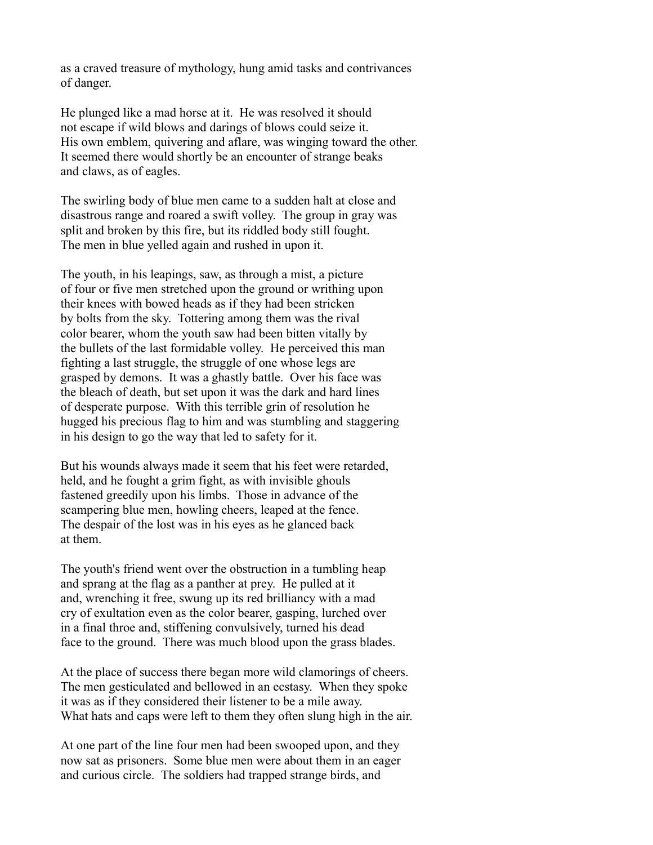as a craved treasure of mythology, hung amid tasks and contrivances of danger.

He plunged like a mad horse at it. He was resolved it should not escape if wild blows and darings of blows could seize it. His own emblem, quivering and aflare, was winging toward the other. It seemed there would shortly be an encounter of strange beaks and claws, as of eagles.

The swirling body of blue men came to a sudden halt at close and disastrous range and roared a swift volley. The group in gray was split and broken by this fire, but its riddled body still fought. The men in blue yelled again and rushed in upon it.

The youth, in his leapings, saw, as through a mist, a picture of four or five men stretched upon the ground or writhing upon their knees with bowed heads as if they had been stricken by bolts from the sky. Tottering among them was the rival color bearer, whom the youth saw had been bitten vitally by the bullets of the last formidable volley. He perceived this man fighting a last struggle, the struggle of one whose legs are grasped by demons. It was a ghastly battle. Over his face was the bleach of death, but set upon it was the dark and hard lines of desperate purpose. With this terrible grin of resolution he hugged his precious flag to him and was stumbling and staggering in his design to go the way that led to safety for it.

But his wounds always made it seem that his feet were retarded, held, and he fought a grim fight, as with invisible ghouls fastened greedily upon his limbs. Those in advance of the scampering blue men, howling cheers, leaped at the fence. The despair of the lost was in his eyes as he glanced back at them.

The youth's friend went over the obstruction in a tumbling heap and sprang at the flag as a panther at prey. He pulled at it and, wrenching it free, swung up its red brilliancy with a mad cry of exultation even as the color bearer, gasping, lurched over in a final throe and, stiffening convulsively, turned his dead face to the ground. There was much blood upon the grass blades.

At the place of success there began more wild clamorings of cheers. The men gesticulated and bellowed in an ecstasy. When they spoke it was as if they considered their listener to be a mile away. What hats and caps were left to them they often slung high in the air.

At one part of the line four men had been swooped upon, and they now sat as prisoners. Some blue men were about them in an eager and curious circle. The soldiers had trapped strange birds, and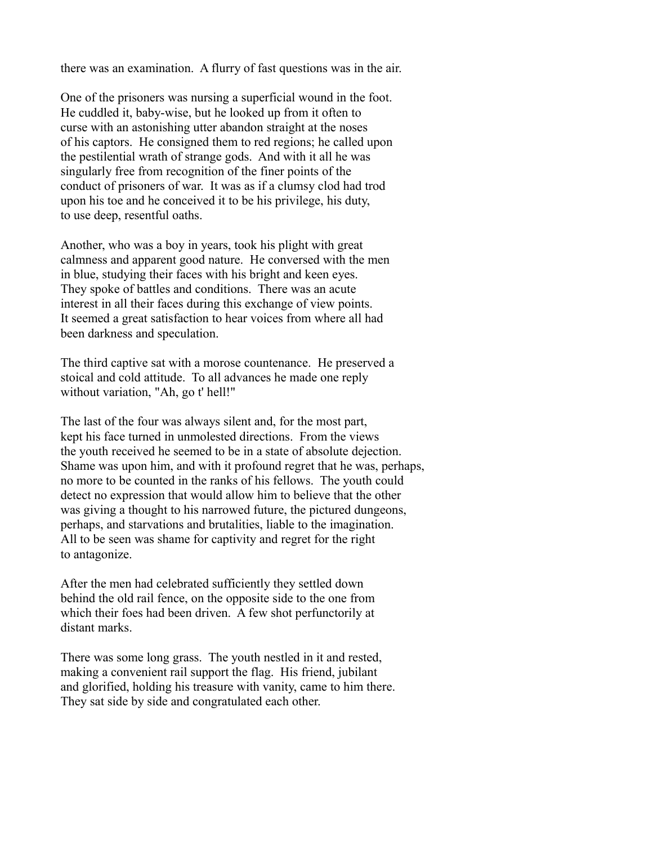there was an examination. A flurry of fast questions was in the air.

One of the prisoners was nursing a superficial wound in the foot. He cuddled it, baby-wise, but he looked up from it often to curse with an astonishing utter abandon straight at the noses of his captors. He consigned them to red regions; he called upon the pestilential wrath of strange gods. And with it all he was singularly free from recognition of the finer points of the conduct of prisoners of war. It was as if a clumsy clod had trod upon his toe and he conceived it to be his privilege, his duty, to use deep, resentful oaths.

Another, who was a boy in years, took his plight with great calmness and apparent good nature. He conversed with the men in blue, studying their faces with his bright and keen eyes. They spoke of battles and conditions. There was an acute interest in all their faces during this exchange of view points. It seemed a great satisfaction to hear voices from where all had been darkness and speculation.

The third captive sat with a morose countenance. He preserved a stoical and cold attitude. To all advances he made one reply without variation, "Ah, go t' hell!"

The last of the four was always silent and, for the most part, kept his face turned in unmolested directions. From the views the youth received he seemed to be in a state of absolute dejection. Shame was upon him, and with it profound regret that he was, perhaps, no more to be counted in the ranks of his fellows. The youth could detect no expression that would allow him to believe that the other was giving a thought to his narrowed future, the pictured dungeons, perhaps, and starvations and brutalities, liable to the imagination. All to be seen was shame for captivity and regret for the right to antagonize.

After the men had celebrated sufficiently they settled down behind the old rail fence, on the opposite side to the one from which their foes had been driven. A few shot perfunctorily at distant marks.

There was some long grass. The youth nestled in it and rested, making a convenient rail support the flag. His friend, jubilant and glorified, holding his treasure with vanity, came to him there. They sat side by side and congratulated each other.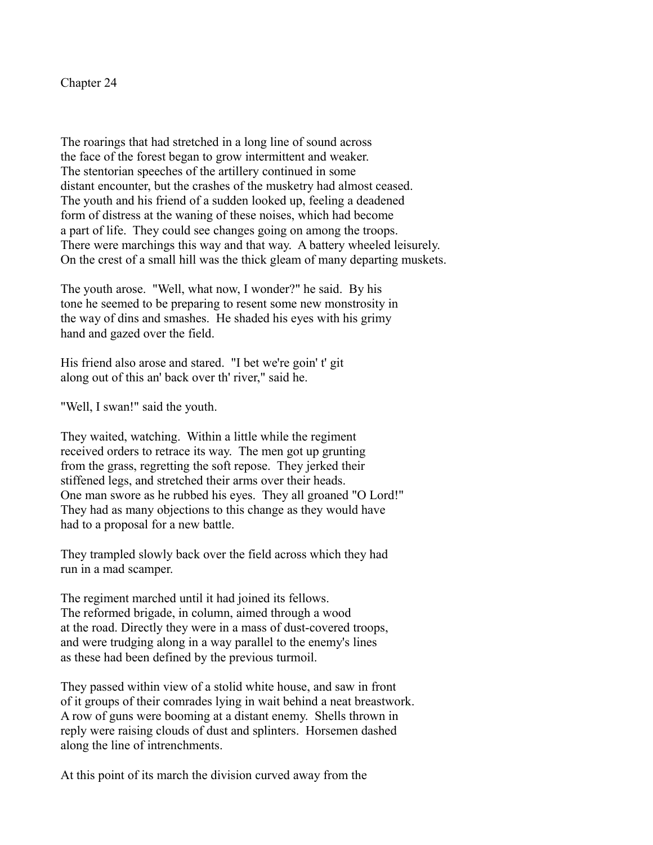Chapter 24

The roarings that had stretched in a long line of sound across the face of the forest began to grow intermittent and weaker. The stentorian speeches of the artillery continued in some distant encounter, but the crashes of the musketry had almost ceased. The youth and his friend of a sudden looked up, feeling a deadened form of distress at the waning of these noises, which had become a part of life. They could see changes going on among the troops. There were marchings this way and that way. A battery wheeled leisurely. On the crest of a small hill was the thick gleam of many departing muskets.

The youth arose. "Well, what now, I wonder?" he said. By his tone he seemed to be preparing to resent some new monstrosity in the way of dins and smashes. He shaded his eyes with his grimy hand and gazed over the field.

His friend also arose and stared. "I bet we're goin' t' git along out of this an' back over th' river," said he.

"Well, I swan!" said the youth.

They waited, watching. Within a little while the regiment received orders to retrace its way. The men got up grunting from the grass, regretting the soft repose. They jerked their stiffened legs, and stretched their arms over their heads. One man swore as he rubbed his eyes. They all groaned "O Lord!" They had as many objections to this change as they would have had to a proposal for a new battle.

They trampled slowly back over the field across which they had run in a mad scamper.

The regiment marched until it had joined its fellows. The reformed brigade, in column, aimed through a wood at the road. Directly they were in a mass of dust-covered troops, and were trudging along in a way parallel to the enemy's lines as these had been defined by the previous turmoil.

They passed within view of a stolid white house, and saw in front of it groups of their comrades lying in wait behind a neat breastwork. A row of guns were booming at a distant enemy. Shells thrown in reply were raising clouds of dust and splinters. Horsemen dashed along the line of intrenchments.

At this point of its march the division curved away from the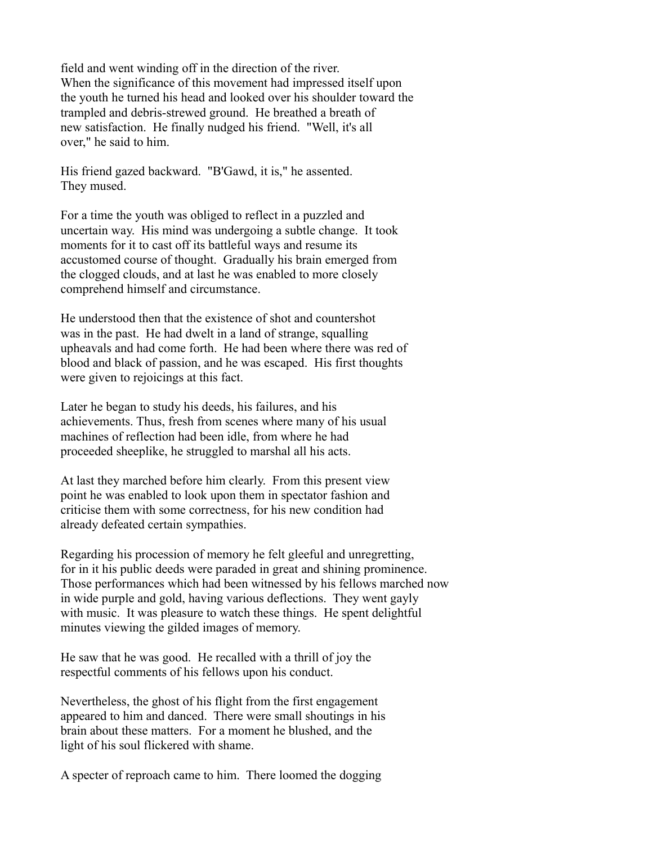field and went winding off in the direction of the river. When the significance of this movement had impressed itself upon the youth he turned his head and looked over his shoulder toward the trampled and debris-strewed ground. He breathed a breath of new satisfaction. He finally nudged his friend. "Well, it's all over," he said to him.

His friend gazed backward. "B'Gawd, it is," he assented. They mused.

For a time the youth was obliged to reflect in a puzzled and uncertain way. His mind was undergoing a subtle change. It took moments for it to cast off its battleful ways and resume its accustomed course of thought. Gradually his brain emerged from the clogged clouds, and at last he was enabled to more closely comprehend himself and circumstance.

He understood then that the existence of shot and countershot was in the past. He had dwelt in a land of strange, squalling upheavals and had come forth. He had been where there was red of blood and black of passion, and he was escaped. His first thoughts were given to rejoicings at this fact.

Later he began to study his deeds, his failures, and his achievements. Thus, fresh from scenes where many of his usual machines of reflection had been idle, from where he had proceeded sheeplike, he struggled to marshal all his acts.

At last they marched before him clearly. From this present view point he was enabled to look upon them in spectator fashion and criticise them with some correctness, for his new condition had already defeated certain sympathies.

Regarding his procession of memory he felt gleeful and unregretting, for in it his public deeds were paraded in great and shining prominence. Those performances which had been witnessed by his fellows marched now in wide purple and gold, having various deflections. They went gayly with music. It was pleasure to watch these things. He spent delightful minutes viewing the gilded images of memory.

He saw that he was good. He recalled with a thrill of joy the respectful comments of his fellows upon his conduct.

Nevertheless, the ghost of his flight from the first engagement appeared to him and danced. There were small shoutings in his brain about these matters. For a moment he blushed, and the light of his soul flickered with shame.

A specter of reproach came to him. There loomed the dogging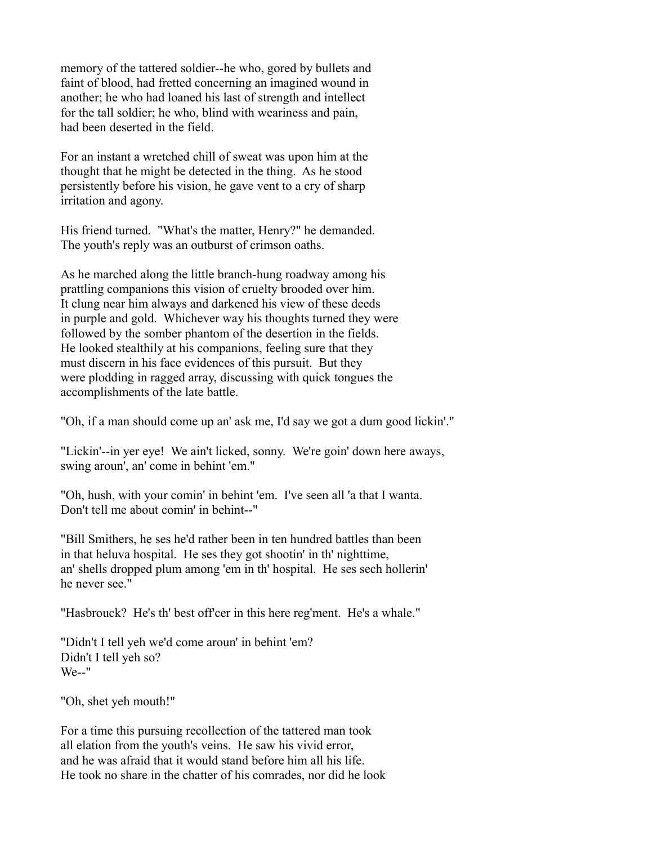memory of the tattered soldier--he who, gored by bullets and faint of blood, had fretted concerning an imagined wound in another; he who had loaned his last of strength and intellect for the tall soldier; he who, blind with weariness and pain, had been deserted in the field.

For an instant a wretched chill of sweat was upon him at the thought that he might be detected in the thing. As he stood persistently before his vision, he gave vent to a cry of sharp irritation and agony.

His friend turned. "What's the matter, Henry?" he demanded. The youth's reply was an outburst of crimson oaths.

As he marched along the little branch-hung roadway among his prattling companions this vision of cruelty brooded over him. It clung near him always and darkened his view of these deeds in purple and gold. Whichever way his thoughts turned they were followed by the somber phantom of the desertion in the fields. He looked stealthily at his companions, feeling sure that they must discern in his face evidences of this pursuit. But they were plodding in ragged array, discussing with quick tongues the accomplishments of the late battle.

"Oh, if a man should come up an' ask me, I'd say we got a dum good lickin'."

"Lickin'--in yer eye! We ain't licked, sonny. We're goin' down here aways, swing aroun', an' come in behint 'em."

"Oh, hush, with your comin' in behint 'em. I've seen all 'a that I wanta. Don't tell me about comin' in behint--"

"Bill Smithers, he ses he'd rather been in ten hundred battles than been in that heluva hospital. He ses they got shootin' in th' nighttime, an' shells dropped plum among 'em in th' hospital. He ses sech hollerin' he never see."

"Hasbrouck? He's th' best off'cer in this here reg'ment. He's a whale."

"Didn't I tell yeh we'd come aroun' in behint 'em? Didn't I tell yeh so? We--"

"Oh, shet yeh mouth!"

For a time this pursuing recollection of the tattered man took all elation from the youth's veins. He saw his vivid error, and he was afraid that it would stand before him all his life. He took no share in the chatter of his comrades, nor did he look